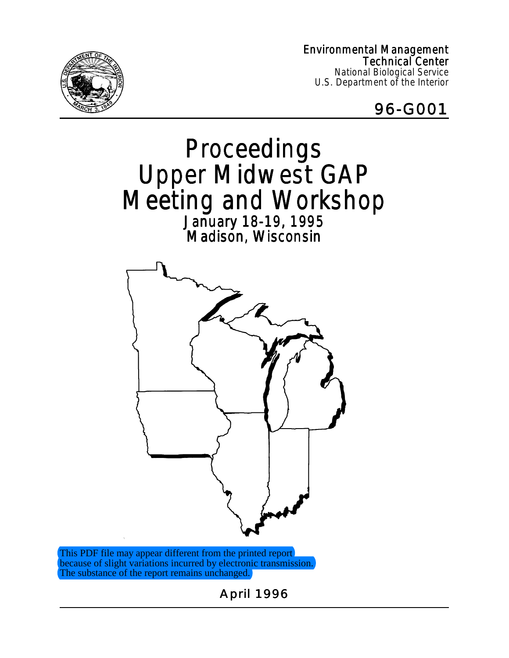Environmental Management Technical Center National Biological Service U.S. Department of the Interior





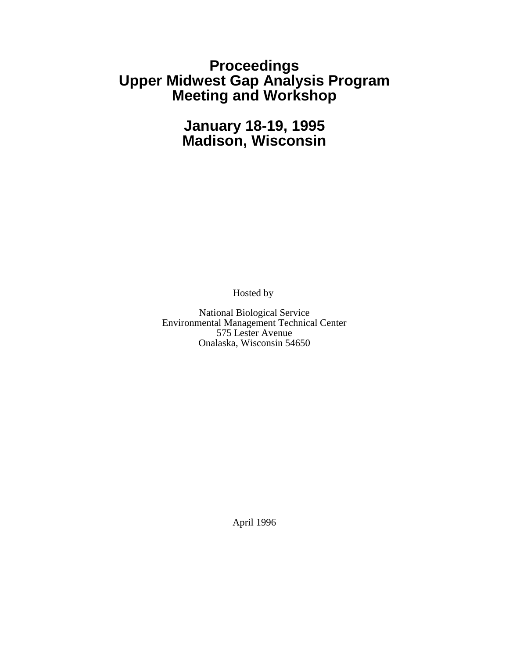## **Proceedings Upper Midwest Gap Analysis Program Meeting and Workshop**

# **January 18-19, 1995 Madison, Wisconsin**

Hosted by

National Biological Service Environmental Management Technical Center 575 Lester Avenue Onalaska, Wisconsin 54650

April 1996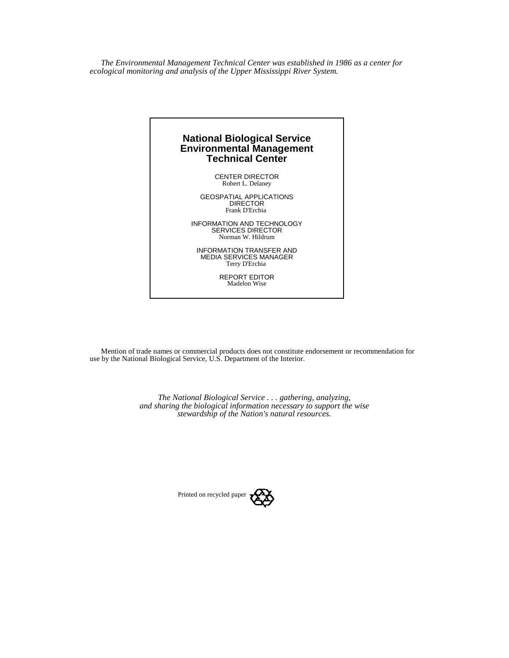*The Environmental Management Technical Center was established in 1986 as a center for ecological monitoring and analysis of the Upper Mississippi River System.*



Mention of trade names or commercial products does not constitute endorsement or recommendation for use by the National Biological Service, U.S. Department of the Interior.

> *The National Biological Service . . . gathering, analyzing, and sharing the biological information necessary to support the wise stewardship of the Nation's natural resources.*

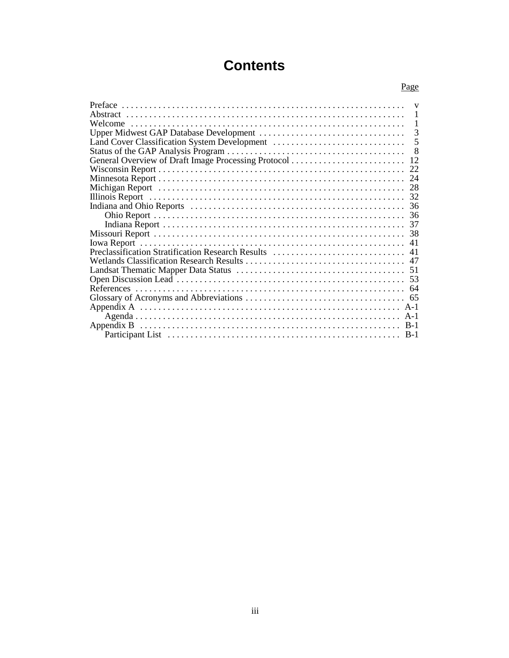# **Contents**

|                                                   | Page |
|---------------------------------------------------|------|
|                                                   | V    |
|                                                   |      |
| Welcome                                           |      |
|                                                   | 3    |
|                                                   |      |
|                                                   | 8    |
|                                                   | 12   |
|                                                   | 22   |
|                                                   | 24   |
|                                                   | 28   |
|                                                   |      |
|                                                   |      |
|                                                   | 36   |
|                                                   |      |
|                                                   |      |
|                                                   | 41   |
| Preclassification Stratification Research Results | 41   |
|                                                   |      |
|                                                   |      |
|                                                   |      |
|                                                   |      |
|                                                   | 65   |
|                                                   |      |
|                                                   |      |
|                                                   |      |
|                                                   |      |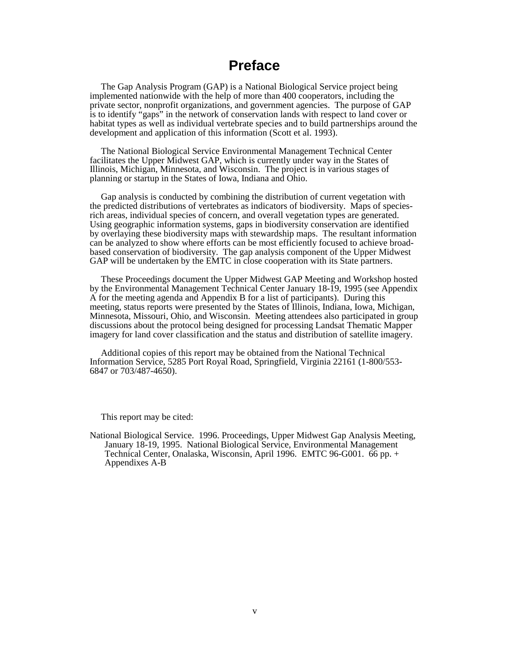## **Preface**

The Gap Analysis Program (GAP) is a National Biological Service project being implemented nationwide with the help of more than 400 cooperators, including the private sector, nonprofit organizations, and government agencies. The purpose of GAP is to identify "gaps" in the network of conservation lands with respect to land cover or habitat types as well as individual vertebrate species and to build partnerships around the development and application of this information (Scott et al. 1993).

The National Biological Service Environmental Management Technical Center facilitates the Upper Midwest GAP, which is currently under way in the States of Illinois, Michigan, Minnesota, and Wisconsin. The project is in various stages of planning or startup in the States of Iowa, Indiana and Ohio.

Gap analysis is conducted by combining the distribution of current vegetation with the predicted distributions of vertebrates as indicators of biodiversity. Maps of speciesrich areas, individual species of concern, and overall vegetation types are generated. Using geographic information systems, gaps in biodiversity conservation are identified by overlaying these biodiversity maps with stewardship maps. The resultant information can be analyzed to show where efforts can be most efficiently focused to achieve broadbased conservation of biodiversity. The gap analysis component of the Upper Midwest GAP will be undertaken by the EMTC in close cooperation with its State partners.

These Proceedings document the Upper Midwest GAP Meeting and Workshop hosted by the Environmental Management Technical Center January 18-19, 1995 (see Appendix A for the meeting agenda and Appendix B for a list of participants). During this meeting, status reports were presented by the States of Illinois, Indiana, Iowa, Michigan, Minnesota, Missouri, Ohio, and Wisconsin. Meeting attendees also participated in group discussions about the protocol being designed for processing Landsat Thematic Mapper imagery for land cover classification and the status and distribution of satellite imagery.

Additional copies of this report may be obtained from the National Technical Information Service, 5285 Port Royal Road, Springfield, Virginia 22161 (1-800/553- 6847 or 703/487-4650).

This report may be cited:

National Biological Service. 1996. Proceedings, Upper Midwest Gap Analysis Meeting, January 18-19, 1995. National Biological Service, Environmental Management Technical Center, Onalaska, Wisconsin, April 1996. EMTC 96-G001. 66 pp. + Appendixes A-B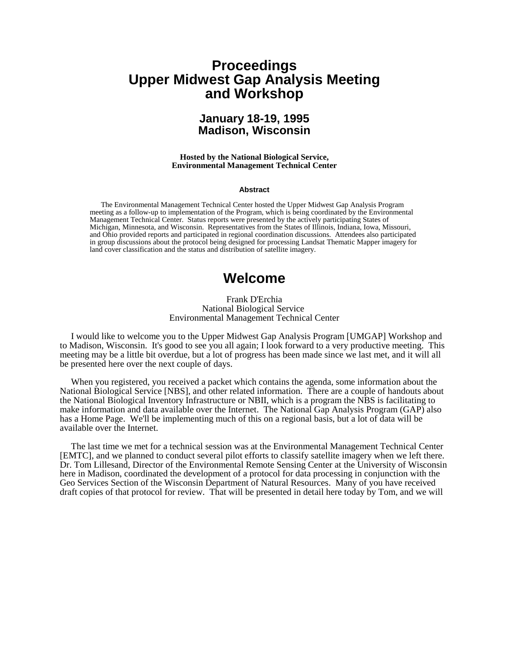## **Proceedings Upper Midwest Gap Analysis Meeting and Workshop**

### **January 18-19, 1995 Madison, Wisconsin**

#### **Hosted by the National Biological Service, Environmental Management Technical Center**

#### **Abstract**

The Environmental Management Technical Center hosted the Upper Midwest Gap Analysis Program meeting as a follow-up to implementation of the Program, which is being coordinated by the Environmental Management Technical Center. Status reports were presented by the actively participating States of Michigan, Minnesota, and Wisconsin. Representatives from the States of Illinois, Indiana, Iowa, Missouri, and Ohio provided reports and participated in regional coordination discussions. Attendees also participated in group discussions about the protocol being designed for processing Landsat Thematic Mapper imagery for land cover classification and the status and distribution of satellite imagery.

### **Welcome**

#### Frank D'Erchia National Biological Service Environmental Management Technical Center

I would like to welcome you to the Upper Midwest Gap Analysis Program [UMGAP] Workshop and to Madison, Wisconsin. It's good to see you all again; I look forward to a very productive meeting. This meeting may be a little bit overdue, but a lot of progress has been made since we last met, and it will all be presented here over the next couple of days.

When you registered, you received a packet which contains the agenda, some information about the National Biological Service [NBS], and other related information. There are a couple of handouts about the National Biological Inventory Infrastructure or NBII, which is a program the NBS is facilitating to make information and data available over the Internet. The National Gap Analysis Program (GAP) also has a Home Page. We'll be implementing much of this on a regional basis, but a lot of data will be available over the Internet.

The last time we met for a technical session was at the Environmental Management Technical Center [EMTC], and we planned to conduct several pilot efforts to classify satellite imagery when we left there. Dr. Tom Lillesand, Director of the Environmental Remote Sensing Center at the University of Wisconsin here in Madison, coordinated the development of a protocol for data processing in conjunction with the Geo Services Section of the Wisconsin Department of Natural Resources. Many of you have received draft copies of that protocol for review. That will be presented in detail here today by Tom, and we will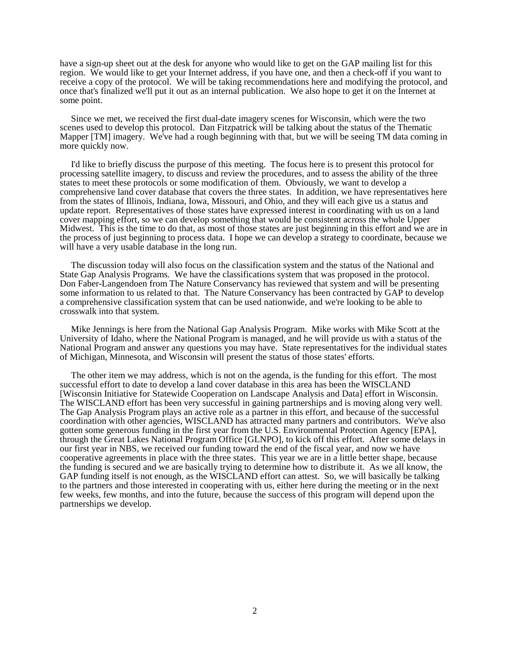have a sign-up sheet out at the desk for anyone who would like to get on the GAP mailing list for this region. We would like to get your Internet address, if you have one, and then a check-off if you want to receive a copy of the protocol. We will be taking recommendations here and modifying the protocol, and once that's finalized we'll put it out as an internal publication. We also hope to get it on the Internet at some point.

Since we met, we received the first dual-date imagery scenes for Wisconsin, which were the two scenes used to develop this protocol. Dan Fitzpatrick will be talking about the status of the Thematic Mapper [TM] imagery. We've had a rough beginning with that, but we will be seeing TM data coming in more quickly now.

I'd like to briefly discuss the purpose of this meeting. The focus here is to present this protocol for processing satellite imagery, to discuss and review the procedures, and to assess the ability of the three states to meet these protocols or some modification of them. Obviously, we want to develop a comprehensive land cover database that covers the three states. In addition, we have representatives here from the states of Illinois, Indiana, Iowa, Missouri, and Ohio, and they will each give us a status and update report. Representatives of those states have expressed interest in coordinating with us on a land cover mapping effort, so we can develop something that would be consistent across the whole Upper Midwest. This is the time to do that, as most of those states are just beginning in this effort and we are in the process of just beginning to process data. I hope we can develop a strategy to coordinate, because we will have a very usable database in the long run.

The discussion today will also focus on the classification system and the status of the National and State Gap Analysis Programs. We have the classifications system that was proposed in the protocol. Don Faber-Langendoen from The Nature Conservancy has reviewed that system and will be presenting some information to us related to that. The Nature Conservancy has been contracted by GAP to develop a comprehensive classification system that can be used nationwide, and we're looking to be able to crosswalk into that system.

Mike Jennings is here from the National Gap Analysis Program. Mike works with Mike Scott at the University of Idaho, where the National Program is managed, and he will provide us with a status of the National Program and answer any questions you may have. State representatives for the individual states of Michigan, Minnesota, and Wisconsin will present the status of those states' efforts.

The other item we may address, which is not on the agenda, is the funding for this effort. The most successful effort to date to develop a land cover database in this area has been the WISCLAND [Wisconsin Initiative for Statewide Cooperation on Landscape Analysis and Data] effort in Wisconsin. The WISCLAND effort has been very successful in gaining partnerships and is moving along very well. The Gap Analysis Program plays an active role as a partner in this effort, and because of the successful coordination with other agencies, WISCLAND has attracted many partners and contributors. We've also gotten some generous funding in the first year from the U.S. Environmental Protection Agency [EPA], through the Great Lakes National Program Office [GLNPO], to kick off this effort. After some delays in our first year in NBS, we received our funding toward the end of the fiscal year, and now we have cooperative agreements in place with the three states. This year we are in a little better shape, because the funding is secured and we are basically trying to determine how to distribute it. As we all know, the GAP funding itself is not enough, as the WISCLAND effort can attest. So, we will basically be talking to the partners and those interested in cooperating with us, either here during the meeting or in the next few weeks, few months, and into the future, because the success of this program will depend upon the partnerships we develop.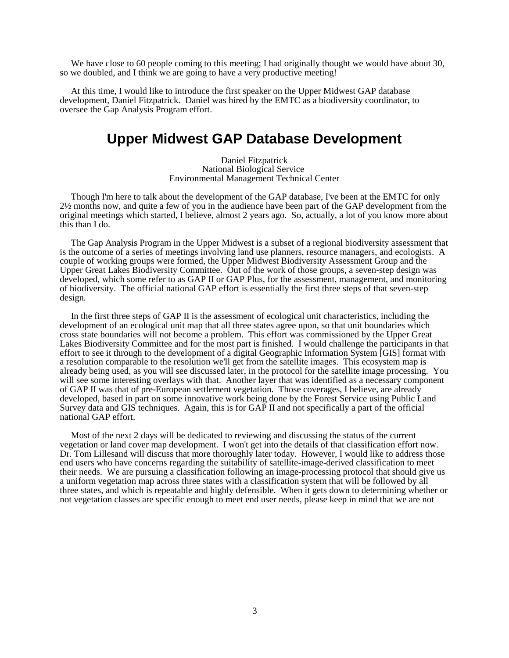We have close to 60 people coming to this meeting; I had originally thought we would have about 30, so we doubled, and I think we are going to have a very productive meeting!

At this time, I would like to introduce the first speaker on the Upper Midwest GAP database development, Daniel Fitzpatrick. Daniel was hired by the EMTC as a biodiversity coordinator, to oversee the Gap Analysis Program effort.

## **Upper Midwest GAP Database Development**

Daniel Fitzpatrick National Biological Service Environmental Management Technical Center

Though I'm here to talk about the development of the GAP database, I've been at the EMTC for only 2½ months now, and quite a few of you in the audience have been part of the GAP development from the original meetings which started, I believe, almost 2 years ago. So, actually, a lot of you know more about this than I do.

The Gap Analysis Program in the Upper Midwest is a subset of a regional biodiversity assessment that is the outcome of a series of meetings involving land use planners, resource managers, and ecologists. A couple of working groups were formed, the Upper Midwest Biodiversity Assessment Group and the Upper Great Lakes Biodiversity Committee. Out of the work of those groups, a seven-step design was developed, which some refer to as GAP II or GAP Plus, for the assessment, management, and monitoring of biodiversity. The official national GAP effort is essentially the first three steps of that seven-step design.

In the first three steps of GAP II is the assessment of ecological unit characteristics, including the development of an ecological unit map that all three states agree upon, so that unit boundaries which cross state boundaries will not become a problem. This effort was commissioned by the Upper Great Lakes Biodiversity Committee and for the most part is finished. I would challenge the participants in that effort to see it through to the development of a digital Geographic Information System [GIS] format with a resolution comparable to the resolution we'll get from the satellite images. This ecosystem map is already being used, as you will see discussed later, in the protocol for the satellite image processing. You will see some interesting overlays with that. Another layer that was identified as a necessary component of GAP II was that of pre-European settlement vegetation. Those coverages, I believe, are already developed, based in part on some innovative work being done by the Forest Service using Public Land Survey data and GIS techniques. Again, this is for GAP II and not specifically a part of the official national GAP effort.

Most of the next 2 days will be dedicated to reviewing and discussing the status of the current vegetation or land cover map development. I won't get into the details of that classification effort now. Dr. Tom Lillesand will discuss that more thoroughly later today. However, I would like to address those end users who have concerns regarding the suitability of satellite-image-derived classification to meet their needs. We are pursuing a classification following an image-processing protocol that should give us a uniform vegetation map across three states with a classification system that will be followed by all three states, and which is repeatable and highly defensible. When it gets down to determining whether or not vegetation classes are specific enough to meet end user needs, please keep in mind that we are not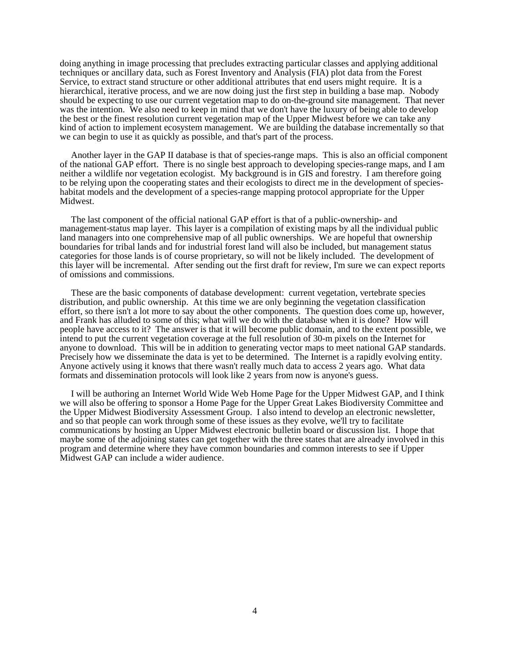doing anything in image processing that precludes extracting particular classes and applying additional techniques or ancillary data, such as Forest Inventory and Analysis (FIA) plot data from the Forest Service, to extract stand structure or other additional attributes that end users might require. It is a hierarchical, iterative process, and we are now doing just the first step in building a base map. Nobody should be expecting to use our current vegetation map to do on-the-ground site management. That never was the intention. We also need to keep in mind that we don't have the luxury of being able to develop the best or the finest resolution current vegetation map of the Upper Midwest before we can take any kind of action to implement ecosystem management. We are building the database incrementally so that we can begin to use it as quickly as possible, and that's part of the process.

Another layer in the GAP II database is that of species-range maps. This is also an official component of the national GAP effort. There is no single best approach to developing species-range maps, and I am neither a wildlife nor vegetation ecologist. My background is in GIS and forestry. I am therefore going to be relying upon the cooperating states and their ecologists to direct me in the development of specieshabitat models and the development of a species-range mapping protocol appropriate for the Upper Midwest.

The last component of the official national GAP effort is that of a public-ownership- and management-status map layer. This layer is a compilation of existing maps by all the individual public land managers into one comprehensive map of all public ownerships. We are hopeful that ownership boundaries for tribal lands and for industrial forest land will also be included, but management status categories for those lands is of course proprietary, so will not be likely included. The development of this layer will be incremental. After sending out the first draft for review, I'm sure we can expect reports of omissions and commissions.

These are the basic components of database development: current vegetation, vertebrate species distribution, and public ownership. At this time we are only beginning the vegetation classification effort, so there isn't a lot more to say about the other components. The question does come up, however, and Frank has alluded to some of this; what will we do with the database when it is done? How will people have access to it? The answer is that it will become public domain, and to the extent possible, we intend to put the current vegetation coverage at the full resolution of 30-m pixels on the Internet for anyone to download. This will be in addition to generating vector maps to meet national GAP standards. Precisely how we disseminate the data is yet to be determined. The Internet is a rapidly evolving entity. Anyone actively using it knows that there wasn't really much data to access 2 years ago. What data formats and dissemination protocols will look like 2 years from now is anyone's guess.

I will be authoring an Internet World Wide Web Home Page for the Upper Midwest GAP, and I think we will also be offering to sponsor a Home Page for the Upper Great Lakes Biodiversity Committee and the Upper Midwest Biodiversity Assessment Group. I also intend to develop an electronic newsletter, and so that people can work through some of these issues as they evolve, we'll try to facilitate communications by hosting an Upper Midwest electronic bulletin board or discussion list. I hope that maybe some of the adjoining states can get together with the three states that are already involved in this program and determine where they have common boundaries and common interests to see if Upper Midwest GAP can include a wider audience.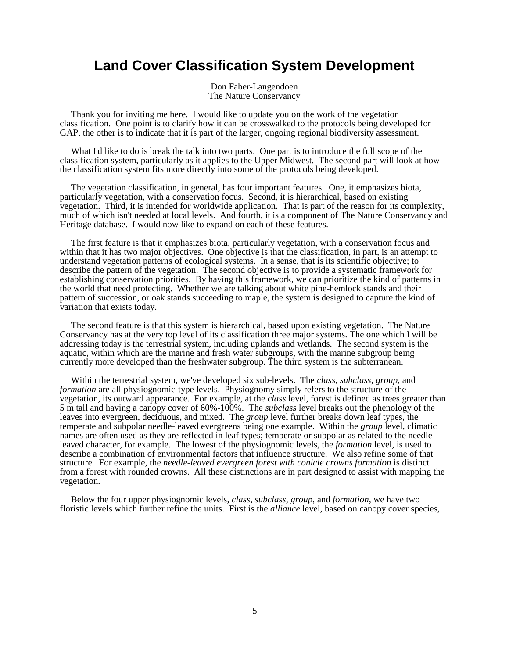## **Land Cover Classification System Development**

Don Faber-Langendoen The Nature Conservancy

Thank you for inviting me here. I would like to update you on the work of the vegetation classification. One point is to clarify how it can be crosswalked to the protocols being developed for GAP, the other is to indicate that it is part of the larger, ongoing regional biodiversity assessment.

What I'd like to do is break the talk into two parts. One part is to introduce the full scope of the classification system, particularly as it applies to the Upper Midwest. The second part will look at how the classification system fits more directly into some of the protocols being developed.

The vegetation classification, in general, has four important features. One, it emphasizes biota, particularly vegetation, with a conservation focus. Second, it is hierarchical, based on existing vegetation. Third, it is intended for worldwide application. That is part of the reason for its complexity, much of which isn't needed at local levels. And fourth, it is a component of The Nature Conservancy and Heritage database. I would now like to expand on each of these features.

The first feature is that it emphasizes biota, particularly vegetation, with a conservation focus and within that it has two major objectives. One objective is that the classification, in part, is an attempt to understand vegetation patterns of ecological systems. In a sense, that is its scientific objective; to describe the pattern of the vegetation. The second objective is to provide a systematic framework for establishing conservation priorities. By having this framework, we can prioritize the kind of patterns in the world that need protecting. Whether we are talking about white pine-hemlock stands and their pattern of succession, or oak stands succeeding to maple, the system is designed to capture the kind of variation that exists today.

The second feature is that this system is hierarchical, based upon existing vegetation. The Nature Conservancy has at the very top level of its classification three major systems. The one which I will be addressing today is the terrestrial system, including uplands and wetlands. The second system is the aquatic, within which are the marine and fresh water subgroups, with the marine subgroup being currently more developed than the freshwater subgroup. The third system is the subterranean.

Within the terrestrial system, we've developed six sub-levels. The *class*, *subclass*, *group*, and *formation* are all physiognomic-type levels. Physiognomy simply refers to the structure of the vegetation, its outward appearance. For example, at the *class* level, forest is defined as trees greater than 5 m tall and having a canopy cover of 60%-100%. The *subclass* level breaks out the phenology of the leaves into evergreen, deciduous, and mixed. The *group* level further breaks down leaf types, the temperate and subpolar needle-leaved evergreens being one example. Within the *group* level, climatic names are often used as they are reflected in leaf types; temperate or subpolar as related to the needleleaved character, for example. The lowest of the physiognomic levels, the *formation* level, is used to describe a combination of environmental factors that influence structure. We also refine some of that structure. For example, the *needle-leaved evergreen forest with conicle crowns formation* is distinct from a forest with rounded crowns. All these distinctions are in part designed to assist with mapping the vegetation.

Below the four upper physiognomic levels, *class*, *subclass*, *group*, and *formation*, we have two floristic levels which further refine the units. First is the *alliance* level, based on canopy cover species,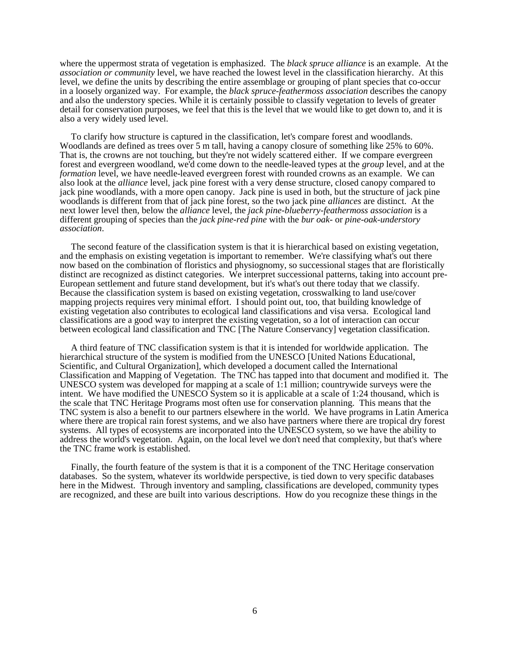where the uppermost strata of vegetation is emphasized. The *black spruce alliance* is an example. At the *association or community* level, we have reached the lowest level in the classification hierarchy. At this level, we define the units by describing the entire assemblage or grouping of plant species that co-occur in a loosely organized way. For example, the *black spruce-feathermoss association* describes the canopy and also the understory species. While it is certainly possible to classify vegetation to levels of greater detail for conservation purposes, we feel that this is the level that we would like to get down to, and it is also a very widely used level.

To clarify how structure is captured in the classification, let's compare forest and woodlands. Woodlands are defined as trees over 5 m tall, having a canopy closure of something like 25% to 60%. That is, the crowns are not touching, but they're not widely scattered either. If we compare evergreen forest and evergreen woodland, we'd come down to the needle-leaved types at the *group* level, and at the *formation* level, we have needle-leaved evergreen forest with rounded crowns as an example. We can also look at the *alliance* level, jack pine forest with a very dense structure, closed canopy compared to jack pine woodlands, with a more open canopy. Jack pine is used in both, but the structure of jack pine woodlands is different from that of jack pine forest, so the two jack pine *alliances* are distinct. At the next lower level then, below the *alliance* level, the *jack pine-blueberry-feathermoss association* is a different grouping of species than the *jack pine-red pine* with the *bur oak-* or *pine-oak-understory association*.

The second feature of the classification system is that it is hierarchical based on existing vegetation, and the emphasis on existing vegetation is important to remember. We're classifying what's out there now based on the combination of floristics and physiognomy, so successional stages that are floristically distinct are recognized as distinct categories. We interpret successional patterns, taking into account pre-European settlement and future stand development, but it's what's out there today that we classify. Because the classification system is based on existing vegetation, crosswalking to land use/cover mapping projects requires very minimal effort. I should point out, too, that building knowledge of existing vegetation also contributes to ecological land classifications and visa versa. Ecological land classifications are a good way to interpret the existing vegetation, so a lot of interaction can occur between ecological land classification and TNC [The Nature Conservancy] vegetation classification.

A third feature of TNC classification system is that it is intended for worldwide application. The hierarchical structure of the system is modified from the UNESCO [United Nations Educational, Scientific, and Cultural Organization], which developed a document called the International Classification and Mapping of Vegetation. The TNC has tapped into that document and modified it. The UNESCO system was developed for mapping at a scale of 1:1 million; countrywide surveys were the intent. We have modified the UNESCO System so it is applicable at a scale of 1:24 thousand, which is the scale that TNC Heritage Programs most often use for conservation planning. This means that the TNC system is also a benefit to our partners elsewhere in the world. We have programs in Latin America where there are tropical rain forest systems, and we also have partners where there are tropical dry forest systems. All types of ecosystems are incorporated into the UNESCO system, so we have the ability to address the world's vegetation. Again, on the local level we don't need that complexity, but that's where the TNC frame work is established.

Finally, the fourth feature of the system is that it is a component of the TNC Heritage conservation databases. So the system, whatever its worldwide perspective, is tied down to very specific databases here in the Midwest. Through inventory and sampling, classifications are developed, community types are recognized, and these are built into various descriptions. How do you recognize these things in the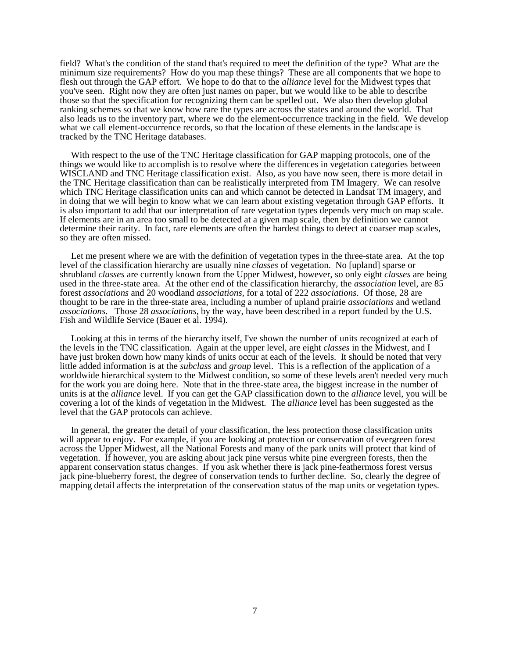field? What's the condition of the stand that's required to meet the definition of the type? What are the minimum size requirements? How do you map these things? These are all components that we hope to flesh out through the GAP effort. We hope to do that to the *alliance* level for the Midwest types that you've seen. Right now they are often just names on paper, but we would like to be able to describe those so that the specification for recognizing them can be spelled out. We also then develop global ranking schemes so that we know how rare the types are across the states and around the world. That also leads us to the inventory part, where we do the element-occurrence tracking in the field. We develop what we call element-occurrence records, so that the location of these elements in the landscape is tracked by the TNC Heritage databases.

With respect to the use of the TNC Heritage classification for GAP mapping protocols, one of the things we would like to accomplish is to resolve where the differences in vegetation categories between WISCLAND and TNC Heritage classification exist. Also, as you have now seen, there is more detail in the TNC Heritage classification than can be realistically interpreted from TM Imagery. We can resolve which TNC Heritage classification units can and which cannot be detected in Landsat TM imagery, and in doing that we will begin to know what we can learn about existing vegetation through GAP efforts. It is also important to add that our interpretation of rare vegetation types depends very much on map scale. If elements are in an area too small to be detected at a given map scale, then by definition we cannot determine their rarity. In fact, rare elements are often the hardest things to detect at coarser map scales, so they are often missed.

Let me present where we are with the definition of vegetation types in the three-state area. At the top level of the classification hierarchy are usually nine *classes* of vegetation. No [upland] sparse or shrubland *classes* are currently known from the Upper Midwest, however, so only eight *classes* are being used in the three-state area. At the other end of the classification hierarchy, the *association* level, are 85 forest *associations* and 20 woodland *associations*, for a total of 222 *associations*. Of those, 28 are thought to be rare in the three-state area, including a number of upland prairie *associations* and wetland *associations*. Those 28 *associations*, by the way, have been described in a report funded by the U.S. Fish and Wildlife Service (Bauer et al. 1994).

Looking at this in terms of the hierarchy itself, I've shown the number of units recognized at each of the levels in the TNC classification. Again at the upper level, are eight *classes* in the Midwest, and I have just broken down how many kinds of units occur at each of the levels. It should be noted that very little added information is at the *subclass* and *group* level. This is a reflection of the application of a worldwide hierarchical system to the Midwest condition, so some of these levels aren't needed very much for the work you are doing here. Note that in the three-state area, the biggest increase in the number of units is at the *alliance* level. If you can get the GAP classification down to the *alliance* level, you will be covering a lot of the kinds of vegetation in the Midwest. The *alliance* level has been suggested as the level that the GAP protocols can achieve.

In general, the greater the detail of your classification, the less protection those classification units will appear to enjoy. For example, if you are looking at protection or conservation of evergreen forest across the Upper Midwest, all the National Forests and many of the park units will protect that kind of vegetation. If however, you are asking about jack pine versus white pine evergreen forests, then the apparent conservation status changes. If you ask whether there is jack pine-feathermoss forest versus jack pine-blueberry forest, the degree of conservation tends to further decline. So, clearly the degree of mapping detail affects the interpretation of the conservation status of the map units or vegetation types.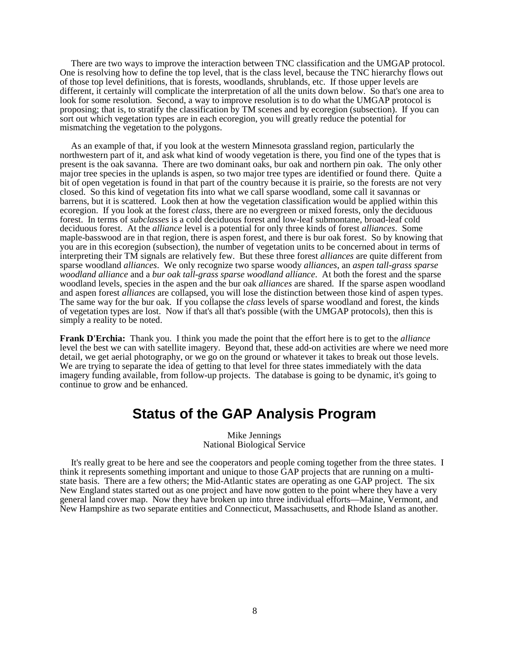There are two ways to improve the interaction between TNC classification and the UMGAP protocol. One is resolving how to define the top level, that is the class level, because the TNC hierarchy flows out of those top level definitions, that is forests, woodlands, shrublands, etc. If those upper levels are different, it certainly will complicate the interpretation of all the units down below. So that's one area to look for some resolution. Second, a way to improve resolution is to do what the UMGAP protocol is proposing; that is, to stratify the classification by TM scenes and by ecoregion (subsection). If you can sort out which vegetation types are in each ecoregion, you will greatly reduce the potential for mismatching the vegetation to the polygons.

As an example of that, if you look at the western Minnesota grassland region, particularly the northwestern part of it, and ask what kind of woody vegetation is there, you find one of the types that is present is the oak savanna. There are two dominant oaks, bur oak and northern pin oak. The only other major tree species in the uplands is aspen, so two major tree types are identified or found there. Quite a bit of open vegetation is found in that part of the country because it is prairie, so the forests are not very closed. So this kind of vegetation fits into what we call sparse woodland, some call it savannas or barrens, but it is scattered. Look then at how the vegetation classification would be applied within this ecoregion. If you look at the forest *class*, there are no evergreen or mixed forests, only the deciduous forest. In terms of *subclasses* is a cold deciduous forest and low-leaf submontane, broad-leaf cold deciduous forest. At the *alliance* level is a potential for only three kinds of forest *alliances*. Some maple-basswood are in that region, there is aspen forest, and there is bur oak forest. So by knowing that you are in this ecoregion (subsection), the number of vegetation units to be concerned about in terms of interpreting their TM signals are relatively few. But these three forest *alliances* are quite different from sparse woodland *alliances*. We only recognize two sparse woody *alliances*, an *aspen tall-grass sparse woodland alliance* and a *bur oak tall-grass sparse woodland alliance*. At both the forest and the sparse woodland levels, species in the aspen and the bur oak *alliances* are shared. If the sparse aspen woodland and aspen forest *alliances* are collapsed, you will lose the distinction between those kind of aspen types. The same way for the bur oak. If you collapse the *class* levels of sparse woodland and forest, the kinds of vegetation types are lost. Now if that's all that's possible (with the UMGAP protocols), then this is simply a reality to be noted.

**Frank D'Erchia:** Thank you. I think you made the point that the effort here is to get to the *alliance* level the best we can with satellite imagery. Beyond that, these add-on activities are where we need more detail, we get aerial photography, or we go on the ground or whatever it takes to break out those levels. We are trying to separate the idea of getting to that level for three states immediately with the data imagery funding available, from follow-up projects. The database is going to be dynamic, it's going to continue to grow and be enhanced.

## **Status of the GAP Analysis Program**

Mike Jennings National Biological Service

It's really great to be here and see the cooperators and people coming together from the three states. I think it represents something important and unique to those GAP projects that are running on a multistate basis. There are a few others; the Mid-Atlantic states are operating as one GAP project. The six New England states started out as one project and have now gotten to the point where they have a very general land cover map. Now they have broken up into three individual efforts—Maine, Vermont, and New Hampshire as two separate entities and Connecticut, Massachusetts, and Rhode Island as another.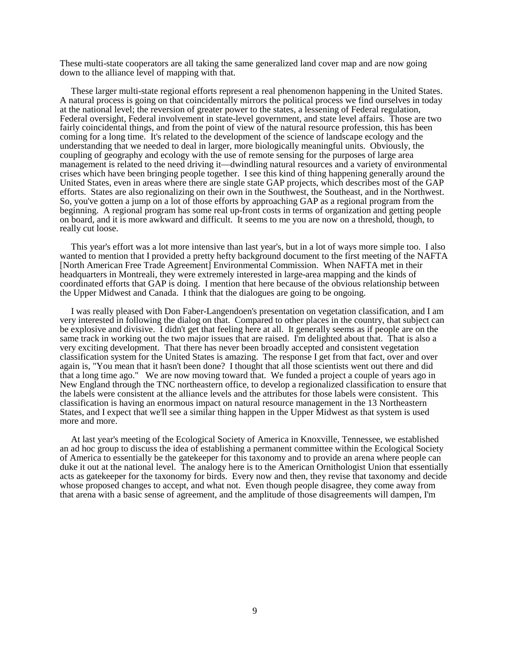These multi-state cooperators are all taking the same generalized land cover map and are now going down to the alliance level of mapping with that.

These larger multi-state regional efforts represent a real phenomenon happening in the United States. A natural process is going on that coincidentally mirrors the political process we find ourselves in today at the national level; the reversion of greater power to the states, a lessening of Federal regulation, Federal oversight, Federal involvement in state-level government, and state level affairs. Those are two fairly coincidental things, and from the point of view of the natural resource profession, this has been coming for a long time. It's related to the development of the science of landscape ecology and the understanding that we needed to deal in larger, more biologically meaningful units. Obviously, the coupling of geography and ecology with the use of remote sensing for the purposes of large area management is related to the need driving it—dwindling natural resources and a variety of environmental crises which have been bringing people together. I see this kind of thing happening generally around the United States, even in areas where there are single state GAP projects, which describes most of the GAP efforts. States are also regionalizing on their own in the Southwest, the Southeast, and in the Northwest. So, you've gotten a jump on a lot of those efforts by approaching GAP as a regional program from the beginning. A regional program has some real up-front costs in terms of organization and getting people on board, and it is more awkward and difficult. It seems to me you are now on a threshold, though, to really cut loose.

This year's effort was a lot more intensive than last year's, but in a lot of ways more simple too. I also wanted to mention that I provided a pretty hefty background document to the first meeting of the NAFTA [North American Free Trade Agreement] Environmental Commission. When NAFTA met in their headquarters in Montreali, they were extremely interested in large-area mapping and the kinds of coordinated efforts that GAP is doing. I mention that here because of the obvious relationship between the Upper Midwest and Canada. I think that the dialogues are going to be ongoing.

I was really pleased with Don Faber-Langendoen's presentation on vegetation classification, and I am very interested in following the dialog on that. Compared to other places in the country, that subject can be explosive and divisive. I didn't get that feeling here at all. It generally seems as if people are on the same track in working out the two major issues that are raised. I'm delighted about that. That is also a very exciting development. That there has never been broadly accepted and consistent vegetation classification system for the United States is amazing. The response I get from that fact, over and over again is, "You mean that it hasn't been done? I thought that all those scientists went out there and did that a long time ago." We are now moving toward that. We funded a project a couple of years ago in New England through the TNC northeastern office, to develop a regionalized classification to ensure that the labels were consistent at the alliance levels and the attributes for those labels were consistent. This classification is having an enormous impact on natural resource management in the 13 Northeastern States, and I expect that we'll see a similar thing happen in the Upper Midwest as that system is used more and more.

At last year's meeting of the Ecological Society of America in Knoxville, Tennessee, we established an ad hoc group to discuss the idea of establishing a permanent committee within the Ecological Society of America to essentially be the gatekeeper for this taxonomy and to provide an arena where people can duke it out at the national level. The analogy here is to the American Ornithologist Union that essentially acts as gatekeeper for the taxonomy for birds. Every now and then, they revise that taxonomy and decide whose proposed changes to accept, and what not. Even though people disagree, they come away from that arena with a basic sense of agreement, and the amplitude of those disagreements will dampen, I'm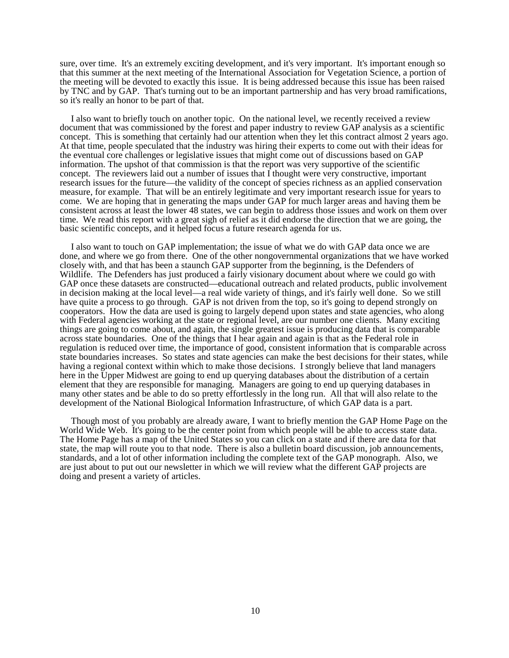sure, over time. It's an extremely exciting development, and it's very important. It's important enough so that this summer at the next meeting of the International Association for Vegetation Science, a portion of the meeting will be devoted to exactly this issue. It is being addressed because this issue has been raised by TNC and by GAP. That's turning out to be an important partnership and has very broad ramifications, so it's really an honor to be part of that.

I also want to briefly touch on another topic. On the national level, we recently received a review document that was commissioned by the forest and paper industry to review GAP analysis as a scientific concept. This is something that certainly had our attention when they let this contract almost 2 years ago. At that time, people speculated that the industry was hiring their experts to come out with their ideas for the eventual core challenges or legislative issues that might come out of discussions based on GAP information. The upshot of that commission is that the report was very supportive of the scientific concept. The reviewers laid out a number of issues that  $\overline{I}$  thought were very constructive, important research issues for the future—the validity of the concept of species richness as an applied conservation measure, for example. That will be an entirely legitimate and very important research issue for years to come. We are hoping that in generating the maps under GAP for much larger areas and having them be consistent across at least the lower 48 states, we can begin to address those issues and work on them over time. We read this report with a great sigh of relief as it did endorse the direction that we are going, the basic scientific concepts, and it helped focus a future research agenda for us.

I also want to touch on GAP implementation; the issue of what we do with GAP data once we are done, and where we go from there. One of the other nongovernmental organizations that we have worked closely with, and that has been a staunch GAP supporter from the beginning, is the Defenders of Wildlife. The Defenders has just produced a fairly visionary document about where we could go with GAP once these datasets are constructed—educational outreach and related products, public involvement in decision making at the local level—a real wide variety of things, and it's fairly well done. So we still have quite a process to go through. GAP is not driven from the top, so it's going to depend strongly on cooperators. How the data are used is going to largely depend upon states and state agencies, who along with Federal agencies working at the state or regional level, are our number one clients. Many exciting things are going to come about, and again, the single greatest issue is producing data that is comparable across state boundaries. One of the things that I hear again and again is that as the Federal role in regulation is reduced over time, the importance of good, consistent information that is comparable across state boundaries increases. So states and state agencies can make the best decisions for their states, while having a regional context within which to make those decisions. I strongly believe that land managers here in the Upper Midwest are going to end up querying databases about the distribution of a certain element that they are responsible for managing. Managers are going to end up querying databases in many other states and be able to do so pretty effortlessly in the long run. All that will also relate to the development of the National Biological Information Infrastructure, of which GAP data is a part.

Though most of you probably are already aware, I want to briefly mention the GAP Home Page on the World Wide Web. It's going to be the center point from which people will be able to access state data. The Home Page has a map of the United States so you can click on a state and if there are data for that state, the map will route you to that node. There is also a bulletin board discussion, job announcements, standards, and a lot of other information including the complete text of the GAP monograph. Also, we are just about to put out our newsletter in which we will review what the different GAP projects are doing and present a variety of articles.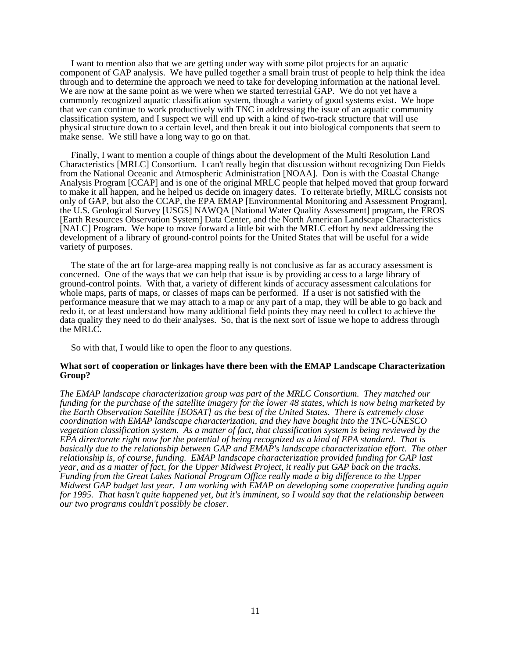I want to mention also that we are getting under way with some pilot projects for an aquatic component of GAP analysis. We have pulled together a small brain trust of people to help think the idea through and to determine the approach we need to take for developing information at the national level. We are now at the same point as we were when we started terrestrial GAP. We do not yet have a commonly recognized aquatic classification system, though a variety of good systems exist. We hope that we can continue to work productively with TNC in addressing the issue of an aquatic community classification system, and I suspect we will end up with a kind of two-track structure that will use physical structure down to a certain level, and then break it out into biological components that seem to make sense. We still have a long way to go on that.

Finally, I want to mention a couple of things about the development of the Multi Resolution Land Characteristics [MRLC] Consortium. I can't really begin that discussion without recognizing Don Fields from the National Oceanic and Atmospheric Administration [NOAA]. Don is with the Coastal Change Analysis Program [CCAP] and is one of the original MRLC people that helped moved that group forward to make it all happen, and he helped us decide on imagery dates. To reiterate briefly, MRLC consists not only of GAP, but also the CCAP, the EPA EMAP [Environmental Monitoring and Assessment Program], the U.S. Geological Survey [USGS] NAWQA [National Water Quality Assessment] program, the EROS [Earth Resources Observation System] Data Center, and the North American Landscape Characteristics [NALC] Program. We hope to move forward a little bit with the MRLC effort by next addressing the development of a library of ground-control points for the United States that will be useful for a wide variety of purposes.

The state of the art for large-area mapping really is not conclusive as far as accuracy assessment is concerned. One of the ways that we can help that issue is by providing access to a large library of ground-control points. With that, a variety of different kinds of accuracy assessment calculations for whole maps, parts of maps, or classes of maps can be performed. If a user is not satisfied with the performance measure that we may attach to a map or any part of a map, they will be able to go back and redo it, or at least understand how many additional field points they may need to collect to achieve the data quality they need to do their analyses. So, that is the next sort of issue we hope to address through the MRLC.

So with that, I would like to open the floor to any questions.

### **What sort of cooperation or linkages have there been with the EMAP Landscape Characterization Group?**

*The EMAP landscape characterization group was part of the MRLC Consortium. They matched our funding for the purchase of the satellite imagery for the lower 48 states, which is now being marketed by the Earth Observation Satellite [EOSAT] as the best of the United States. There is extremely close coordination with EMAP landscape characterization, and they have bought into the TNC-UNESCO vegetation classification system. As a matter of fact, that classification system is being reviewed by the EPA directorate right now for the potential of being recognized as a kind of EPA standard. That is basically due to the relationship between GAP and EMAP's landscape characterization effort. The other relationship is, of course, funding. EMAP landscape characterization provided funding for GAP last year, and as a matter of fact, for the Upper Midwest Project, it really put GAP back on the tracks. Funding from the Great Lakes National Program Office really made a big difference to the Upper Midwest GAP budget last year. I am working with EMAP on developing some cooperative funding again for 1995. That hasn't quite happened yet, but it's imminent, so I would say that the relationship between our two programs couldn't possibly be closer.*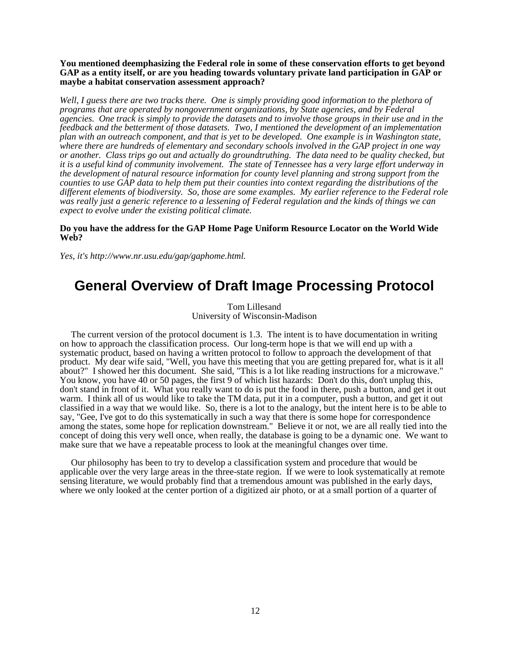**You mentioned deemphasizing the Federal role in some of these conservation efforts to get beyond GAP as a entity itself, or are you heading towards voluntary private land participation in GAP or maybe a habitat conservation assessment approach?**

*Well, I guess there are two tracks there. One is simply providing good information to the plethora of programs that are operated by nongovernment organizations, by State agencies, and by Federal agencies. One track is simply to provide the datasets and to involve those groups in their use and in the feedback and the betterment of those datasets. Two, I mentioned the development of an implementation plan with an outreach component, and that is yet to be developed. One example is in Washington state, where there are hundreds of elementary and secondary schools involved in the GAP project in one way or another. Class trips go out and actually do groundtruthing. The data need to be quality checked, but it is a useful kind of community involvement. The state of Tennessee has a very large effort underway in the development of natural resource information for county level planning and strong support from the counties to use GAP data to help them put their counties into context regarding the distributions of the different elements of biodiversity. So, those are some examples. My earlier reference to the Federal role was really just a generic reference to a lessening of Federal regulation and the kinds of things we can expect to evolve under the existing political climate.*

### **Do you have the address for the GAP Home Page Uniform Resource Locator on the World Wide Web?**

*Yes, it's http://www.nr.usu.edu/gap/gaphome.html.*

## **General Overview of Draft Image Processing Protocol**

Tom Lillesand University of Wisconsin-Madison

The current version of the protocol document is 1.3. The intent is to have documentation in writing on how to approach the classification process. Our long-term hope is that we will end up with a systematic product, based on having a written protocol to follow to approach the development of that product. My dear wife said, "Well, you have this meeting that you are getting prepared for, what is it all about?" I showed her this document. She said, "This is a lot like reading instructions for a microwave." You know, you have 40 or 50 pages, the first 9 of which list hazards: Don't do this, don't unplug this, don't stand in front of it. What you really want to do is put the food in there, push a button, and get it out warm. I think all of us would like to take the TM data, put it in a computer, push a button, and get it out classified in a way that we would like. So, there is a lot to the analogy, but the intent here is to be able to say, "Gee, I've got to do this systematically in such a way that there is some hope for correspondence among the states, some hope for replication downstream." Believe it or not, we are all really tied into the concept of doing this very well once, when really, the database is going to be a dynamic one. We want to make sure that we have a repeatable process to look at the meaningful changes over time.

Our philosophy has been to try to develop a classification system and procedure that would be applicable over the very large areas in the three-state region. If we were to look systematically at remote sensing literature, we would probably find that a tremendous amount was published in the early days, where we only looked at the center portion of a digitized air photo, or at a small portion of a quarter of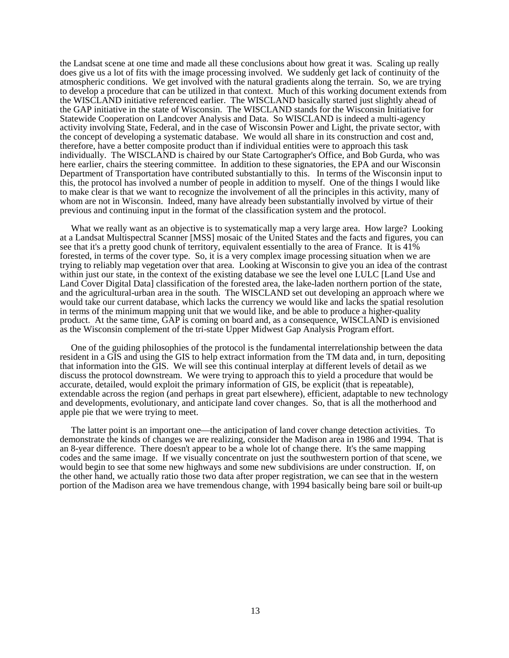the Landsat scene at one time and made all these conclusions about how great it was. Scaling up really does give us a lot of fits with the image processing involved. We suddenly get lack of continuity of the atmospheric conditions. We get involved with the natural gradients along the terrain. So, we are trying to develop a procedure that can be utilized in that context. Much of this working document extends from the WISCLAND initiative referenced earlier. The WISCLAND basically started just slightly ahead of the GAP initiative in the state of Wisconsin. The WISCLAND stands for the Wisconsin Initiative for Statewide Cooperation on Landcover Analysis and Data. So WISCLAND is indeed a multi-agency activity involving State, Federal, and in the case of Wisconsin Power and Light, the private sector, with the concept of developing a systematic database. We would all share in its construction and cost and, therefore, have a better composite product than if individual entities were to approach this task individually. The WISCLAND is chaired by our State Cartographer's Office, and Bob Gurda, who was here earlier, chairs the steering committee. In addition to these signatories, the EPA and our Wisconsin Department of Transportation have contributed substantially to this. In terms of the Wisconsin input to this, the protocol has involved a number of people in addition to myself. One of the things I would like to make clear is that we want to recognize the involvement of all the principles in this activity, many of whom are not in Wisconsin. Indeed, many have already been substantially involved by virtue of their previous and continuing input in the format of the classification system and the protocol.

What we really want as an objective is to systematically map a very large area. How large? Looking at a Landsat Multispectral Scanner [MSS] mosaic of the United States and the facts and figures, you can see that it's a pretty good chunk of territory, equivalent essentially to the area of France. It is 41% forested, in terms of the cover type. So, it is a very complex image processing situation when we are trying to reliably map vegetation over that area. Looking at Wisconsin to give you an idea of the contrast within just our state, in the context of the existing database we see the level one LULC [Land Use and Land Cover Digital Data] classification of the forested area, the lake-laden northern portion of the state, and the agricultural-urban area in the south. The WISCLAND set out developing an approach where we would take our current database, which lacks the currency we would like and lacks the spatial resolution in terms of the minimum mapping unit that we would like, and be able to produce a higher-quality product. At the same time, GAP is coming on board and, as a consequence, WISCLAND is envisioned as the Wisconsin complement of the tri-state Upper Midwest Gap Analysis Program effort.

One of the guiding philosophies of the protocol is the fundamental interrelationship between the data resident in a GIS and using the GIS to help extract information from the TM data and, in turn, depositing that information into the GIS. We will see this continual interplay at different levels of detail as we discuss the protocol downstream. We were trying to approach this to yield a procedure that would be accurate, detailed, would exploit the primary information of GIS, be explicit (that is repeatable), extendable across the region (and perhaps in great part elsewhere), efficient, adaptable to new technology and developments, evolutionary, and anticipate land cover changes. So, that is all the motherhood and apple pie that we were trying to meet.

The latter point is an important one—the anticipation of land cover change detection activities. To demonstrate the kinds of changes we are realizing, consider the Madison area in 1986 and 1994. That is an 8-year difference. There doesn't appear to be a whole lot of change there. It's the same mapping codes and the same image. If we visually concentrate on just the southwestern portion of that scene, we would begin to see that some new highways and some new subdivisions are under construction. If, on the other hand, we actually ratio those two data after proper registration, we can see that in the western portion of the Madison area we have tremendous change, with 1994 basically being bare soil or built-up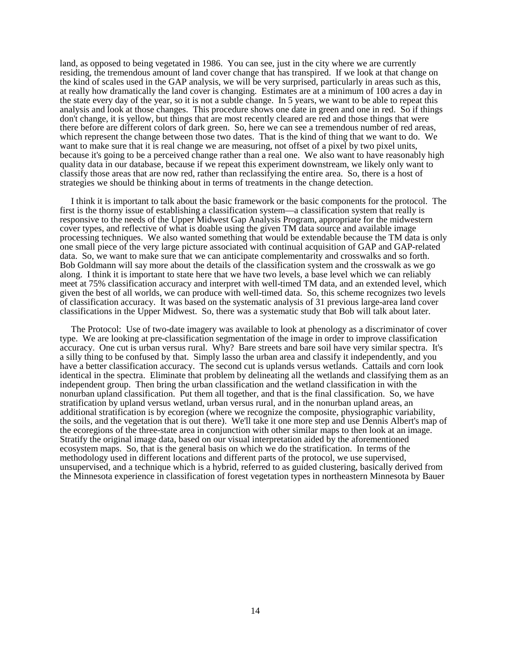land, as opposed to being vegetated in 1986. You can see, just in the city where we are currently residing, the tremendous amount of land cover change that has transpired. If we look at that change on the kind of scales used in the GAP analysis, we will be very surprised, particularly in areas such as this, at really how dramatically the land cover is changing. Estimates are at a minimum of 100 acres a day in the state every day of the year, so it is not a subtle change. In 5 years, we want to be able to repeat this analysis and look at those changes. This procedure shows one date in green and one in red. So if things don't change, it is yellow, but things that are most recently cleared are red and those things that were there before are different colors of dark green. So, here we can see a tremendous number of red areas, which represent the change between those two dates. That is the kind of thing that we want to do. We want to make sure that it is real change we are measuring, not offset of a pixel by two pixel units, because it's going to be a perceived change rather than a real one. We also want to have reasonably high quality data in our database, because if we repeat this experiment downstream, we likely only want to classify those areas that are now red, rather than reclassifying the entire area. So, there is a host of strategies we should be thinking about in terms of treatments in the change detection.

I think it is important to talk about the basic framework or the basic components for the protocol. The first is the thorny issue of establishing a classification system—a classification system that really is responsive to the needs of the Upper Midwest Gap Analysis Program, appropriate for the midwestern cover types, and reflective of what is doable using the given TM data source and available image processing techniques. We also wanted something that would be extendable because the TM data is only one small piece of the very large picture associated with continual acquisition of GAP and GAP-related data. So, we want to make sure that we can anticipate complementarity and crosswalks and so forth. Bob Goldmann will say more about the details of the classification system and the crosswalk as we go along. I think it is important to state here that we have two levels, a base level which we can reliably meet at 75% classification accuracy and interpret with well-timed TM data, and an extended level, which given the best of all worlds, we can produce with well-timed data. So, this scheme recognizes two levels of classification accuracy. It was based on the systematic analysis of 31 previous large-area land cover classifications in the Upper Midwest. So, there was a systematic study that Bob will talk about later.

The Protocol: Use of two-date imagery was available to look at phenology as a discriminator of cover type. We are looking at pre-classification segmentation of the image in order to improve classification accuracy. One cut is urban versus rural. Why? Bare streets and bare soil have very similar spectra. It's a silly thing to be confused by that. Simply lasso the urban area and classify it independently, and you have a better classification accuracy. The second cut is uplands versus wetlands. Cattails and corn look identical in the spectra. Eliminate that problem by delineating all the wetlands and classifying them as an independent group. Then bring the urban classification and the wetland classification in with the nonurban upland classification. Put them all together, and that is the final classification. So, we have stratification by upland versus wetland, urban versus rural, and in the nonurban upland areas, an additional stratification is by ecoregion (where we recognize the composite, physiographic variability, the soils, and the vegetation that is out there). We'll take it one more step and use Dennis Albert's map of the ecoregions of the three-state area in conjunction with other similar maps to then look at an image. Stratify the original image data, based on our visual interpretation aided by the aforementioned ecosystem maps. So, that is the general basis on which we do the stratification. In terms of the methodology used in different locations and different parts of the protocol, we use supervised, unsupervised, and a technique which is a hybrid, referred to as guided clustering, basically derived from the Minnesota experience in classification of forest vegetation types in northeastern Minnesota by Bauer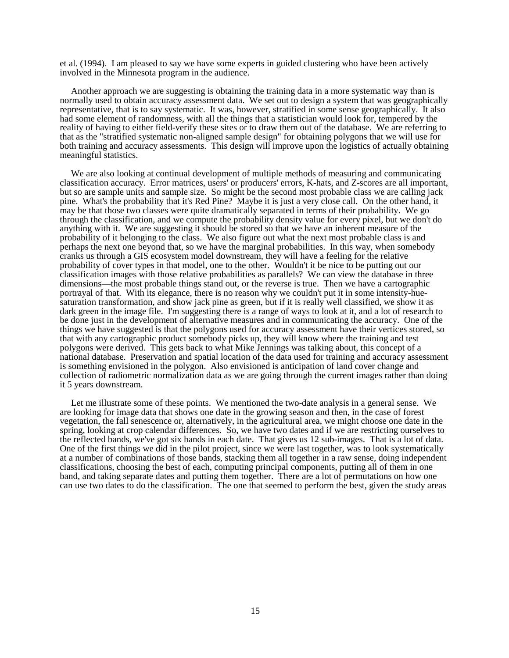et al. (1994). I am pleased to say we have some experts in guided clustering who have been actively involved in the Minnesota program in the audience.

Another approach we are suggesting is obtaining the training data in a more systematic way than is normally used to obtain accuracy assessment data. We set out to design a system that was geographically representative, that is to say systematic. It was, however, stratified in some sense geographically. It also had some element of randomness, with all the things that a statistician would look for, tempered by the reality of having to either field-verify these sites or to draw them out of the database. We are referring to that as the "stratified systematic non-aligned sample design" for obtaining polygons that we will use for both training and accuracy assessments. This design will improve upon the logistics of actually obtaining meaningful statistics.

We are also looking at continual development of multiple methods of measuring and communicating classification accuracy. Error matrices, users' or producers' errors, K-hats, and Z-scores are all important, but so are sample units and sample size. So might be the second most probable class we are calling jack pine. What's the probability that it's Red Pine? Maybe it is just a very close call. On the other hand, it may be that those two classes were quite dramatically separated in terms of their probability. We go through the classification, and we compute the probability density value for every pixel, but we don't do anything with it. We are suggesting it should be stored so that we have an inherent measure of the probability of it belonging to the class. We also figure out what the next most probable class is and perhaps the next one beyond that, so we have the marginal probabilities. In this way, when somebody cranks us through a GIS ecosystem model downstream, they will have a feeling for the relative probability of cover types in that model, one to the other. Wouldn't it be nice to be putting out our classification images with those relative probabilities as parallels? We can view the database in three dimensions—the most probable things stand out, or the reverse is true. Then we have a cartographic portrayal of that. With its elegance, there is no reason why we couldn't put it in some intensity-huesaturation transformation, and show jack pine as green, but if it is really well classified, we show it as dark green in the image file. I'm suggesting there is a range of ways to look at it, and a lot of research to be done just in the development of alternative measures and in communicating the accuracy. One of the things we have suggested is that the polygons used for accuracy assessment have their vertices stored, so that with any cartographic product somebody picks up, they will know where the training and test polygons were derived. This gets back to what Mike Jennings was talking about, this concept of a national database. Preservation and spatial location of the data used for training and accuracy assessment is something envisioned in the polygon. Also envisioned is anticipation of land cover change and collection of radiometric normalization data as we are going through the current images rather than doing it 5 years downstream.

Let me illustrate some of these points. We mentioned the two-date analysis in a general sense. We are looking for image data that shows one date in the growing season and then, in the case of forest vegetation, the fall senescence or, alternatively, in the agricultural area, we might choose one date in the spring, looking at crop calendar differences. So, we have two dates and if we are restricting ourselves to the reflected bands, we've got six bands in each date. That gives us 12 sub-images. That is a lot of data. One of the first things we did in the pilot project, since we were last together, was to look systematically at a number of combinations of those bands, stacking them all together in a raw sense, doing independent classifications, choosing the best of each, computing principal components, putting all of them in one band, and taking separate dates and putting them together. There are a lot of permutations on how one can use two dates to do the classification. The one that seemed to perform the best, given the study areas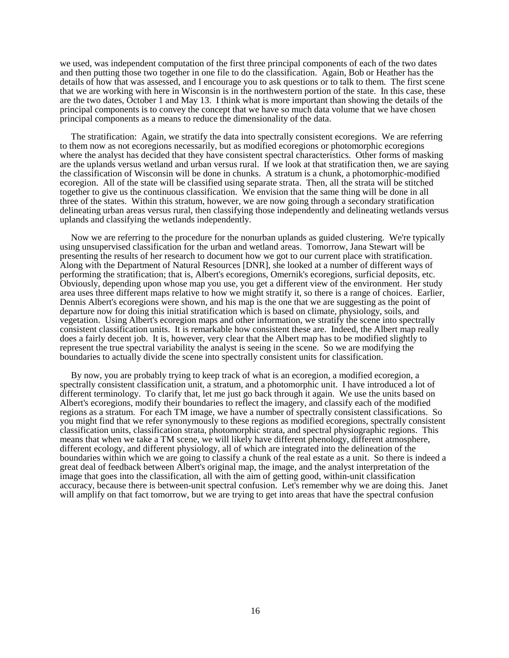we used, was independent computation of the first three principal components of each of the two dates and then putting those two together in one file to do the classification. Again, Bob or Heather has the details of how that was assessed, and I encourage you to ask questions or to talk to them. The first scene that we are working with here in Wisconsin is in the northwestern portion of the state. In this case, these are the two dates, October 1 and May 13. I think what is more important than showing the details of the principal components is to convey the concept that we have so much data volume that we have chosen principal components as a means to reduce the dimensionality of the data.

The stratification: Again, we stratify the data into spectrally consistent ecoregions. We are referring to them now as not ecoregions necessarily, but as modified ecoregions or photomorphic ecoregions where the analyst has decided that they have consistent spectral characteristics. Other forms of masking are the uplands versus wetland and urban versus rural. If we look at that stratification then, we are saying the classification of Wisconsin will be done in chunks. A stratum is a chunk, a photomorphic-modified ecoregion. All of the state will be classified using separate strata. Then, all the strata will be stitched together to give us the continuous classification. We envision that the same thing will be done in all three of the states. Within this stratum, however, we are now going through a secondary stratification delineating urban areas versus rural, then classifying those independently and delineating wetlands versus uplands and classifying the wetlands independently.

Now we are referring to the procedure for the nonurban uplands as guided clustering. We're typically using unsupervised classification for the urban and wetland areas. Tomorrow, Jana Stewart will be presenting the results of her research to document how we got to our current place with stratification. Along with the Department of Natural Resources [DNR], she looked at a number of different ways of performing the stratification; that is, Albert's ecoregions, Omernik's ecoregions, surficial deposits, etc. Obviously, depending upon whose map you use, you get a different view of the environment. Her study area uses three different maps relative to how we might stratify it, so there is a range of choices. Earlier, Dennis Albert's ecoregions were shown, and his map is the one that we are suggesting as the point of departure now for doing this initial stratification which is based on climate, physiology, soils, and vegetation. Using Albert's ecoregion maps and other information, we stratify the scene into spectrally consistent classification units. It is remarkable how consistent these are. Indeed, the Albert map really does a fairly decent job. It is, however, very clear that the Albert map has to be modified slightly to represent the true spectral variability the analyst is seeing in the scene. So we are modifying the boundaries to actually divide the scene into spectrally consistent units for classification.

By now, you are probably trying to keep track of what is an ecoregion, a modified ecoregion, a spectrally consistent classification unit, a stratum, and a photomorphic unit. I have introduced a lot of different terminology. To clarify that, let me just go back through it again. We use the units based on Albert's ecoregions, modify their boundaries to reflect the imagery, and classify each of the modified regions as a stratum. For each TM image, we have a number of spectrally consistent classifications. So you might find that we refer synonymously to these regions as modified ecoregions, spectrally consistent classification units, classification strata, photomorphic strata, and spectral physiographic regions. This means that when we take a TM scene, we will likely have different phenology, different atmosphere, different ecology, and different physiology, all of which are integrated into the delineation of the boundaries within which we are going to classify a chunk of the real estate as a unit. So there is indeed a great deal of feedback between Albert's original map, the image, and the analyst interpretation of the image that goes into the classification, all with the aim of getting good, within-unit classification accuracy, because there is between-unit spectral confusion. Let's remember why we are doing this. Janet will amplify on that fact tomorrow, but we are trying to get into areas that have the spectral confusion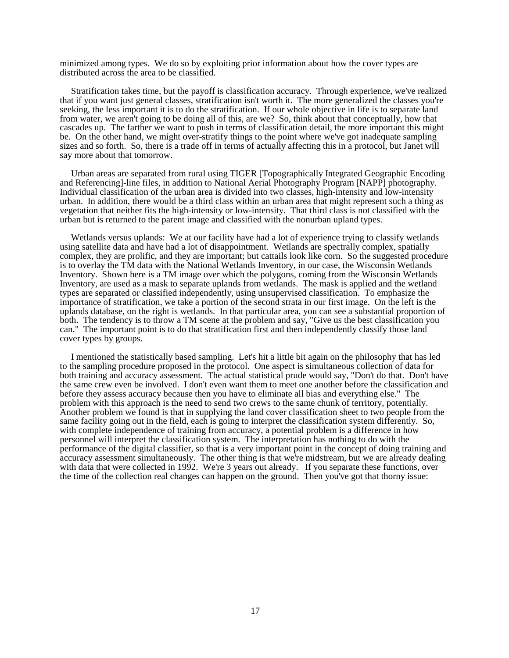minimized among types. We do so by exploiting prior information about how the cover types are distributed across the area to be classified.

Stratification takes time, but the payoff is classification accuracy. Through experience, we've realized that if you want just general classes, stratification isn't worth it. The more generalized the classes you're seeking, the less important it is to do the stratification. If our whole objective in life is to separate land from water, we aren't going to be doing all of this, are we? So, think about that conceptually, how that cascades up. The farther we want to push in terms of classification detail, the more important this might be. On the other hand, we might over-stratify things to the point where we've got inadequate sampling sizes and so forth. So, there is a trade off in terms of actually affecting this in a protocol, but Janet will say more about that tomorrow.

Urban areas are separated from rural using TIGER [Topographically Integrated Geographic Encoding and Referencing]-line files, in addition to National Aerial Photography Program [NAPP] photography. Individual classification of the urban area is divided into two classes, high-intensity and low-intensity urban. In addition, there would be a third class within an urban area that might represent such a thing as vegetation that neither fits the high-intensity or low-intensity. That third class is not classified with the urban but is returned to the parent image and classified with the nonurban upland types.

Wetlands versus uplands: We at our facility have had a lot of experience trying to classify wetlands using satellite data and have had a lot of disappointment. Wetlands are spectrally complex, spatially complex, they are prolific, and they are important; but cattails look like corn. So the suggested procedure is to overlay the TM data with the National Wetlands Inventory, in our case, the Wisconsin Wetlands Inventory. Shown here is a TM image over which the polygons, coming from the Wisconsin Wetlands Inventory, are used as a mask to separate uplands from wetlands. The mask is applied and the wetland types are separated or classified independently, using unsupervised classification. To emphasize the importance of stratification, we take a portion of the second strata in our first image. On the left is the uplands database, on the right is wetlands. In that particular area, you can see a substantial proportion of both. The tendency is to throw a TM scene at the problem and say, "Give us the best classification you can." The important point is to do that stratification first and then independently classify those land cover types by groups.

I mentioned the statistically based sampling. Let's hit a little bit again on the philosophy that has led to the sampling procedure proposed in the protocol. One aspect is simultaneous collection of data for both training and accuracy assessment. The actual statistical prude would say, "Don't do that. Don't have the same crew even be involved. I don't even want them to meet one another before the classification and before they assess accuracy because then you have to eliminate all bias and everything else." The problem with this approach is the need to send two crews to the same chunk of territory, potentially. Another problem we found is that in supplying the land cover classification sheet to two people from the same facility going out in the field, each is going to interpret the classification system differently. So, with complete independence of training from accuracy, a potential problem is a difference in how personnel will interpret the classification system. The interpretation has nothing to do with the performance of the digital classifier, so that is a very important point in the concept of doing training and accuracy assessment simultaneously. The other thing is that we're midstream, but we are already dealing with data that were collected in 1992. We're 3 years out already. If you separate these functions, over the time of the collection real changes can happen on the ground. Then you've got that thorny issue: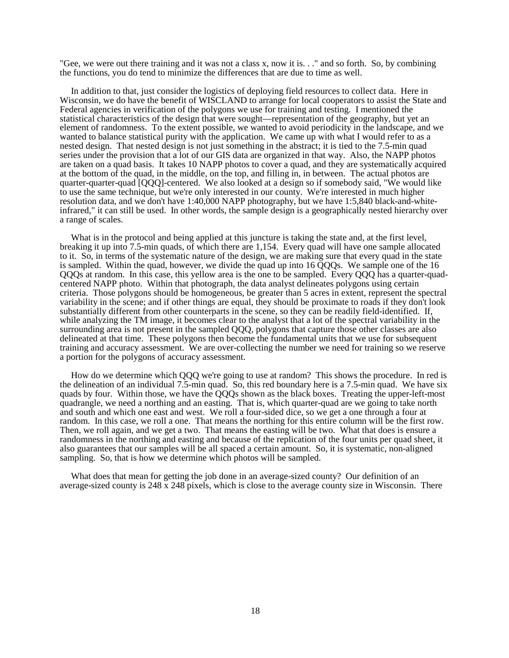"Gee, we were out there training and it was not a class x, now it is. . ." and so forth. So, by combining the functions, you do tend to minimize the differences that are due to time as well.

In addition to that, just consider the logistics of deploying field resources to collect data. Here in Wisconsin, we do have the benefit of WISCLAND to arrange for local cooperators to assist the State and Federal agencies in verification of the polygons we use for training and testing. I mentioned the statistical characteristics of the design that were sought—representation of the geography, but yet an element of randomness. To the extent possible, we wanted to avoid periodicity in the landscape, and we wanted to balance statistical purity with the application. We came up with what I would refer to as a nested design. That nested design is not just something in the abstract; it is tied to the 7.5-min quad series under the provision that a lot of our GIS data are organized in that way. Also, the NAPP photos are taken on a quad basis. It takes 10 NAPP photos to cover a quad, and they are systematically acquired at the bottom of the quad, in the middle, on the top, and filling in, in between. The actual photos are quarter-quarter-quad [QQQ]-centered. We also looked at a design so if somebody said, "We would like to use the same technique, but we're only interested in our county. We're interested in much higher resolution data, and we don't have 1:40,000 NAPP photography, but we have 1:5,840 black-and-whiteinfrared," it can still be used. In other words, the sample design is a geographically nested hierarchy over a range of scales.

What is in the protocol and being applied at this juncture is taking the state and, at the first level, breaking it up into 7.5-min quads, of which there are 1,154. Every quad will have one sample allocated to it. So, in terms of the systematic nature of the design, we are making sure that every quad in the state is sampled. Within the quad, however, we divide the quad up into 16 QQQs. We sample one of the 16 QQQs at random. In this case, this yellow area is the one to be sampled. Every QQQ has a quarter-quadcentered NAPP photo. Within that photograph, the data analyst delineates polygons using certain criteria. Those polygons should be homogeneous, be greater than 5 acres in extent, represent the spectral variability in the scene; and if other things are equal, they should be proximate to roads if they don't look substantially different from other counterparts in the scene, so they can be readily field-identified. If, while analyzing the TM image, it becomes clear to the analyst that a lot of the spectral variability in the surrounding area is not present in the sampled QQQ, polygons that capture those other classes are also delineated at that time. These polygons then become the fundamental units that we use for subsequent training and accuracy assessment. We are over-collecting the number we need for training so we reserve a portion for the polygons of accuracy assessment.

How do we determine which QQQ we're going to use at random? This shows the procedure. In red is the delineation of an individual 7.5-min quad. So, this red boundary here is a 7.5-min quad. We have six quads by four. Within those, we have the QQQs shown as the black boxes. Treating the upper-left-most quadrangle, we need a northing and an easting. That is, which quarter-quad are we going to take north and south and which one east and west. We roll a four-sided dice, so we get a one through a four at random. In this case, we roll a one. That means the northing for this entire column will be the first row. Then, we roll again, and we get a two. That means the easting will be two. What that does is ensure a randomness in the northing and easting and because of the replication of the four units per quad sheet, it also guarantees that our samples will be all spaced a certain amount. So, it is systematic, non-aligned sampling. So, that is how we determine which photos will be sampled.

What does that mean for getting the job done in an average-sized county? Our definition of an average-sized county is 248 x 248 pixels, which is close to the average county size in Wisconsin. There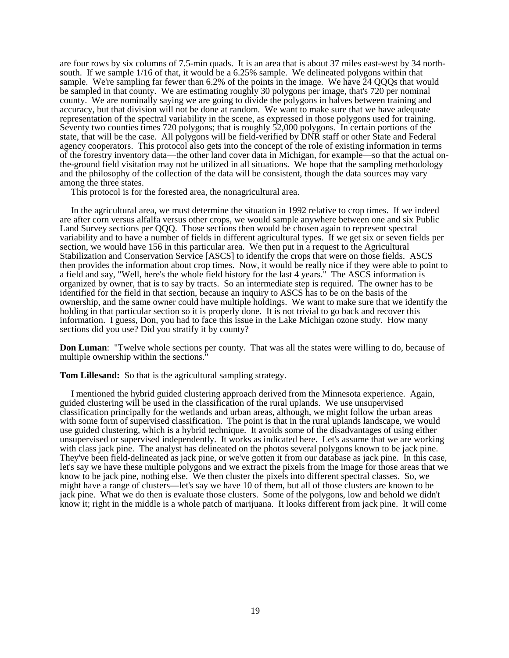are four rows by six columns of 7.5-min quads. It is an area that is about 37 miles east-west by 34 northsouth. If we sample 1/16 of that, it would be a 6.25% sample. We delineated polygons within that sample. We're sampling far fewer than 6.2% of the points in the image. We have 24 QQQs that would be sampled in that county. We are estimating roughly 30 polygons per image, that's 720 per nominal county. We are nominally saying we are going to divide the polygons in halves between training and accuracy, but that division will not be done at random. We want to make sure that we have adequate representation of the spectral variability in the scene, as expressed in those polygons used for training. Seventy two counties times 720 polygons; that is roughly 52,000 polygons. In certain portions of the state, that will be the case. All polygons will be field-verified by DNR staff or other State and Federal agency cooperators. This protocol also gets into the concept of the role of existing information in terms of the forestry inventory data—the other land cover data in Michigan, for example—so that the actual onthe-ground field visitation may not be utilized in all situations. We hope that the sampling methodology and the philosophy of the collection of the data will be consistent, though the data sources may vary among the three states.

This protocol is for the forested area, the nonagricultural area.

In the agricultural area, we must determine the situation in 1992 relative to crop times. If we indeed are after corn versus alfalfa versus other crops, we would sample anywhere between one and six Public Land Survey sections per QQQ. Those sections then would be chosen again to represent spectral variability and to have a number of fields in different agricultural types. If we get six or seven fields per section, we would have 156 in this particular area. We then put in a request to the Agricultural Stabilization and Conservation Service [ASCS] to identify the crops that were on those fields. ASCS then provides the information about crop times. Now, it would be really nice if they were able to point to a field and say, "Well, here's the whole field history for the last 4 years." The ASCS information is organized by owner, that is to say by tracts. So an intermediate step is required. The owner has to be identified for the field in that section, because an inquiry to ASCS has to be on the basis of the ownership, and the same owner could have multiple holdings. We want to make sure that we identify the holding in that particular section so it is properly done. It is not trivial to go back and recover this information. I guess, Don, you had to face this issue in the Lake Michigan ozone study. How many sections did you use? Did you stratify it by county?

**Don Luman**: "Twelve whole sections per county. That was all the states were willing to do, because of multiple ownership within the sections."

**Tom Lillesand:** So that is the agricultural sampling strategy.

I mentioned the hybrid guided clustering approach derived from the Minnesota experience. Again, guided clustering will be used in the classification of the rural uplands. We use unsupervised classification principally for the wetlands and urban areas, although, we might follow the urban areas with some form of supervised classification. The point is that in the rural uplands landscape, we would use guided clustering, which is a hybrid technique. It avoids some of the disadvantages of using either unsupervised or supervised independently. It works as indicated here. Let's assume that we are working with class jack pine. The analyst has delineated on the photos several polygons known to be jack pine. They've been field-delineated as jack pine, or we've gotten it from our database as jack pine. In this case, let's say we have these multiple polygons and we extract the pixels from the image for those areas that we know to be jack pine, nothing else. We then cluster the pixels into different spectral classes. So, we might have a range of clusters—let's say we have 10 of them, but all of those clusters are known to be jack pine. What we do then is evaluate those clusters. Some of the polygons, low and behold we didn't know it; right in the middle is a whole patch of marijuana. It looks different from jack pine. It will come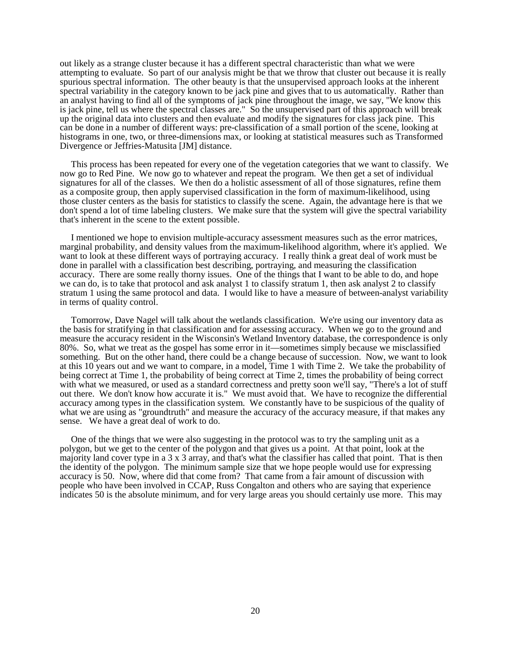out likely as a strange cluster because it has a different spectral characteristic than what we were attempting to evaluate. So part of our analysis might be that we throw that cluster out because it is really spurious spectral information. The other beauty is that the unsupervised approach looks at the inherent spectral variability in the category known to be jack pine and gives that to us automatically. Rather than an analyst having to find all of the symptoms of jack pine throughout the image, we say, "We know this is jack pine, tell us where the spectral classes are." So the unsupervised part of this approach will break up the original data into clusters and then evaluate and modify the signatures for class jack pine. This can be done in a number of different ways: pre-classification of a small portion of the scene, looking at histograms in one, two, or three-dimensions max, or looking at statistical measures such as Transformed Divergence or Jeffries-Matusita [JM] distance.

This process has been repeated for every one of the vegetation categories that we want to classify. We now go to Red Pine. We now go to whatever and repeat the program. We then get a set of individual signatures for all of the classes. We then do a holistic assessment of all of those signatures, refine them as a composite group, then apply supervised classification in the form of maximum-likelihood, using those cluster centers as the basis for statistics to classify the scene. Again, the advantage here is that we don't spend a lot of time labeling clusters. We make sure that the system will give the spectral variability that's inherent in the scene to the extent possible.

I mentioned we hope to envision multiple-accuracy assessment measures such as the error matrices, marginal probability, and density values from the maximum-likelihood algorithm, where it's applied. We want to look at these different ways of portraying accuracy. I really think a great deal of work must be done in parallel with a classification best describing, portraying, and measuring the classification accuracy. There are some really thorny issues. One of the things that I want to be able to do, and hope we can do, is to take that protocol and ask analyst 1 to classify stratum 1, then ask analyst 2 to classify stratum 1 using the same protocol and data. I would like to have a measure of between-analyst variability in terms of quality control.

Tomorrow, Dave Nagel will talk about the wetlands classification. We're using our inventory data as the basis for stratifying in that classification and for assessing accuracy. When we go to the ground and measure the accuracy resident in the Wisconsin's Wetland Inventory database, the correspondence is only 80%. So, what we treat as the gospel has some error in it—sometimes simply because we misclassified something. But on the other hand, there could be a change because of succession. Now, we want to look at this 10 years out and we want to compare, in a model, Time 1 with Time 2. We take the probability of being correct at Time 1, the probability of being correct at Time 2, times the probability of being correct with what we measured, or used as a standard correctness and pretty soon we'll say, "There's a lot of stuff out there. We don't know how accurate it is." We must avoid that. We have to recognize the differential accuracy among types in the classification system. We constantly have to be suspicious of the quality of what we are using as "groundtruth" and measure the accuracy of the accuracy measure, if that makes any sense. We have a great deal of work to do.

One of the things that we were also suggesting in the protocol was to try the sampling unit as a polygon, but we get to the center of the polygon and that gives us a point. At that point, look at the majority land cover type in a 3 x 3 array, and that's what the classifier has called that point. That is then the identity of the polygon. The minimum sample size that we hope people would use for expressing accuracy is 50. Now, where did that come from? That came from a fair amount of discussion with people who have been involved in CCAP, Russ Congalton and others who are saying that experience indicates 50 is the absolute minimum, and for very large areas you should certainly use more. This may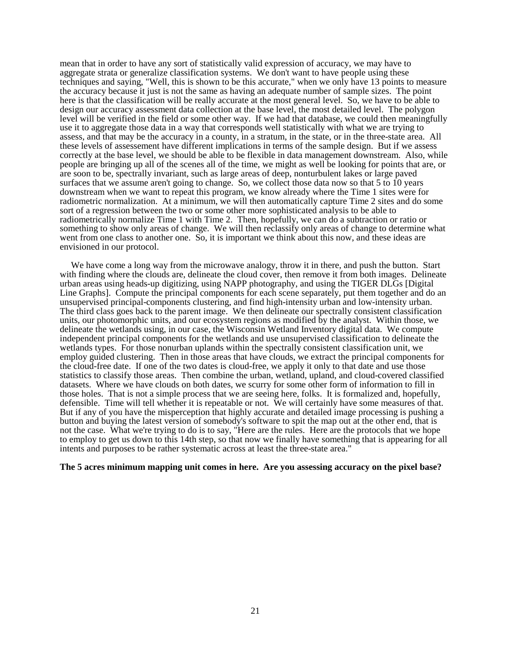mean that in order to have any sort of statistically valid expression of accuracy, we may have to aggregate strata or generalize classification systems. We don't want to have people using these techniques and saying, "Well, this is shown to be this accurate," when we only have 13 points to measure the accuracy because it just is not the same as having an adequate number of sample sizes. The point here is that the classification will be really accurate at the most general level. So, we have to be able to design our accuracy assessment data collection at the base level, the most detailed level. The polygon level will be verified in the field or some other way. If we had that database, we could then meaningfully use it to aggregate those data in a way that corresponds well statistically with what we are trying to assess, and that may be the accuracy in a county, in a stratum, in the state, or in the three-state area. All these levels of assessement have different implications in terms of the sample design. But if we assess correctly at the base level, we should be able to be flexible in data management downstream. Also, while people are bringing up all of the scenes all of the time, we might as well be looking for points that are, or are soon to be, spectrally invariant, such as large areas of deep, nonturbulent lakes or large paved surfaces that we assume aren't going to change. So, we collect those data now so that 5 to 10 years downstream when we want to repeat this program, we know already where the Time 1 sites were for radiometric normalization. At a minimum, we will then automatically capture Time 2 sites and do some sort of a regression between the two or some other more sophisticated analysis to be able to radiometrically normalize Time 1 with Time 2. Then, hopefully, we can do a subtraction or ratio or something to show only areas of change. We will then reclassify only areas of change to determine what went from one class to another one. So, it is important we think about this now, and these ideas are envisioned in our protocol.

We have come a long way from the microwave analogy, throw it in there, and push the button. Start with finding where the clouds are, delineate the cloud cover, then remove it from both images. Delineate urban areas using heads-up digitizing, using NAPP photography, and using the TIGER DLGs [Digital Line Graphs]. Compute the principal components for each scene separately, put them together and do an unsupervised principal-components clustering, and find high-intensity urban and low-intensity urban. The third class goes back to the parent image. We then delineate our spectrally consistent classification units, our photomorphic units, and our ecosystem regions as modified by the analyst. Within those, we delineate the wetlands using, in our case, the Wisconsin Wetland Inventory digital data. We compute independent principal components for the wetlands and use unsupervised classification to delineate the wetlands types. For those nonurban uplands within the spectrally consistent classification unit, we employ guided clustering. Then in those areas that have clouds, we extract the principal components for the cloud-free date. If one of the two dates is cloud-free, we apply it only to that date and use those statistics to classify those areas. Then combine the urban, wetland, upland, and cloud-covered classified datasets. Where we have clouds on both dates, we scurry for some other form of information to fill in those holes. That is not a simple process that we are seeing here, folks. It is formalized and, hopefully, defensible. Time will tell whether it is repeatable or not. We will certainly have some measures of that. But if any of you have the misperception that highly accurate and detailed image processing is pushing a button and buying the latest version of somebody's software to spit the map out at the other end, that is not the case. What we're trying to do is to say, "Here are the rules. Here are the protocols that we hope to employ to get us down to this 14th step, so that now we finally have something that is appearing for all intents and purposes to be rather systematic across at least the three-state area."

### **The 5 acres minimum mapping unit comes in here. Are you assessing accuracy on the pixel base?**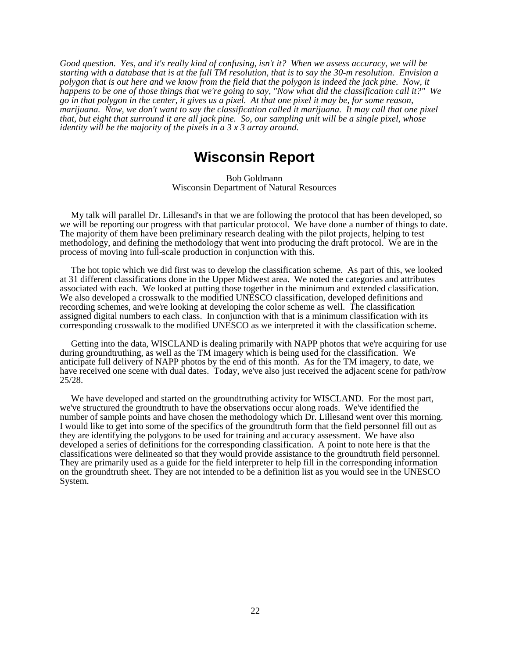*Good question. Yes, and it's really kind of confusing, isn't it? When we assess accuracy, we will be starting with a database that is at the full TM resolution, that is to say the 30-m resolution. Envision a polygon that is out here and we know from the field that the polygon is indeed the jack pine. Now, it happens to be one of those things that we're going to say, "Now what did the classification call it?" We go in that polygon in the center, it gives us a pixel. At that one pixel it may be, for some reason, marijuana. Now, we don't want to say the classification called it marijuana. It may call that one pixel that, but eight that surround it are all jack pine. So, our sampling unit will be a single pixel, whose identity will be the majority of the pixels in a 3 x 3 array around.*

### **Wisconsin Report**

Bob Goldmann Wisconsin Department of Natural Resources

My talk will parallel Dr. Lillesand's in that we are following the protocol that has been developed, so we will be reporting our progress with that particular protocol. We have done a number of things to date. The majority of them have been preliminary research dealing with the pilot projects, helping to test methodology, and defining the methodology that went into producing the draft protocol. We are in the process of moving into full-scale production in conjunction with this.

The hot topic which we did first was to develop the classification scheme. As part of this, we looked at 31 different classifications done in the Upper Midwest area. We noted the categories and attributes associated with each. We looked at putting those together in the minimum and extended classification. We also developed a crosswalk to the modified UNESCO classification, developed definitions and recording schemes, and we're looking at developing the color scheme as well. The classification assigned digital numbers to each class. In conjunction with that is a minimum classification with its corresponding crosswalk to the modified UNESCO as we interpreted it with the classification scheme.

Getting into the data, WISCLAND is dealing primarily with NAPP photos that we're acquiring for use during groundtruthing, as well as the TM imagery which is being used for the classification. We anticipate full delivery of NAPP photos by the end of this month. As for the TM imagery, to date, we have received one scene with dual dates. Today, we've also just received the adjacent scene for path/row 25/28.

We have developed and started on the groundtruthing activity for WISCLAND. For the most part, we've structured the groundtruth to have the observations occur along roads. We've identified the number of sample points and have chosen the methodology which Dr. Lillesand went over this morning. I would like to get into some of the specifics of the groundtruth form that the field personnel fill out as they are identifying the polygons to be used for training and accuracy assessment. We have also developed a series of definitions for the corresponding classification. A point to note here is that the classifications were delineated so that they would provide assistance to the groundtruth field personnel. They are primarily used as a guide for the field interpreter to help fill in the corresponding information on the groundtruth sheet. They are not intended to be a definition list as you would see in the UNESCO System.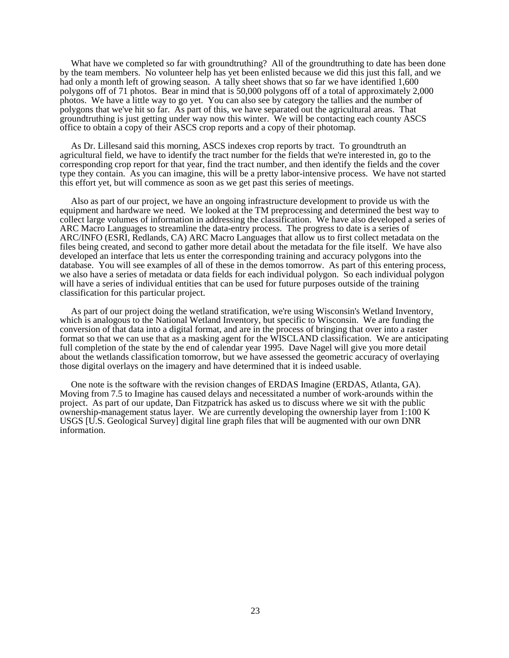What have we completed so far with groundtruthing? All of the groundtruthing to date has been done by the team members. No volunteer help has yet been enlisted because we did this just this fall, and we had only a month left of growing season. A tally sheet shows that so far we have identified 1,600 polygons off of 71 photos. Bear in mind that is 50,000 polygons off of a total of approximately 2,000 photos. We have a little way to go yet. You can also see by category the tallies and the number of polygons that we've hit so far. As part of this, we have separated out the agricultural areas. That groundtruthing is just getting under way now this winter. We will be contacting each county ASCS office to obtain a copy of their ASCS crop reports and a copy of their photomap.

As Dr. Lillesand said this morning, ASCS indexes crop reports by tract. To groundtruth an agricultural field, we have to identify the tract number for the fields that we're interested in, go to the corresponding crop report for that year, find the tract number, and then identify the fields and the cover type they contain. As you can imagine, this will be a pretty labor-intensive process. We have not started this effort yet, but will commence as soon as we get past this series of meetings.

Also as part of our project, we have an ongoing infrastructure development to provide us with the equipment and hardware we need. We looked at the TM preprocessing and determined the best way to collect large volumes of information in addressing the classification. We have also developed a series of ARC Macro Languages to streamline the data-entry process. The progress to date is a series of ARC/INFO (ESRI, Redlands, CA) ARC Macro Languages that allow us to first collect metadata on the files being created, and second to gather more detail about the metadata for the file itself. We have also developed an interface that lets us enter the corresponding training and accuracy polygons into the database. You will see examples of all of these in the demos tomorrow. As part of this entering process, we also have a series of metadata or data fields for each individual polygon. So each individual polygon will have a series of individual entities that can be used for future purposes outside of the training classification for this particular project.

As part of our project doing the wetland stratification, we're using Wisconsin's Wetland Inventory, which is analogous to the National Wetland Inventory, but specific to Wisconsin. We are funding the conversion of that data into a digital format, and are in the process of bringing that over into a raster format so that we can use that as a masking agent for the WISCLAND classification. We are anticipating full completion of the state by the end of calendar year 1995. Dave Nagel will give you more detail about the wetlands classification tomorrow, but we have assessed the geometric accuracy of overlaying those digital overlays on the imagery and have determined that it is indeed usable.

One note is the software with the revision changes of ERDAS Imagine (ERDAS, Atlanta, GA). Moving from 7.5 to Imagine has caused delays and necessitated a number of work-arounds within the project. As part of our update, Dan Fitzpatrick has asked us to discuss where we sit with the public ownership-management status layer. We are currently developing the ownership layer from 1:100 K USGS [U.S. Geological Survey] digital line graph files that will be augmented with our own DNR information.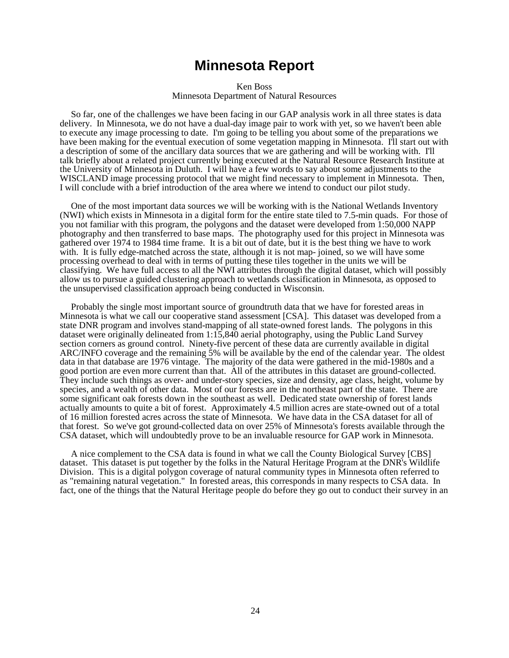### **Minnesota Report**

Ken Boss Minnesota Department of Natural Resources

So far, one of the challenges we have been facing in our GAP analysis work in all three states is data delivery. In Minnesota, we do not have a dual-day image pair to work with yet, so we haven't been able to execute any image processing to date. I'm going to be telling you about some of the preparations we have been making for the eventual execution of some vegetation mapping in Minnesota. I'll start out with a description of some of the ancillary data sources that we are gathering and will be working with. I'll talk briefly about a related project currently being executed at the Natural Resource Research Institute at the University of Minnesota in Duluth. I will have a few words to say about some adjustments to the WISCLAND image processing protocol that we might find necessary to implement in Minnesota. Then, I will conclude with a brief introduction of the area where we intend to conduct our pilot study.

One of the most important data sources we will be working with is the National Wetlands Inventory (NWI) which exists in Minnesota in a digital form for the entire state tiled to 7.5-min quads. For those of you not familiar with this program, the polygons and the dataset were developed from 1:50,000 NAPP photography and then transferred to base maps. The photography used for this project in Minnesota was gathered over 1974 to 1984 time frame. It is a bit out of date, but it is the best thing we have to work with. It is fully edge-matched across the state, although it is not map- joined, so we will have some processing overhead to deal with in terms of putting these tiles together in the units we will be classifying. We have full access to all the NWI attributes through the digital dataset, which will possibly allow us to pursue a guided clustering approach to wetlands classification in Minnesota, as opposed to the unsupervised classification approach being conducted in Wisconsin.

Probably the single most important source of groundtruth data that we have for forested areas in Minnesota is what we call our cooperative stand assessment [CSA]. This dataset was developed from a state DNR program and involves stand-mapping of all state-owned forest lands. The polygons in this dataset were originally delineated from 1:15,840 aerial photography, using the Public Land Survey section corners as ground control. Ninety-five percent of these data are currently available in digital ARC/INFO coverage and the remaining 5% will be available by the end of the calendar year. The oldest data in that database are 1976 vintage. The majority of the data were gathered in the mid-1980s and a good portion are even more current than that. All of the attributes in this dataset are ground-collected. They include such things as over- and under-story species, size and density, age class, height, volume by species, and a wealth of other data. Most of our forests are in the northeast part of the state. There are some significant oak forests down in the southeast as well. Dedicated state ownership of forest lands actually amounts to quite a bit of forest. Approximately 4.5 million acres are state-owned out of a total of 16 million forested acres across the state of Minnesota. We have data in the CSA dataset for all of that forest. So we've got ground-collected data on over 25% of Minnesota's forests available through the CSA dataset, which will undoubtedly prove to be an invaluable resource for GAP work in Minnesota.

A nice complement to the CSA data is found in what we call the County Biological Survey [CBS] dataset. This dataset is put together by the folks in the Natural Heritage Program at the DNR's Wildlife Division. This is a digital polygon coverage of natural community types in Minnesota often referred to as "remaining natural vegetation." In forested areas, this corresponds in many respects to CSA data. In fact, one of the things that the Natural Heritage people do before they go out to conduct their survey in an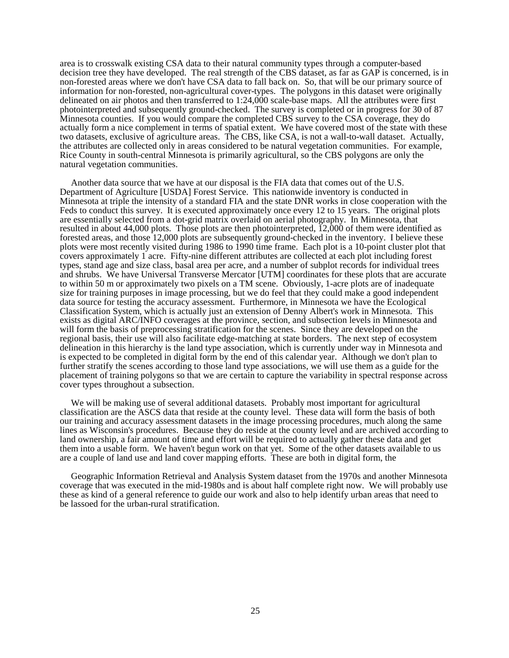area is to crosswalk existing CSA data to their natural community types through a computer-based decision tree they have developed. The real strength of the CBS dataset, as far as GAP is concerned, is in non-forested areas where we don't have CSA data to fall back on. So, that will be our primary source of information for non-forested, non-agricultural cover-types. The polygons in this dataset were originally delineated on air photos and then transferred to 1:24,000 scale-base maps. All the attributes were first photointerpreted and subsequently ground-checked. The survey is completed or in progress for 30 of 87 Minnesota counties. If you would compare the completed CBS survey to the CSA coverage, they do actually form a nice complement in terms of spatial extent. We have covered most of the state with these two datasets, exclusive of agriculture areas. The CBS, like CSA, is not a wall-to-wall dataset. Actually, the attributes are collected only in areas considered to be natural vegetation communities. For example, Rice County in south-central Minnesota is primarily agricultural, so the CBS polygons are only the natural vegetation communities.

Another data source that we have at our disposal is the FIA data that comes out of the U.S. Department of Agriculture [USDA] Forest Service. This nationwide inventory is conducted in Minnesota at triple the intensity of a standard FIA and the state DNR works in close cooperation with the Feds to conduct this survey. It is executed approximately once every 12 to 15 years. The original plots are essentially selected from a dot-grid matrix overlaid on aerial photography. In Minnesota, that resulted in about 44,000 plots. Those plots are then photointerpreted, 12,000 of them were identified as forested areas, and those 12,000 plots are subsequently ground-checked in the inventory. I believe these plots were most recently visited during 1986 to 1990 time frame. Each plot is a 10-point cluster plot that covers approximately 1 acre. Fifty-nine different attributes are collected at each plot including forest types, stand age and size class, basal area per acre, and a number of subplot records for individual trees and shrubs. We have Universal Transverse Mercator [UTM] coordinates for these plots that are accurate to within 50 m or approximately two pixels on a TM scene. Obviously, 1-acre plots are of inadequate size for training purposes in image processing, but we do feel that they could make a good independent data source for testing the accuracy assessment. Furthermore, in Minnesota we have the Ecological Classification System, which is actually just an extension of Denny Albert's work in Minnesota. This exists as digital ARC/INFO coverages at the province, section, and subsection levels in Minnesota and will form the basis of preprocessing stratification for the scenes. Since they are developed on the regional basis, their use will also facilitate edge-matching at state borders. The next step of ecosystem delineation in this hierarchy is the land type association, which is currently under way in Minnesota and is expected to be completed in digital form by the end of this calendar year. Although we don't plan to further stratify the scenes according to those land type associations, we will use them as a guide for the placement of training polygons so that we are certain to capture the variability in spectral response across cover types throughout a subsection.

We will be making use of several additional datasets. Probably most important for agricultural classification are the ASCS data that reside at the county level. These data will form the basis of both our training and accuracy assessment datasets in the image processing procedures, much along the same lines as Wisconsin's procedures. Because they do reside at the county level and are archived according to land ownership, a fair amount of time and effort will be required to actually gather these data and get them into a usable form. We haven't begun work on that yet. Some of the other datasets available to us are a couple of land use and land cover mapping efforts. These are both in digital form, the

Geographic Information Retrieval and Analysis System dataset from the 1970s and another Minnesota coverage that was executed in the mid-1980s and is about half complete right now. We will probably use these as kind of a general reference to guide our work and also to help identify urban areas that need to be lassoed for the urban-rural stratification.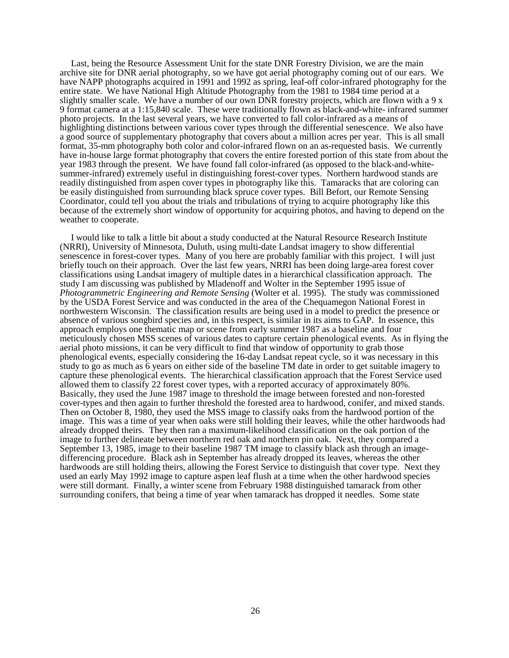Last, being the Resource Assessment Unit for the state DNR Forestry Division, we are the main archive site for DNR aerial photography, so we have got aerial photography coming out of our ears. We have NAPP photographs acquired in 1991 and 1992 as spring, leaf-off color-infrared photography for the entire state. We have National High Altitude Photography from the 1981 to 1984 time period at a slightly smaller scale. We have a number of our own DNR forestry projects, which are flown with a 9 x 9 format camera at a 1:15,840 scale. These were traditionally flown as black-and-white- infrared summer photo projects. In the last several years, we have converted to fall color-infrared as a means of highlighting distinctions between various cover types through the differential senescence. We also have a good source of supplementary photography that covers about a million acres per year. This is all small format, 35-mm photography both color and color-infrared flown on an as-requested basis. We currently have in-house large format photography that covers the entire forested portion of this state from about the year 1983 through the present. We have found fall color-infrared (as opposed to the black-and-whitesummer-infrared) extremely useful in distinguishing forest-cover types. Northern hardwood stands are readily distinguished from aspen cover types in photography like this. Tamaracks that are coloring can be easily distinguished from surrounding black spruce cover types. Bill Befort, our Remote Sensing Coordinator, could tell you about the trials and tribulations of trying to acquire photography like this because of the extremely short window of opportunity for acquiring photos, and having to depend on the weather to cooperate.

I would like to talk a little bit about a study conducted at the Natural Resource Research Institute (NRRI), University of Minnesota, Duluth, using multi-date Landsat imagery to show differential senescence in forest-cover types. Many of you here are probably familiar with this project. I will just briefly touch on their approach. Over the last few years, NRRI has been doing large-area forest cover classifications using Landsat imagery of multiple dates in a hierarchical classification approach. The study I am discussing was published by Mladenoff and Wolter in the September 1995 issue of *Photogrammetric Engineering and Remote Sensing* (Wolter et al. 1995). The study was commissioned by the USDA Forest Service and was conducted in the area of the Chequamegon National Forest in northwestern Wisconsin. The classification results are being used in a model to predict the presence or absence of various songbird species and, in this respect, is similar in its aims to GAP. In essence, this approach employs one thematic map or scene from early summer 1987 as a baseline and four meticulously chosen MSS scenes of various dates to capture certain phenological events. As in flying the aerial photo missions, it can be very difficult to find that window of opportunity to grab those phenological events, especially considering the 16-day Landsat repeat cycle, so it was necessary in this study to go as much as 6 years on either side of the baseline TM date in order to get suitable imagery to capture these phenological events. The hierarchical classification approach that the Forest Service used allowed them to classify 22 forest cover types, with a reported accuracy of approximately 80%. Basically, they used the June 1987 image to threshold the image between forested and non-forested cover-types and then again to further threshold the forested area to hardwood, conifer, and mixed stands. Then on October 8, 1980, they used the MSS image to classify oaks from the hardwood portion of the image. This was a time of year when oaks were still holding their leaves, while the other hardwoods had already dropped theirs. They then ran a maximum-likelihood classification on the oak portion of the image to further delineate between northern red oak and northern pin oak. Next, they compared a September 13, 1985, image to their baseline 1987 TM image to classify black ash through an imagedifferencing procedure. Black ash in September has already dropped its leaves, whereas the other hardwoods are still holding theirs, allowing the Forest Service to distinguish that cover type. Next they used an early May 1992 image to capture aspen leaf flush at a time when the other hardwood species were still dormant. Finally, a winter scene from February 1988 distinguished tamarack from other surrounding conifers, that being a time of year when tamarack has dropped it needles. Some state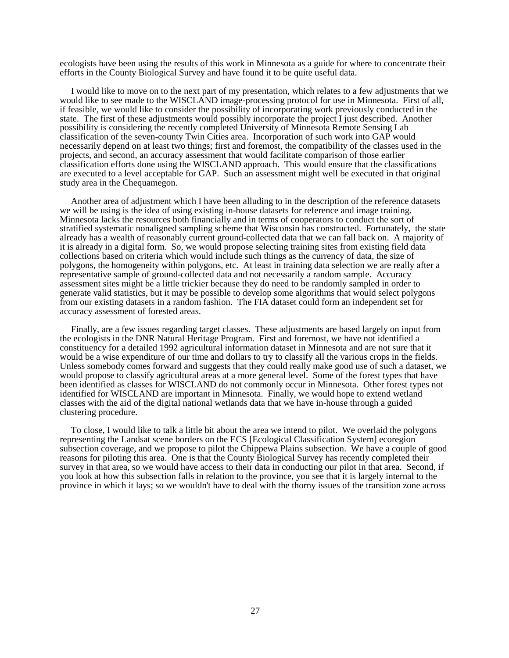ecologists have been using the results of this work in Minnesota as a guide for where to concentrate their efforts in the County Biological Survey and have found it to be quite useful data.

I would like to move on to the next part of my presentation, which relates to a few adjustments that we would like to see made to the WISCLAND image-processing protocol for use in Minnesota. First of all, if feasible, we would like to consider the possibility of incorporating work previously conducted in the state. The first of these adjustments would possibly incorporate the project I just described. Another possibility is considering the recently completed University of Minnesota Remote Sensing Lab classification of the seven-county Twin Cities area. Incorporation of such work into GAP would necessarily depend on at least two things; first and foremost, the compatibility of the classes used in the projects, and second, an accuracy assessment that would facilitate comparison of those earlier classification efforts done using the WISCLAND approach. This would ensure that the classifications are executed to a level acceptable for GAP. Such an assessment might well be executed in that original study area in the Chequamegon.

Another area of adjustment which I have been alluding to in the description of the reference datasets we will be using is the idea of using existing in-house datasets for reference and image training. Minnesota lacks the resources both financially and in terms of cooperators to conduct the sort of stratified systematic nonaligned sampling scheme that Wisconsin has constructed. Fortunately, the state already has a wealth of reasonably current ground-collected data that we can fall back on. A majority of it is already in a digital form. So, we would propose selecting training sites from existing field data collections based on criteria which would include such things as the currency of data, the size of polygons, the homogeneity within polygons, etc. At least in training data selection we are really after a representative sample of ground-collected data and not necessarily a random sample. Accuracy assessment sites might be a little trickier because they do need to be randomly sampled in order to generate valid statistics, but it may be possible to develop some algorithms that would select polygons from our existing datasets in a random fashion. The FIA dataset could form an independent set for accuracy assessment of forested areas.

Finally, are a few issues regarding target classes. These adjustments are based largely on input from the ecologists in the DNR Natural Heritage Program. First and foremost, we have not identified a constituency for a detailed 1992 agricultural information dataset in Minnesota and are not sure that it would be a wise expenditure of our time and dollars to try to classify all the various crops in the fields. Unless somebody comes forward and suggests that they could really make good use of such a dataset, we would propose to classify agricultural areas at a more general level. Some of the forest types that have been identified as classes for WISCLAND do not commonly occur in Minnesota. Other forest types not identified for WISCLAND are important in Minnesota. Finally, we would hope to extend wetland classes with the aid of the digital national wetlands data that we have in-house through a guided clustering procedure.

To close, I would like to talk a little bit about the area we intend to pilot. We overlaid the polygons representing the Landsat scene borders on the ECS [Ecological Classification System] ecoregion subsection coverage, and we propose to pilot the Chippewa Plains subsection. We have a couple of good reasons for piloting this area. One is that the County Biological Survey has recently completed their survey in that area, so we would have access to their data in conducting our pilot in that area. Second, if you look at how this subsection falls in relation to the province, you see that it is largely internal to the province in which it lays; so we wouldn't have to deal with the thorny issues of the transition zone across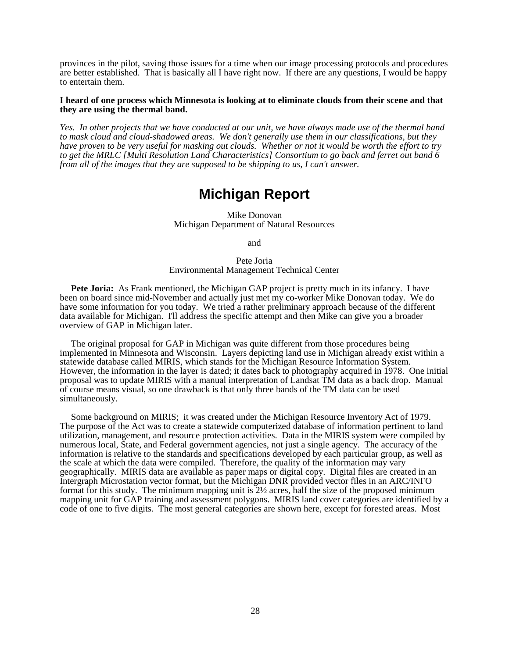provinces in the pilot, saving those issues for a time when our image processing protocols and procedures are better established. That is basically all I have right now. If there are any questions, I would be happy to entertain them.

### **I heard of one process which Minnesota is looking at to eliminate clouds from their scene and that they are using the thermal band.**

*Yes. In other projects that we have conducted at our unit, we have always made use of the thermal band to mask cloud and cloud-shadowed areas. We don't generally use them in our classifications, but they have proven to be very useful for masking out clouds. Whether or not it would be worth the effort to try to get the MRLC [Multi Resolution Land Characteristics] Consortium to go back and ferret out band 6 from all of the images that they are supposed to be shipping to us, I can't answer.*

## **Michigan Report**

Mike Donovan Michigan Department of Natural Resources

and

### Pete Joria Environmental Management Technical Center

**Pete Joria:** As Frank mentioned, the Michigan GAP project is pretty much in its infancy. I have been on board since mid-November and actually just met my co-worker Mike Donovan today. We do have some information for you today. We tried a rather preliminary approach because of the different data available for Michigan. I'll address the specific attempt and then Mike can give you a broader overview of GAP in Michigan later.

The original proposal for GAP in Michigan was quite different from those procedures being implemented in Minnesota and Wisconsin. Layers depicting land use in Michigan already exist within a statewide database called MIRIS, which stands for the Michigan Resource Information System. However, the information in the layer is dated; it dates back to photography acquired in 1978. One initial proposal was to update MIRIS with a manual interpretation of Landsat TM data as a back drop. Manual of course means visual, so one drawback is that only three bands of the TM data can be used simultaneously.

Some background on MIRIS; it was created under the Michigan Resource Inventory Act of 1979. The purpose of the Act was to create a statewide computerized database of information pertinent to land utilization, management, and resource protection activities. Data in the MIRIS system were compiled by numerous local, State, and Federal government agencies, not just a single agency. The accuracy of the information is relative to the standards and specifications developed by each particular group, as well as the scale at which the data were compiled. Therefore, the quality of the information may vary geographically. MIRIS data are available as paper maps or digital copy. Digital files are created in an Intergraph Microstation vector format, but the Michigan DNR provided vector files in an ARC/INFO format for this study. The minimum mapping unit is  $2\frac{1}{2}$  acres, half the size of the proposed minimum mapping unit for GAP training and assessment polygons. MIRIS land cover categories are identified by a code of one to five digits. The most general categories are shown here, except for forested areas. Most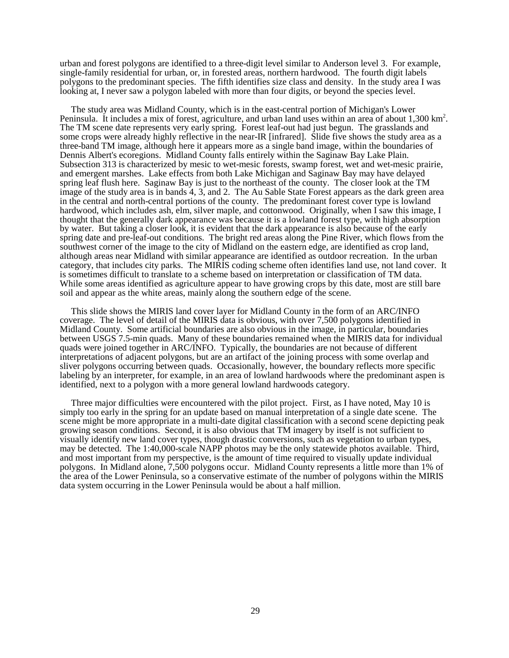urban and forest polygons are identified to a three-digit level similar to Anderson level 3. For example, single-family residential for urban, or, in forested areas, northern hardwood. The fourth digit labels polygons to the predominant species. The fifth identifies size class and density. In the study area I was looking at, I never saw a polygon labeled with more than four digits, or beyond the species level.

The study area was Midland County, which is in the east-central portion of Michigan's Lower Peninsula. It includes a mix of forest, agriculture, and urban land uses within an area of about 1,300 km<sup>2</sup>. The TM scene date represents very early spring. Forest leaf-out had just begun. The grasslands and some crops were already highly reflective in the near-IR [infrared]. Slide five shows the study area as a three-band TM image, although here it appears more as a single band image, within the boundaries of Dennis Albert's ecoregions. Midland County falls entirely within the Saginaw Bay Lake Plain. Subsection 313 is characterized by mesic to wet-mesic forests, swamp forest, wet and wet-mesic prairie, and emergent marshes. Lake effects from both Lake Michigan and Saginaw Bay may have delayed spring leaf flush here. Saginaw Bay is just to the northeast of the county. The closer look at the TM image of the study area is in bands 4, 3, and 2. The Au Sable State Forest appears as the dark green area in the central and north-central portions of the county. The predominant forest cover type is lowland hardwood, which includes ash, elm, silver maple, and cottonwood. Originally, when I saw this image, I thought that the generally dark appearance was because it is a lowland forest type, with high absorption by water. But taking a closer look, it is evident that the dark appearance is also because of the early spring date and pre-leaf-out conditions. The bright red areas along the Pine River, which flows from the southwest corner of the image to the city of Midland on the eastern edge, are identified as crop land, although areas near Midland with similar appearance are identified as outdoor recreation. In the urban category, that includes city parks. The MIRIS coding scheme often identifies land use, not land cover. It is sometimes difficult to translate to a scheme based on interpretation or classification of TM data. While some areas identified as agriculture appear to have growing crops by this date, most are still bare soil and appear as the white areas, mainly along the southern edge of the scene.

This slide shows the MIRIS land cover layer for Midland County in the form of an ARC/INFO coverage. The level of detail of the MIRIS data is obvious, with over 7,500 polygons identified in Midland County. Some artificial boundaries are also obvious in the image, in particular, boundaries between USGS 7.5-min quads. Many of these boundaries remained when the MIRIS data for individual quads were joined together in ARC/INFO. Typically, the boundaries are not because of different interpretations of adjacent polygons, but are an artifact of the joining process with some overlap and sliver polygons occurring between quads. Occasionally, however, the boundary reflects more specific labeling by an interpreter, for example, in an area of lowland hardwoods where the predominant aspen is identified, next to a polygon with a more general lowland hardwoods category.

Three major difficulties were encountered with the pilot project. First, as I have noted, May 10 is simply too early in the spring for an update based on manual interpretation of a single date scene. The scene might be more appropriate in a multi-date digital classification with a second scene depicting peak growing season conditions. Second, it is also obvious that TM imagery by itself is not sufficient to visually identify new land cover types, though drastic conversions, such as vegetation to urban types, may be detected. The 1:40,000-scale NAPP photos may be the only statewide photos available. Third, and most important from my perspective, is the amount of time required to visually update individual polygons. In Midland alone, 7,500 polygons occur. Midland County represents a little more than 1% of the area of the Lower Peninsula, so a conservative estimate of the number of polygons within the MIRIS data system occurring in the Lower Peninsula would be about a half million.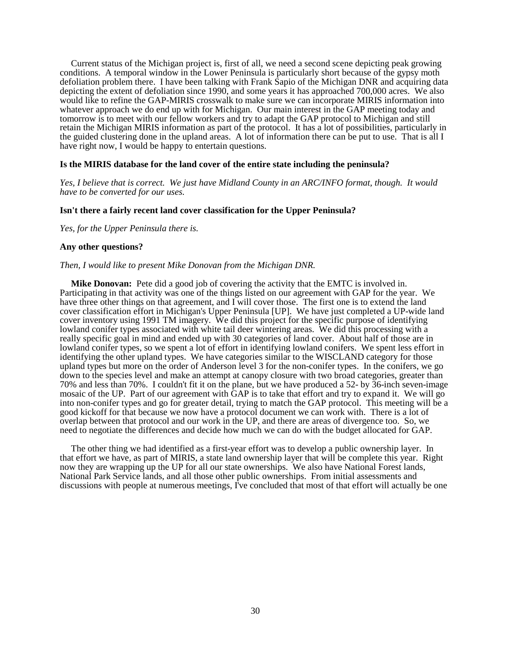Current status of the Michigan project is, first of all, we need a second scene depicting peak growing conditions. A temporal window in the Lower Peninsula is particularly short because of the gypsy moth defoliation problem there. I have been talking with Frank Sapio of the Michigan DNR and acquiring data depicting the extent of defoliation since 1990, and some years it has approached 700,000 acres. We also would like to refine the GAP-MIRIS crosswalk to make sure we can incorporate MIRIS information into whatever approach we do end up with for Michigan. Our main interest in the GAP meeting today and tomorrow is to meet with our fellow workers and try to adapt the GAP protocol to Michigan and still retain the Michigan MIRIS information as part of the protocol. It has a lot of possibilities, particularly in the guided clustering done in the upland areas. A lot of information there can be put to use. That is all I have right now, I would be happy to entertain questions.

### **Is the MIRIS database for the land cover of the entire state including the peninsula?**

*Yes, I believe that is correct. We just have Midland County in an ARC/INFO format, though. It would have to be converted for our uses.*

### **Isn't there a fairly recent land cover classification for the Upper Peninsula?**

*Yes, for the Upper Peninsula there is.*

### **Any other questions?**

### *Then, I would like to present Mike Donovan from the Michigan DNR.*

**Mike Donovan:** Pete did a good job of covering the activity that the EMTC is involved in. Participating in that activity was one of the things listed on our agreement with GAP for the year. We have three other things on that agreement, and I will cover those. The first one is to extend the land cover classification effort in Michigan's Upper Peninsula [UP]. We have just completed a UP-wide land cover inventory using 1991 TM imagery. We did this project for the specific purpose of identifying lowland conifer types associated with white tail deer wintering areas. We did this processing with a really specific goal in mind and ended up with 30 categories of land cover. About half of those are in lowland conifer types, so we spent a lot of effort in identifying lowland conifers. We spent less effort in identifying the other upland types. We have categories similar to the WISCLAND category for those upland types but more on the order of Anderson level 3 for the non-conifer types. In the conifers, we go down to the species level and make an attempt at canopy closure with two broad categories, greater than 70% and less than 70%. I couldn't fit it on the plane, but we have produced a 52- by 36-inch seven-image mosaic of the UP. Part of our agreement with GAP is to take that effort and try to expand it. We will go into non-conifer types and go for greater detail, trying to match the GAP protocol. This meeting will be a good kickoff for that because we now have a protocol document we can work with. There is a lot of overlap between that protocol and our work in the UP, and there are areas of divergence too. So, we need to negotiate the differences and decide how much we can do with the budget allocated for GAP.

The other thing we had identified as a first-year effort was to develop a public ownership layer. In that effort we have, as part of MIRIS, a state land ownership layer that will be complete this year. Right now they are wrapping up the UP for all our state ownerships. We also have National Forest lands, National Park Service lands, and all those other public ownerships. From initial assessments and discussions with people at numerous meetings, I've concluded that most of that effort will actually be one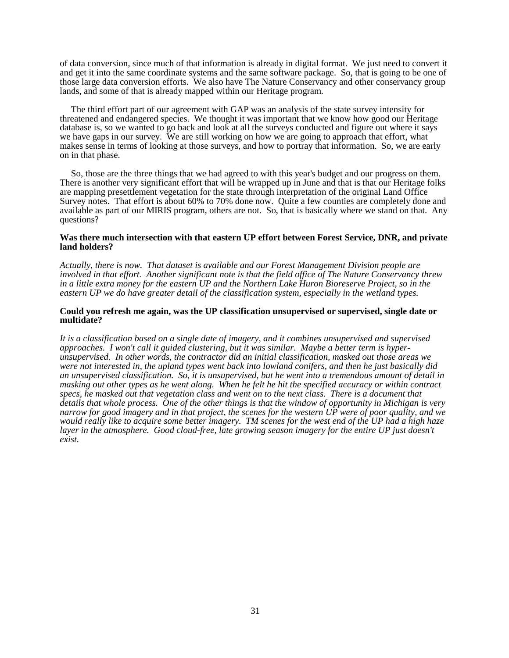of data conversion, since much of that information is already in digital format. We just need to convert it and get it into the same coordinate systems and the same software package. So, that is going to be one of those large data conversion efforts. We also have The Nature Conservancy and other conservancy group lands, and some of that is already mapped within our Heritage program.

The third effort part of our agreement with GAP was an analysis of the state survey intensity for threatened and endangered species. We thought it was important that we know how good our Heritage database is, so we wanted to go back and look at all the surveys conducted and figure out where it says we have gaps in our survey. We are still working on how we are going to approach that effort, what makes sense in terms of looking at those surveys, and how to portray that information. So, we are early on in that phase.

So, those are the three things that we had agreed to with this year's budget and our progress on them. There is another very significant effort that will be wrapped up in June and that is that our Heritage folks are mapping presettlement vegetation for the state through interpretation of the original Land Office Survey notes. That effort is about 60% to 70% done now. Quite a few counties are completely done and available as part of our MIRIS program, others are not. So, that is basically where we stand on that. Any questions?

### **Was there much intersection with that eastern UP effort between Forest Service, DNR, and private land holders?**

*Actually, there is now. That dataset is available and our Forest Management Division people are involved in that effort. Another significant note is that the field office of The Nature Conservancy threw in a little extra money for the eastern UP and the Northern Lake Huron Bioreserve Project, so in the eastern UP we do have greater detail of the classification system, especially in the wetland types.*

### **Could you refresh me again, was the UP classification unsupervised or supervised, single date or multidate?**

*It is a classification based on a single date of imagery, and it combines unsupervised and supervised approaches. I won't call it guided clustering, but it was similar. Maybe a better term is hyperunsupervised. In other words, the contractor did an initial classification, masked out those areas we were not interested in, the upland types went back into lowland conifers, and then he just basically did an unsupervised classification. So, it is unsupervised, but he went into a tremendous amount of detail in masking out other types as he went along. When he felt he hit the specified accuracy or within contract specs, he masked out that vegetation class and went on to the next class. There is a document that details that whole process. One of the other things is that the window of opportunity in Michigan is very narrow for good imagery and in that project, the scenes for the western UP were of poor quality, and we would really like to acquire some better imagery. TM scenes for the west end of the UP had a high haze layer in the atmosphere. Good cloud-free, late growing season imagery for the entire UP just doesn't exist.*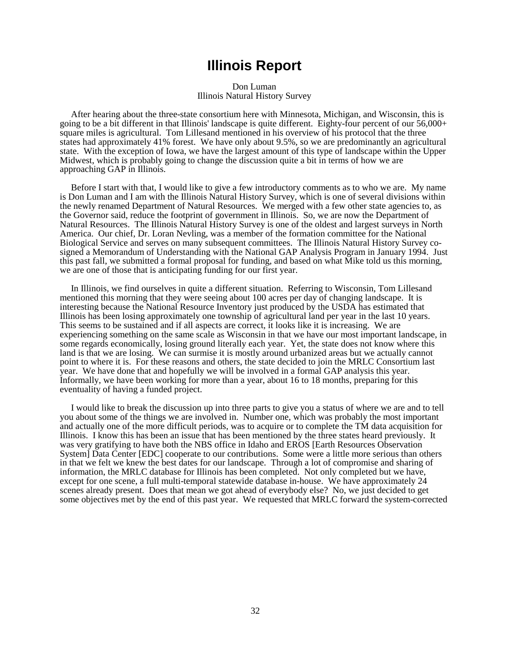### **Illinois Report**

Don Luman Illinois Natural History Survey

After hearing about the three-state consortium here with Minnesota, Michigan, and Wisconsin, this is going to be a bit different in that Illinois' landscape is quite different. Eighty-four percent of our 56,000+ square miles is agricultural. Tom Lillesand mentioned in his overview of his protocol that the three states had approximately 41% forest. We have only about 9.5%, so we are predominantly an agricultural state. With the exception of Iowa, we have the largest amount of this type of landscape within the Upper Midwest, which is probably going to change the discussion quite a bit in terms of how we are approaching GAP in Illinois.

Before I start with that, I would like to give a few introductory comments as to who we are. My name is Don Luman and I am with the Illinois Natural History Survey, which is one of several divisions within the newly renamed Department of Natural Resources. We merged with a few other state agencies to, as the Governor said, reduce the footprint of government in Illinois. So, we are now the Department of Natural Resources. The Illinois Natural History Survey is one of the oldest and largest surveys in North America. Our chief, Dr. Loran Nevling, was a member of the formation committee for the National Biological Service and serves on many subsequent committees. The Illinois Natural History Survey cosigned a Memorandum of Understanding with the National GAP Analysis Program in January 1994. Just this past fall, we submitted a formal proposal for funding, and based on what Mike told us this morning, we are one of those that is anticipating funding for our first year.

In Illinois, we find ourselves in quite a different situation. Referring to Wisconsin, Tom Lillesand mentioned this morning that they were seeing about 100 acres per day of changing landscape. It is interesting because the National Resource Inventory just produced by the USDA has estimated that Illinois has been losing approximately one township of agricultural land per year in the last 10 years. This seems to be sustained and if all aspects are correct, it looks like it is increasing. We are experiencing something on the same scale as Wisconsin in that we have our most important landscape, in some regards economically, losing ground literally each year. Yet, the state does not know where this land is that we are losing. We can surmise it is mostly around urbanized areas but we actually cannot point to where it is. For these reasons and others, the state decided to join the MRLC Consortium last year. We have done that and hopefully we will be involved in a formal GAP analysis this year. Informally, we have been working for more than a year, about 16 to 18 months, preparing for this eventuality of having a funded project.

I would like to break the discussion up into three parts to give you a status of where we are and to tell you about some of the things we are involved in. Number one, which was probably the most important and actually one of the more difficult periods, was to acquire or to complete the TM data acquisition for Illinois. I know this has been an issue that has been mentioned by the three states heard previously. It was very gratifying to have both the NBS office in Idaho and EROS [Earth Resources Observation System] Data Center [EDC] cooperate to our contributions. Some were a little more serious than others in that we felt we knew the best dates for our landscape. Through a lot of compromise and sharing of information, the MRLC database for Illinois has been completed. Not only completed but we have, except for one scene, a full multi-temporal statewide database in-house. We have approximately 24 scenes already present. Does that mean we got ahead of everybody else? No, we just decided to get some objectives met by the end of this past year. We requested that MRLC forward the system-corrected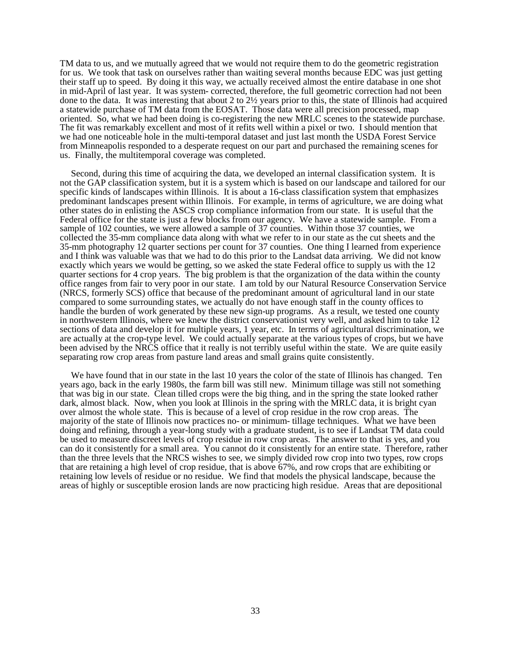TM data to us, and we mutually agreed that we would not require them to do the geometric registration for us. We took that task on ourselves rather than waiting several months because EDC was just getting their staff up to speed. By doing it this way, we actually received almost the entire database in one shot in mid-April of last year. It was system- corrected, therefore, the full geometric correction had not been done to the data. It was interesting that about 2 to 2½ years prior to this, the state of Illinois had acquired a statewide purchase of TM data from the EOSAT. Those data were all precision processed, map oriented. So, what we had been doing is co-registering the new MRLC scenes to the statewide purchase. The fit was remarkably excellent and most of it refits well within a pixel or two. I should mention that we had one noticeable hole in the multi-temporal dataset and just last month the USDA Forest Service from Minneapolis responded to a desperate request on our part and purchased the remaining scenes for us. Finally, the multitemporal coverage was completed.

Second, during this time of acquiring the data, we developed an internal classification system. It is not the GAP classification system, but it is a system which is based on our landscape and tailored for our specific kinds of landscapes within Illinois. It is about a 16-class classification system that emphasizes predominant landscapes present within Illinois. For example, in terms of agriculture, we are doing what other states do in enlisting the ASCS crop compliance information from our state. It is useful that the Federal office for the state is just a few blocks from our agency. We have a statewide sample. From a sample of 102 counties, we were allowed a sample of 37 counties. Within those 37 counties, we collected the 35-mm compliance data along with what we refer to in our state as the cut sheets and the 35-mm photography 12 quarter sections per count for 37 counties. One thing I learned from experience and I think was valuable was that we had to do this prior to the Landsat data arriving. We did not know exactly which years we would be getting, so we asked the state Federal office to supply us with the 12 quarter sections for 4 crop years. The big problem is that the organization of the data within the county office ranges from fair to very poor in our state. I am told by our Natural Resource Conservation Service (NRCS, formerly SCS) office that because of the predominant amount of agricultural land in our state compared to some surrounding states, we actually do not have enough staff in the county offices to handle the burden of work generated by these new sign-up programs. As a result, we tested one county in northwestern Illinois, where we knew the district conservationist very well, and asked him to take 12 sections of data and develop it for multiple years, 1 year, etc. In terms of agricultural discrimination, we are actually at the crop-type level. We could actually separate at the various types of crops, but we have been advised by the NRCS office that it really is not terribly useful within the state. We are quite easily separating row crop areas from pasture land areas and small grains quite consistently.

We have found that in our state in the last 10 years the color of the state of Illinois has changed. Ten years ago, back in the early 1980s, the farm bill was still new. Minimum tillage was still not something that was big in our state. Clean tilled crops were the big thing, and in the spring the state looked rather dark, almost black. Now, when you look at Illinois in the spring with the MRLC data, it is bright cyan over almost the whole state. This is because of a level of crop residue in the row crop areas. The majority of the state of Illinois now practices no- or minimum- tillage techniques. What we have been doing and refining, through a year-long study with a graduate student, is to see if Landsat TM data could be used to measure discreet levels of crop residue in row crop areas. The answer to that is yes, and you can do it consistently for a small area. You cannot do it consistently for an entire state. Therefore, rather than the three levels that the NRCS wishes to see, we simply divided row crop into two types, row crops that are retaining a high level of crop residue, that is above 67%, and row crops that are exhibiting or retaining low levels of residue or no residue. We find that models the physical landscape, because the areas of highly or susceptible erosion lands are now practicing high residue. Areas that are depositional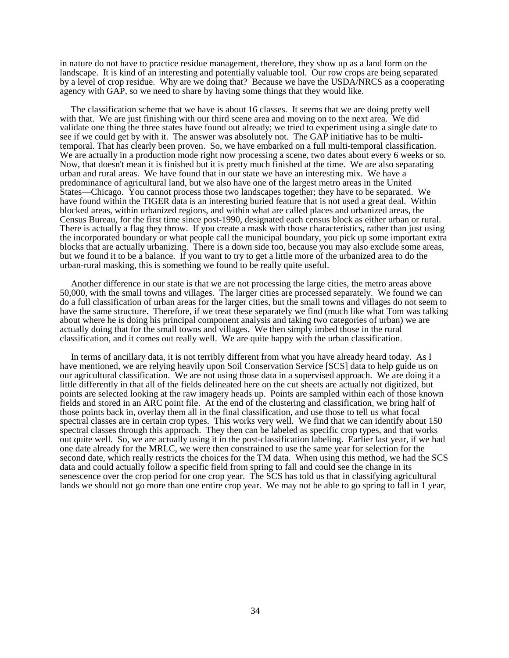in nature do not have to practice residue management, therefore, they show up as a land form on the landscape. It is kind of an interesting and potentially valuable tool. Our row crops are being separated by a level of crop residue. Why are we doing that? Because we have the USDA/NRCS as a cooperating agency with GAP, so we need to share by having some things that they would like.

The classification scheme that we have is about 16 classes. It seems that we are doing pretty well with that. We are just finishing with our third scene area and moving on to the next area. We did validate one thing the three states have found out already; we tried to experiment using a single date to see if we could get by with it. The answer was absolutely not. The GAP initiative has to be multitemporal. That has clearly been proven. So, we have embarked on a full multi-temporal classification. We are actually in a production mode right now processing a scene, two dates about every 6 weeks or so. Now, that doesn't mean it is finished but it is pretty much finished at the time. We are also separating urban and rural areas. We have found that in our state we have an interesting mix. We have a predominance of agricultural land, but we also have one of the largest metro areas in the United States—Chicago. You cannot process those two landscapes together; they have to be separated. We have found within the TIGER data is an interesting buried feature that is not used a great deal. Within blocked areas, within urbanized regions, and within what are called places and urbanized areas, the Census Bureau, for the first time since post-1990, designated each census block as either urban or rural. There is actually a flag they throw. If you create a mask with those characteristics, rather than just using the incorporated boundary or what people call the municipal boundary, you pick up some important extra blocks that are actually urbanizing. There is a down side too, because you may also exclude some areas, but we found it to be a balance. If you want to try to get a little more of the urbanized area to do the urban-rural masking, this is something we found to be really quite useful.

Another difference in our state is that we are not processing the large cities, the metro areas above 50,000, with the small towns and villages. The larger cities are processed separately. We found we can do a full classification of urban areas for the larger cities, but the small towns and villages do not seem to have the same structure. Therefore, if we treat these separately we find (much like what Tom was talking about where he is doing his principal component analysis and taking two categories of urban) we are actually doing that for the small towns and villages. We then simply imbed those in the rural classification, and it comes out really well. We are quite happy with the urban classification.

In terms of ancillary data, it is not terribly different from what you have already heard today. As I have mentioned, we are relying heavily upon Soil Conservation Service [SCS] data to help guide us on our agricultural classification. We are not using those data in a supervised approach. We are doing it a little differently in that all of the fields delineated here on the cut sheets are actually not digitized, but points are selected looking at the raw imagery heads up. Points are sampled within each of those known fields and stored in an ARC point file. At the end of the clustering and classification, we bring half of those points back in, overlay them all in the final classification, and use those to tell us what focal spectral classes are in certain crop types. This works very well. We find that we can identify about 150 spectral classes through this approach. They then can be labeled as specific crop types, and that works out quite well. So, we are actually using it in the post-classification labeling. Earlier last year, if we had one date already for the MRLC, we were then constrained to use the same year for selection for the second date, which really restricts the choices for the TM data. When using this method, we had the SCS data and could actually follow a specific field from spring to fall and could see the change in its senescence over the crop period for one crop year. The SCS has told us that in classifying agricultural lands we should not go more than one entire crop year. We may not be able to go spring to fall in 1 year,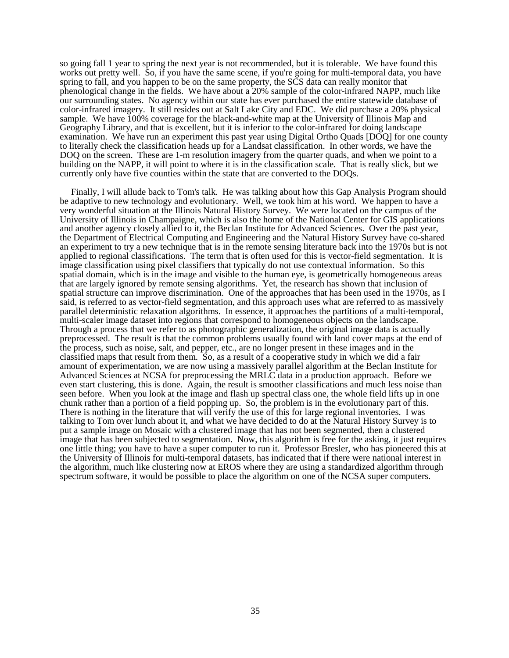so going fall 1 year to spring the next year is not recommended, but it is tolerable. We have found this works out pretty well. So, if you have the same scene, if you're going for multi-temporal data, you have spring to fall, and you happen to be on the same property, the SCS data can really monitor that phenological change in the fields. We have about a 20% sample of the color-infrared NAPP, much like our surrounding states. No agency within our state has ever purchased the entire statewide database of color-infrared imagery. It still resides out at Salt Lake City and EDC. We did purchase a 20% physical sample. We have 100% coverage for the black-and-white map at the University of Illinois Map and Geography Library, and that is excellent, but it is inferior to the color-infrared for doing landscape examination. We have run an experiment this past year using Digital Ortho Quads [DOQ] for one county to literally check the classification heads up for a Landsat classification. In other words, we have the DOQ on the screen. These are 1-m resolution imagery from the quarter quads, and when we point to a building on the NAPP, it will point to where it is in the classification scale. That is really slick, but we currently only have five counties within the state that are converted to the DOQs.

Finally, I will allude back to Tom's talk. He was talking about how this Gap Analysis Program should be adaptive to new technology and evolutionary. Well, we took him at his word. We happen to have a very wonderful situation at the Illinois Natural History Survey. We were located on the campus of the University of Illinois in Champaigne, which is also the home of the National Center for GIS applications and another agency closely allied to it, the Beclan Institute for Advanced Sciences. Over the past year, the Department of Electrical Computing and Engineering and the Natural History Survey have co-shared an experiment to try a new technique that is in the remote sensing literature back into the 1970s but is not applied to regional classifications. The term that is often used for this is vector-field segmentation. It is image classification using pixel classifiers that typically do not use contextual information. So this spatial domain, which is in the image and visible to the human eye, is geometrically homogeneous areas that are largely ignored by remote sensing algorithms. Yet, the research has shown that inclusion of spatial structure can improve discrimination. One of the approaches that has been used in the 1970s, as I said, is referred to as vector-field segmentation, and this approach uses what are referred to as massively parallel deterministic relaxation algorithms. In essence, it approaches the partitions of a multi-temporal, multi-scaler image dataset into regions that correspond to homogeneous objects on the landscape. Through a process that we refer to as photographic generalization, the original image data is actually preprocessed. The result is that the common problems usually found with land cover maps at the end of the process, such as noise, salt, and pepper, etc., are no longer present in these images and in the classified maps that result from them. So, as a result of a cooperative study in which we did a fair amount of experimentation, we are now using a massively parallel algorithm at the Beclan Institute for Advanced Sciences at NCSA for preprocessing the MRLC data in a production approach. Before we even start clustering, this is done. Again, the result is smoother classifications and much less noise than seen before. When you look at the image and flash up spectral class one, the whole field lifts up in one chunk rather than a portion of a field popping up. So, the problem is in the evolutionary part of this. There is nothing in the literature that will verify the use of this for large regional inventories. I was talking to Tom over lunch about it, and what we have decided to do at the Natural History Survey is to put a sample image on Mosaic with a clustered image that has not been segmented, then a clustered image that has been subjected to segmentation. Now, this algorithm is free for the asking, it just requires one little thing; you have to have a super computer to run it. Professor Bresler, who has pioneered this at the University of Illinois for multi-temporal datasets, has indicated that if there were national interest in the algorithm, much like clustering now at EROS where they are using a standardized algorithm through spectrum software, it would be possible to place the algorithm on one of the NCSA super computers.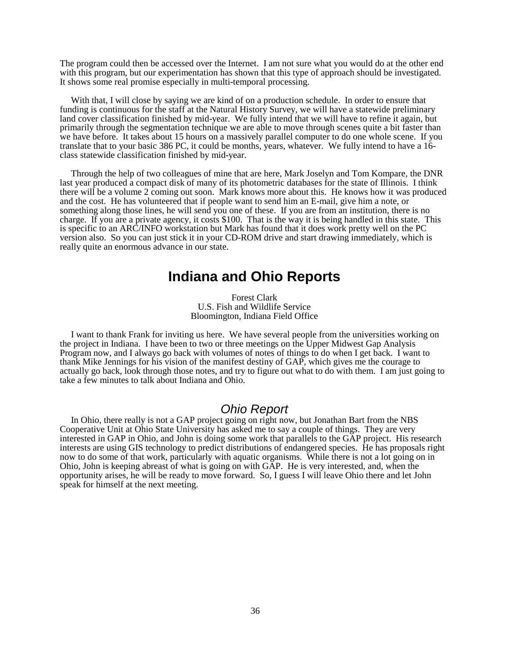The program could then be accessed over the Internet. I am not sure what you would do at the other end with this program, but our experimentation has shown that this type of approach should be investigated. It shows some real promise especially in multi-temporal processing.

With that, I will close by saying we are kind of on a production schedule. In order to ensure that funding is continuous for the staff at the Natural History Survey, we will have a statewide preliminary land cover classification finished by mid-year. We fully intend that we will have to refine it again, but primarily through the segmentation technique we are able to move through scenes quite a bit faster than we have before. It takes about 15 hours on a massively parallel computer to do one whole scene. If you translate that to your basic 386 PC, it could be months, years, whatever. We fully intend to have a 16 class statewide classification finished by mid-year.

Through the help of two colleagues of mine that are here, Mark Joselyn and Tom Kompare, the DNR last year produced a compact disk of many of its photometric databases for the state of Illinois. I think there will be a volume 2 coming out soon. Mark knows more about this. He knows how it was produced and the cost. He has volunteered that if people want to send him an E-mail, give him a note, or something along those lines, he will send you one of these. If you are from an institution, there is no charge. If you are a private agency, it costs \$100. That is the way it is being handled in this state. This is specific to an ARC/INFO workstation but Mark has found that it does work pretty well on the PC version also. So you can just stick it in your CD-ROM drive and start drawing immediately, which is really quite an enormous advance in our state.

### **Indiana and Ohio Reports**

Forest Clark U.S. Fish and Wildlife Service Bloomington, Indiana Field Office

I want to thank Frank for inviting us here. We have several people from the universities working on the project in Indiana. I have been to two or three meetings on the Upper Midwest Gap Analysis Program now, and I always go back with volumes of notes of things to do when I get back. I want to thank Mike Jennings for his vision of the manifest destiny of GAP, which gives me the courage to actually go back, look through those notes, and try to figure out what to do with them. I am just going to take a few minutes to talk about Indiana and Ohio.

### *Ohio Report*

In Ohio, there really is not a GAP project going on right now, but Jonathan Bart from the NBS Cooperative Unit at Ohio State University has asked me to say a couple of things. They are very interested in GAP in Ohio, and John is doing some work that parallels to the GAP project. His research interests are using GIS technology to predict distributions of endangered species. He has proposals right now to do some of that work, particularly with aquatic organisms. While there is not a lot going on in Ohio, John is keeping abreast of what is going on with GAP. He is very interested, and, when the opportunity arises, he will be ready to move forward. So, I guess I will leave Ohio there and let John speak for himself at the next meeting.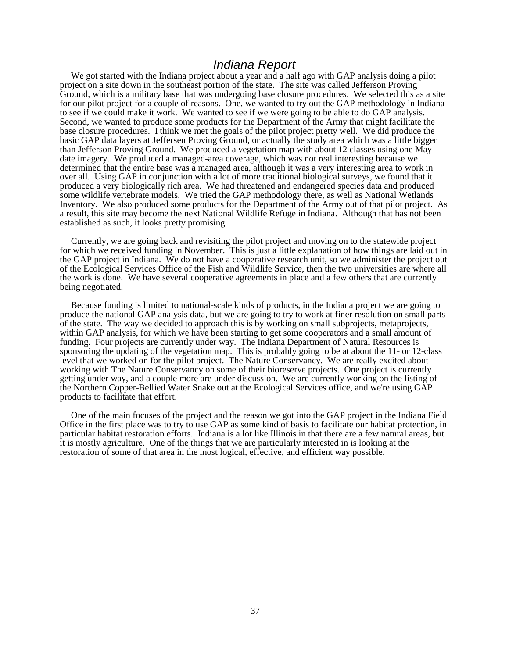### *Indiana Report*

We got started with the Indiana project about a year and a half ago with GAP analysis doing a pilot project on a site down in the southeast portion of the state. The site was called Jefferson Proving Ground, which is a military base that was undergoing base closure procedures. We selected this as a site for our pilot project for a couple of reasons. One, we wanted to try out the GAP methodology in Indiana to see if we could make it work. We wanted to see if we were going to be able to do GAP analysis. Second, we wanted to produce some products for the Department of the Army that might facilitate the base closure procedures. I think we met the goals of the pilot project pretty well. We did produce the basic GAP data layers at Jeffersen Proving Ground, or actually the study area which was a little bigger than Jefferson Proving Ground. We produced a vegetation map with about 12 classes using one May date imagery. We produced a managed-area coverage, which was not real interesting because we determined that the entire base was a managed area, although it was a very interesting area to work in over all. Using GAP in conjunction with a lot of more traditional biological surveys, we found that it produced a very biologically rich area. We had threatened and endangered species data and produced some wildlife vertebrate models. We tried the GAP methodology there, as well as National Wetlands Inventory. We also produced some products for the Department of the Army out of that pilot project. As a result, this site may become the next National Wildlife Refuge in Indiana. Although that has not been established as such, it looks pretty promising.

Currently, we are going back and revisiting the pilot project and moving on to the statewide project for which we received funding in November. This is just a little explanation of how things are laid out in the GAP project in Indiana. We do not have a cooperative research unit, so we administer the project out of the Ecological Services Office of the Fish and Wildlife Service, then the two universities are where all the work is done. We have several cooperative agreements in place and a few others that are currently being negotiated.

Because funding is limited to national-scale kinds of products, in the Indiana project we are going to produce the national GAP analysis data, but we are going to try to work at finer resolution on small parts of the state. The way we decided to approach this is by working on small subprojects, metaprojects, within GAP analysis, for which we have been starting to get some cooperators and a small amount of funding. Four projects are currently under way. The Indiana Department of Natural Resources is sponsoring the updating of the vegetation map. This is probably going to be at about the 11- or 12-class level that we worked on for the pilot project. The Nature Conservancy. We are really excited about working with The Nature Conservancy on some of their bioreserve projects. One project is currently getting under way, and a couple more are under discussion. We are currently working on the listing of the Northern Copper-Bellied Water Snake out at the Ecological Services office, and we're using GAP products to facilitate that effort.

One of the main focuses of the project and the reason we got into the GAP project in the Indiana Field Office in the first place was to try to use GAP as some kind of basis to facilitate our habitat protection, in particular habitat restoration efforts. Indiana is a lot like Illinois in that there are a few natural areas, but it is mostly agriculture. One of the things that we are particularly interested in is looking at the restoration of some of that area in the most logical, effective, and efficient way possible.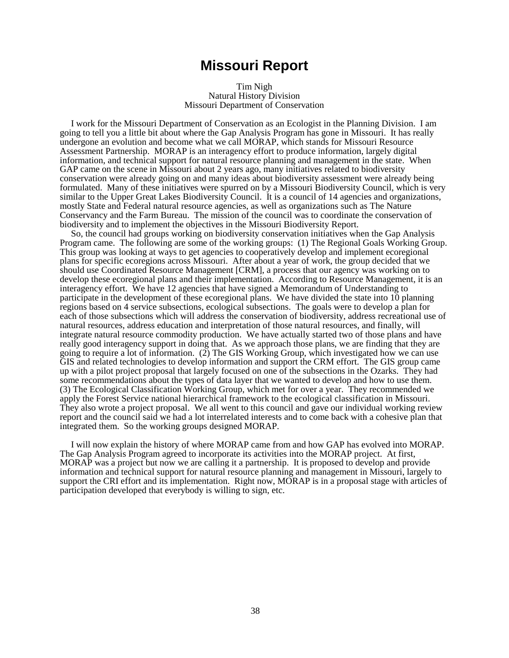### **Missouri Report**

#### Tim Nigh Natural History Division Missouri Department of Conservation

I work for the Missouri Department of Conservation as an Ecologist in the Planning Division. I am going to tell you a little bit about where the Gap Analysis Program has gone in Missouri. It has really undergone an evolution and become what we call MORAP, which stands for Missouri Resource Assessment Partnership. MORAP is an interagency effort to produce information, largely digital information, and technical support for natural resource planning and management in the state. When GAP came on the scene in Missouri about 2 years ago, many initiatives related to biodiversity conservation were already going on and many ideas about biodiversity assessment were already being formulated. Many of these initiatives were spurred on by a Missouri Biodiversity Council, which is very similar to the Upper Great Lakes Biodiversity Council. It is a council of 14 agencies and organizations, mostly State and Federal natural resource agencies, as well as organizations such as The Nature Conservancy and the Farm Bureau. The mission of the council was to coordinate the conservation of biodiversity and to implement the objectives in the Missouri Biodiversity Report.

So, the council had groups working on biodiversity conservation initiatives when the Gap Analysis Program came. The following are some of the working groups: (1) The Regional Goals Working Group. This group was looking at ways to get agencies to cooperatively develop and implement ecoregional plans for specific ecoregions across Missouri. After about a year of work, the group decided that we should use Coordinated Resource Management [CRM], a process that our agency was working on to develop these ecoregional plans and their implementation. According to Resource Management, it is an interagency effort. We have 12 agencies that have signed a Memorandum of Understanding to participate in the development of these ecoregional plans. We have divided the state into  $10$  planning regions based on 4 service subsections, ecological subsections. The goals were to develop a plan for each of those subsections which will address the conservation of biodiversity, address recreational use of natural resources, address education and interpretation of those natural resources, and finally, will integrate natural resource commodity production. We have actually started two of those plans and have really good interagency support in doing that. As we approach those plans, we are finding that they are going to require a lot of information. (2) The GIS Working Group, which investigated how we can use GIS and related technologies to develop information and support the CRM effort. The GIS group came up with a pilot project proposal that largely focused on one of the subsections in the Ozarks. They had some recommendations about the types of data layer that we wanted to develop and how to use them. (3) The Ecological Classification Working Group, which met for over a year. They recommended we apply the Forest Service national hierarchical framework to the ecological classification in Missouri. They also wrote a project proposal. We all went to this council and gave our individual working review report and the council said we had a lot interrelated interests and to come back with a cohesive plan that integrated them. So the working groups designed MORAP.

I will now explain the history of where MORAP came from and how GAP has evolved into MORAP. The Gap Analysis Program agreed to incorporate its activities into the MORAP project. At first, MORAP was a project but now we are calling it a partnership. It is proposed to develop and provide information and technical support for natural resource planning and management in Missouri, largely to support the CRI effort and its implementation. Right now, MORAP is in a proposal stage with articles of participation developed that everybody is willing to sign, etc.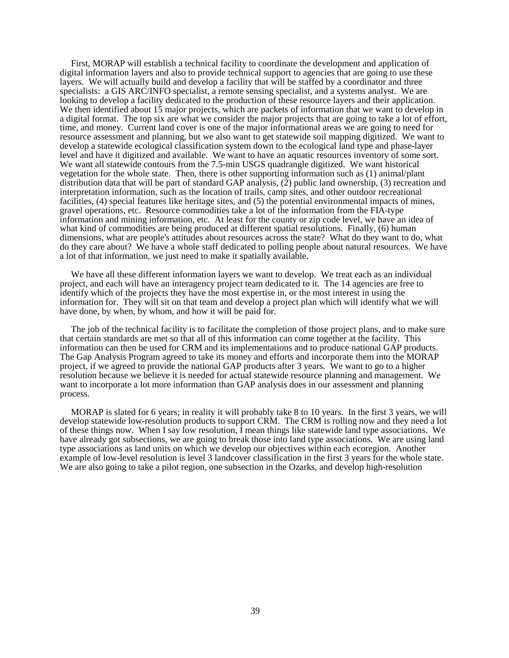First, MORAP will establish a technical facility to coordinate the development and application of digital information layers and also to provide technical support to agencies that are going to use these layers. We will actually build and develop a facility that will be staffed by a coordinator and three specialists: a GIS ARC/INFO specialist, a remote sensing specialist, and a systems analyst. We are looking to develop a facility dedicated to the production of these resource layers and their application. We then identified about 15 major projects, which are packets of information that we want to develop in a digital format. The top six are what we consider the major projects that are going to take a lot of effort, time, and money. Current land cover is one of the major informational areas we are going to need for resource assessment and planning, but we also want to get statewide soil mapping digitized. We want to develop a statewide ecological classification system down to the ecological land type and phase-layer level and have it digitized and available. We want to have an aquatic resources inventory of some sort. We want all statewide contours from the 7.5-min USGS quadrangle digitized. We want historical vegetation for the whole state. Then, there is other supporting information such as (1) animal/plant distribution data that will be part of standard GAP analysis,  $(2)$  public land ownership,  $(3)$  recreation and interpretation information, such as the location of trails, camp sites, and other outdoor recreational facilities, (4) special features like heritage sites, and (5) the potential environmental impacts of mines, gravel operations, etc. Resource commodities take a lot of the information from the FIA-type information and mining information, etc. At least for the county or zip code level, we have an idea of what kind of commodities are being produced at different spatial resolutions. Finally, (6) human dimensions, what are people's attitudes about resources across the state? What do they want to do, what do they care about? We have a whole staff dedicated to polling people about natural resources. We have a lot of that information, we just need to make it spatially available.

We have all these different information layers we want to develop. We treat each as an individual project, and each will have an interagency project team dedicated to it. The 14 agencies are free to identify which of the projects they have the most expertise in, or the most interest in using the information for. They will sit on that team and develop a project plan which will identify what we will have done, by when, by whom, and how it will be paid for.

The job of the technical facility is to facilitate the completion of those project plans, and to make sure that certain standards are met so that all of this information can come together at the facility. This information can then be used for CRM and its implementations and to produce national GAP products. The Gap Analysis Program agreed to take its money and efforts and incorporate them into the MORAP project, if we agreed to provide the national GAP products after 3 years. We want to go to a higher resolution because we believe it is needed for actual statewide resource planning and management. We want to incorporate a lot more information than GAP analysis does in our assessment and planning process.

MORAP is slated for 6 years; in reality it will probably take 8 to 10 years. In the first 3 years, we will develop statewide low-resolution products to support CRM. The CRM is rolling now and they need a lot of these things now. When I say low resolution, I mean things like statewide land type associations. We have already got subsections, we are going to break those into land type associations. We are using land type associations as land units on which we develop our objectives within each ecoregion. Another example of low-level resolution is level 3 landcover classification in the first 3 years for the whole state. We are also going to take a pilot region, one subsection in the Ozarks, and develop high-resolution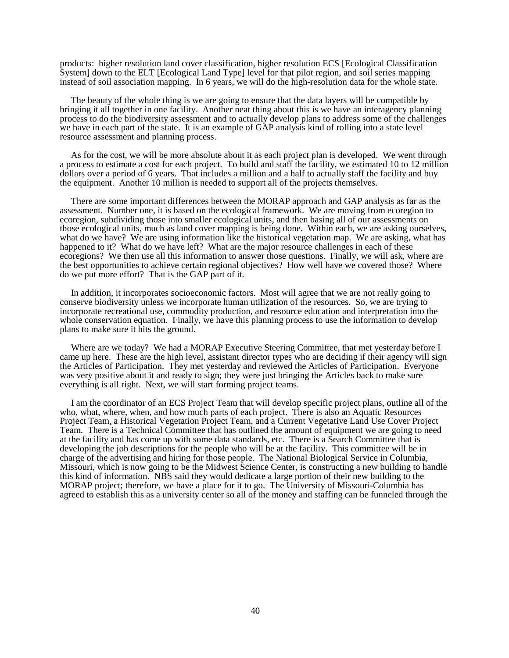products: higher resolution land cover classification, higher resolution ECS [Ecological Classification System] down to the ELT [Ecological Land Type] level for that pilot region, and soil series mapping instead of soil association mapping. In 6 years, we will do the high-resolution data for the whole state.

The beauty of the whole thing is we are going to ensure that the data layers will be compatible by bringing it all together in one facility. Another neat thing about this is we have an interagency planning process to do the biodiversity assessment and to actually develop plans to address some of the challenges we have in each part of the state. It is an example of GAP analysis kind of rolling into a state level resource assessment and planning process.

As for the cost, we will be more absolute about it as each project plan is developed. We went through a process to estimate a cost for each project. To build and staff the facility, we estimated 10 to 12 million dollars over a period of 6 years. That includes a million and a half to actually staff the facility and buy the equipment. Another 10 million is needed to support all of the projects themselves.

There are some important differences between the MORAP approach and GAP analysis as far as the assessment. Number one, it is based on the ecological framework. We are moving from ecoregion to ecoregion, subdividing those into smaller ecological units, and then basing all of our assessments on those ecological units, much as land cover mapping is being done. Within each, we are asking ourselves, what do we have? We are using information like the historical vegetation map. We are asking, what has happened to it? What do we have left? What are the major resource challenges in each of these ecoregions? We then use all this information to answer those questions. Finally, we will ask, where are the best opportunities to achieve certain regional objectives? How well have we covered those? Where do we put more effort? That is the GAP part of it.

In addition, it incorporates socioeconomic factors. Most will agree that we are not really going to conserve biodiversity unless we incorporate human utilization of the resources. So, we are trying to incorporate recreational use, commodity production, and resource education and interpretation into the whole conservation equation. Finally, we have this planning process to use the information to develop plans to make sure it hits the ground.

Where are we today? We had a MORAP Executive Steering Committee, that met yesterday before I came up here. These are the high level, assistant director types who are deciding if their agency will sign the Articles of Participation. They met yesterday and reviewed the Articles of Participation. Everyone was very positive about it and ready to sign; they were just bringing the Articles back to make sure everything is all right. Next, we will start forming project teams.

I am the coordinator of an ECS Project Team that will develop specific project plans, outline all of the who, what, where, when, and how much parts of each project. There is also an Aquatic Resources Project Team, a Historical Vegetation Project Team, and a Current Vegetative Land Use Cover Project Team. There is a Technical Committee that has outlined the amount of equipment we are going to need at the facility and has come up with some data standards, etc. There is a Search Committee that is developing the job descriptions for the people who will be at the facility. This committee will be in charge of the advertising and hiring for those people. The National Biological Service in Columbia, Missouri, which is now going to be the Midwest Science Center, is constructing a new building to handle this kind of information. NBS said they would dedicate a large portion of their new building to the MORAP project; therefore, we have a place for it to go. The University of Missouri-Columbia has agreed to establish this as a university center so all of the money and staffing can be funneled through the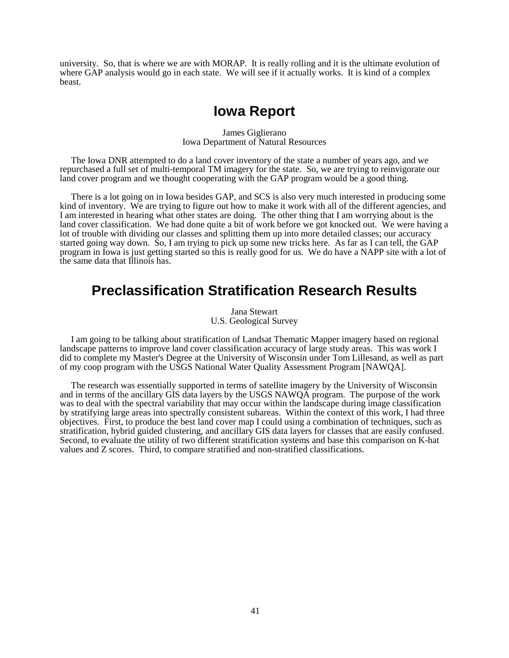university. So, that is where we are with MORAP. It is really rolling and it is the ultimate evolution of where GAP analysis would go in each state. We will see if it actually works. It is kind of a complex beast.

## **Iowa Report**

#### James Giglierano Iowa Department of Natural Resources

The Iowa DNR attempted to do a land cover inventory of the state a number of years ago, and we repurchased a full set of multi-temporal TM imagery for the state. So, we are trying to reinvigorate our land cover program and we thought cooperating with the GAP program would be a good thing.

There is a lot going on in Iowa besides GAP, and SCS is also very much interested in producing some kind of inventory. We are trying to figure out how to make it work with all of the different agencies, and I am interested in hearing what other states are doing. The other thing that I am worrying about is the land cover classification. We had done quite a bit of work before we got knocked out. We were having a lot of trouble with dividing our classes and splitting them up into more detailed classes; our accuracy started going way down. So, I am trying to pick up some new tricks here. As far as I can tell, the GAP program in Iowa is just getting started so this is really good for us. We do have a NAPP site with a lot of the same data that Illinois has.

## **Preclassification Stratification Research Results**

Jana Stewart U.S. Geological Survey

I am going to be talking about stratification of Landsat Thematic Mapper imagery based on regional landscape patterns to improve land cover classification accuracy of large study areas. This was work I did to complete my Master's Degree at the University of Wisconsin under Tom Lillesand, as well as part of my coop program with the USGS National Water Quality Assessment Program [NAWQA].

The research was essentially supported in terms of satellite imagery by the University of Wisconsin and in terms of the ancillary GIS data layers by the USGS NAWQA program. The purpose of the work was to deal with the spectral variability that may occur within the landscape during image classification by stratifying large areas into spectrally consistent subareas. Within the context of this work, I had three objectives. First, to produce the best land cover map I could using a combination of techniques, such as stratification, hybrid guided clustering, and ancillary GIS data layers for classes that are easily confused. Second, to evaluate the utility of two different stratification systems and base this comparison on K-hat values and Z scores. Third, to compare stratified and non-stratified classifications.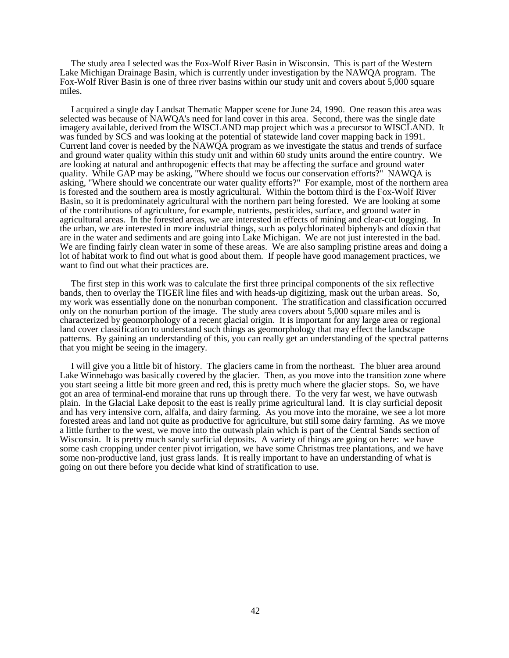The study area I selected was the Fox-Wolf River Basin in Wisconsin. This is part of the Western Lake Michigan Drainage Basin, which is currently under investigation by the NAWQA program. The Fox-Wolf River Basin is one of three river basins within our study unit and covers about 5,000 square miles.

I acquired a single day Landsat Thematic Mapper scene for June 24, 1990. One reason this area was selected was because of NAWQA's need for land cover in this area. Second, there was the single date imagery available, derived from the WISCLAND map project which was a precursor to WISCLAND. It was funded by SCS and was looking at the potential of statewide land cover mapping back in 1991. Current land cover is needed by the NAWQA program as we investigate the status and trends of surface and ground water quality within this study unit and within 60 study units around the entire country. We are looking at natural and anthropogenic effects that may be affecting the surface and ground water quality. While GAP may be asking, "Where should we focus our conservation efforts?" NAWQA is asking, "Where should we concentrate our water quality efforts?" For example, most of the northern area is forested and the southern area is mostly agricultural. Within the bottom third is the Fox-Wolf River Basin, so it is predominately agricultural with the northern part being forested. We are looking at some of the contributions of agriculture, for example, nutrients, pesticides, surface, and ground water in agricultural areas. In the forested areas, we are interested in effects of mining and clear-cut logging. In the urban, we are interested in more industrial things, such as polychlorinated biphenyls and dioxin that are in the water and sediments and are going into Lake Michigan. We are not just interested in the bad. We are finding fairly clean water in some of these areas. We are also sampling pristine areas and doing a lot of habitat work to find out what is good about them. If people have good management practices, we want to find out what their practices are.

The first step in this work was to calculate the first three principal components of the six reflective bands, then to overlay the TIGER line files and with heads-up digitizing, mask out the urban areas. So, my work was essentially done on the nonurban component. The stratification and classification occurred only on the nonurban portion of the image. The study area covers about 5,000 square miles and is characterized by geomorphology of a recent glacial origin. It is important for any large area or regional land cover classification to understand such things as geomorphology that may effect the landscape patterns. By gaining an understanding of this, you can really get an understanding of the spectral patterns that you might be seeing in the imagery.

I will give you a little bit of history. The glaciers came in from the northeast. The bluer area around Lake Winnebago was basically covered by the glacier. Then, as you move into the transition zone where you start seeing a little bit more green and red, this is pretty much where the glacier stops. So, we have got an area of terminal-end moraine that runs up through there. To the very far west, we have outwash plain. In the Glacial Lake deposit to the east is really prime agricultural land. It is clay surficial deposit and has very intensive corn, alfalfa, and dairy farming. As you move into the moraine, we see a lot more forested areas and land not quite as productive for agriculture, but still some dairy farming. As we move a little further to the west, we move into the outwash plain which is part of the Central Sands section of Wisconsin. It is pretty much sandy surficial deposits. A variety of things are going on here: we have some cash cropping under center pivot irrigation, we have some Christmas tree plantations, and we have some non-productive land, just grass lands. It is really important to have an understanding of what is going on out there before you decide what kind of stratification to use.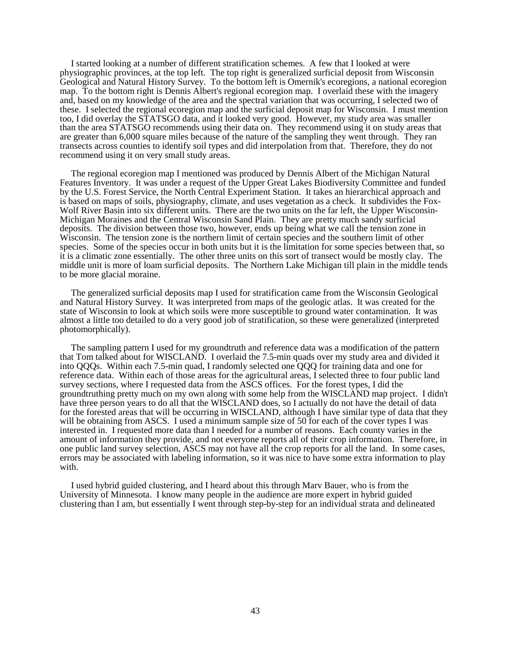I started looking at a number of different stratification schemes. A few that I looked at were physiographic provinces, at the top left. The top right is generalized surficial deposit from Wisconsin Geological and Natural History Survey. To the bottom left is Omernik's ecoregions, a national ecoregion map. To the bottom right is Dennis Albert's regional ecoregion map. I overlaid these with the imagery and, based on my knowledge of the area and the spectral variation that was occurring, I selected two of these. I selected the regional ecoregion map and the surficial deposit map for Wisconsin. I must mention too, I did overlay the STATSGO data, and it looked very good. However, my study area was smaller than the area STATSGO recommends using their data on. They recommend using it on study areas that are greater than 6,000 square miles because of the nature of the sampling they went through. They ran transects across counties to identify soil types and did interpolation from that. Therefore, they do not recommend using it on very small study areas.

The regional ecoregion map I mentioned was produced by Dennis Albert of the Michigan Natural Features Inventory. It was under a request of the Upper Great Lakes Biodiversity Committee and funded by the U.S. Forest Service, the North Central Experiment Station. It takes an hierarchical approach and is based on maps of soils, physiography, climate, and uses vegetation as a check. It subdivides the Fox-Wolf River Basin into six different units. There are the two units on the far left, the Upper Wisconsin-Michigan Moraines and the Central Wisconsin Sand Plain. They are pretty much sandy surficial deposits. The division between those two, however, ends up being what we call the tension zone in Wisconsin. The tension zone is the northern limit of certain species and the southern limit of other species. Some of the species occur in both units but it is the limitation for some species between that, so it is a climatic zone essentially. The other three units on this sort of transect would be mostly clay. The middle unit is more of loam surficial deposits. The Northern Lake Michigan till plain in the middle tends to be more glacial moraine.

The generalized surficial deposits map I used for stratification came from the Wisconsin Geological and Natural History Survey. It was interpreted from maps of the geologic atlas. It was created for the state of Wisconsin to look at which soils were more susceptible to ground water contamination. It was almost a little too detailed to do a very good job of stratification, so these were generalized (interpreted photomorphically).

The sampling pattern I used for my groundtruth and reference data was a modification of the pattern that Tom talked about for WISCLAND. I overlaid the 7.5-min quads over my study area and divided it into QQQs. Within each 7.5-min quad, I randomly selected one QQQ for training data and one for reference data. Within each of those areas for the agricultural areas, I selected three to four public land survey sections, where I requested data from the ASCS offices. For the forest types, I did the groundtruthing pretty much on my own along with some help from the WISCLAND map project. I didn't have three person years to do all that the WISCLAND does, so I actually do not have the detail of data for the forested areas that will be occurring in WISCLAND, although I have similar type of data that they will be obtaining from ASCS. I used a minimum sample size of 50 for each of the cover types I was interested in. I requested more data than I needed for a number of reasons. Each county varies in the amount of information they provide, and not everyone reports all of their crop information. Therefore, in one public land survey selection, ASCS may not have all the crop reports for all the land. In some cases, errors may be associated with labeling information, so it was nice to have some extra information to play with.

I used hybrid guided clustering, and I heard about this through Marv Bauer, who is from the University of Minnesota. I know many people in the audience are more expert in hybrid guided clustering than I am, but essentially I went through step-by-step for an individual strata and delineated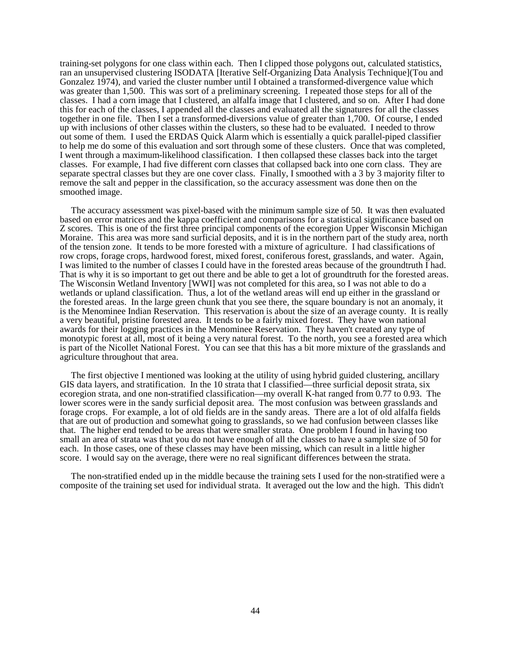training-set polygons for one class within each. Then I clipped those polygons out, calculated statistics, ran an unsupervised clustering ISODATA [Iterative Self-Organizing Data Analysis Technique](Tou and Gonzalez 1974), and varied the cluster number until I obtained a transformed-divergence value which was greater than 1,500. This was sort of a preliminary screening. I repeated those steps for all of the classes. I had a corn image that I clustered, an alfalfa image that I clustered, and so on. After I had done this for each of the classes, I appended all the classes and evaluated all the signatures for all the classes together in one file. Then I set a transformed-diversions value of greater than 1,700. Of course, I ended up with inclusions of other classes within the clusters, so these had to be evaluated. I needed to throw out some of them. I used the ERDAS Quick Alarm which is essentially a quick parallel-piped classifier to help me do some of this evaluation and sort through some of these clusters. Once that was completed, I went through a maximum-likelihood classification. I then collapsed these classes back into the target classes. For example, I had five different corn classes that collapsed back into one corn class. They are separate spectral classes but they are one cover class. Finally, I smoothed with a 3 by 3 majority filter to remove the salt and pepper in the classification, so the accuracy assessment was done then on the smoothed image.

The accuracy assessment was pixel-based with the minimum sample size of 50. It was then evaluated based on error matrices and the kappa coefficient and comparisons for a statistical significance based on Z scores. This is one of the first three principal components of the ecoregion Upper Wisconsin Michigan Moraine. This area was more sand surficial deposits, and it is in the northern part of the study area, north of the tension zone. It tends to be more forested with a mixture of agriculture. I had classifications of row crops, forage crops, hardwood forest, mixed forest, coniferous forest, grasslands, and water. Again, I was limited to the number of classes I could have in the forested areas because of the groundtruth I had. That is why it is so important to get out there and be able to get a lot of groundtruth for the forested areas. The Wisconsin Wetland Inventory [WWI] was not completed for this area, so I was not able to do a wetlands or upland classification. Thus, a lot of the wetland areas will end up either in the grassland or the forested areas. In the large green chunk that you see there, the square boundary is not an anomaly, it is the Menominee Indian Reservation. This reservation is about the size of an average county. It is really a very beautiful, pristine forested area. It tends to be a fairly mixed forest. They have won national awards for their logging practices in the Menominee Reservation. They haven't created any type of monotypic forest at all, most of it being a very natural forest. To the north, you see a forested area which is part of the Nicollet National Forest. You can see that this has a bit more mixture of the grasslands and agriculture throughout that area.

The first objective I mentioned was looking at the utility of using hybrid guided clustering, ancillary GIS data layers, and stratification. In the 10 strata that I classified—three surficial deposit strata, six ecoregion strata, and one non-stratified classification—my overall K-hat ranged from 0.77 to 0.93. The lower scores were in the sandy surficial deposit area. The most confusion was between grasslands and forage crops. For example, a lot of old fields are in the sandy areas. There are a lot of old alfalfa fields that are out of production and somewhat going to grasslands, so we had confusion between classes like that. The higher end tended to be areas that were smaller strata. One problem I found in having too small an area of strata was that you do not have enough of all the classes to have a sample size of 50 for each. In those cases, one of these classes may have been missing, which can result in a little higher score. I would say on the average, there were no real significant differences between the strata.

The non-stratified ended up in the middle because the training sets I used for the non-stratified were a composite of the training set used for individual strata. It averaged out the low and the high. This didn't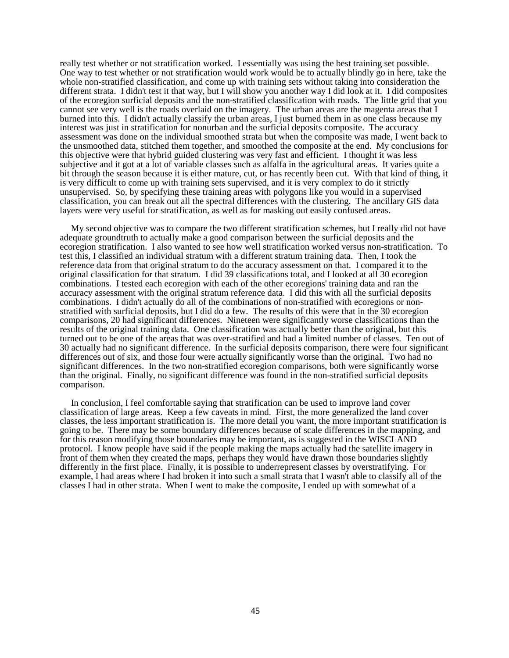really test whether or not stratification worked. I essentially was using the best training set possible. One way to test whether or not stratification would work would be to actually blindly go in here, take the whole non-stratified classification, and come up with training sets without taking into consideration the different strata. I didn't test it that way, but I will show you another way I did look at it. I did composites of the ecoregion surficial deposits and the non-stratified classification with roads. The little grid that you cannot see very well is the roads overlaid on the imagery. The urban areas are the magenta areas that I burned into this. I didn't actually classify the urban areas, I just burned them in as one class because my interest was just in stratification for nonurban and the surficial deposits composite. The accuracy assessment was done on the individual smoothed strata but when the composite was made, I went back to the unsmoothed data, stitched them together, and smoothed the composite at the end. My conclusions for this objective were that hybrid guided clustering was very fast and efficient. I thought it was less subjective and it got at a lot of variable classes such as alfalfa in the agricultural areas. It varies quite a bit through the season because it is either mature, cut, or has recently been cut. With that kind of thing, it is very difficult to come up with training sets supervised, and it is very complex to do it strictly unsupervised. So, by specifying these training areas with polygons like you would in a supervised classification, you can break out all the spectral differences with the clustering. The ancillary GIS data layers were very useful for stratification, as well as for masking out easily confused areas.

My second objective was to compare the two different stratification schemes, but I really did not have adequate groundtruth to actually make a good comparison between the surficial deposits and the ecoregion stratification. I also wanted to see how well stratification worked versus non-stratification. To test this, I classified an individual stratum with a different stratum training data. Then, I took the reference data from that original stratum to do the accuracy assessment on that. I compared it to the original classification for that stratum. I did 39 classifications total, and I looked at all 30 ecoregion combinations. I tested each ecoregion with each of the other ecoregions' training data and ran the accuracy assessment with the original stratum reference data. I did this with all the surficial deposits combinations. I didn't actually do all of the combinations of non-stratified with ecoregions or nonstratified with surficial deposits, but I did do a few. The results of this were that in the 30 ecoregion comparisons, 20 had significant differences. Nineteen were significantly worse classifications than the results of the original training data. One classification was actually better than the original, but this turned out to be one of the areas that was over-stratified and had a limited number of classes. Ten out of 30 actually had no significant difference. In the surficial deposits comparison, there were four significant differences out of six, and those four were actually significantly worse than the original. Two had no significant differences. In the two non-stratified ecoregion comparisons, both were significantly worse than the original. Finally, no significant difference was found in the non-stratified surficial deposits comparison.

In conclusion, I feel comfortable saying that stratification can be used to improve land cover classification of large areas. Keep a few caveats in mind. First, the more generalized the land cover classes, the less important stratification is. The more detail you want, the more important stratification is going to be. There may be some boundary differences because of scale differences in the mapping, and for this reason modifying those boundaries may be important, as is suggested in the WISCLAND protocol. I know people have said if the people making the maps actually had the satellite imagery in front of them when they created the maps, perhaps they would have drawn those boundaries slightly differently in the first place. Finally, it is possible to underrepresent classes by overstratifying. For example, I had areas where I had broken it into such a small strata that I wasn't able to classify all of the classes I had in other strata. When I went to make the composite, I ended up with somewhat of a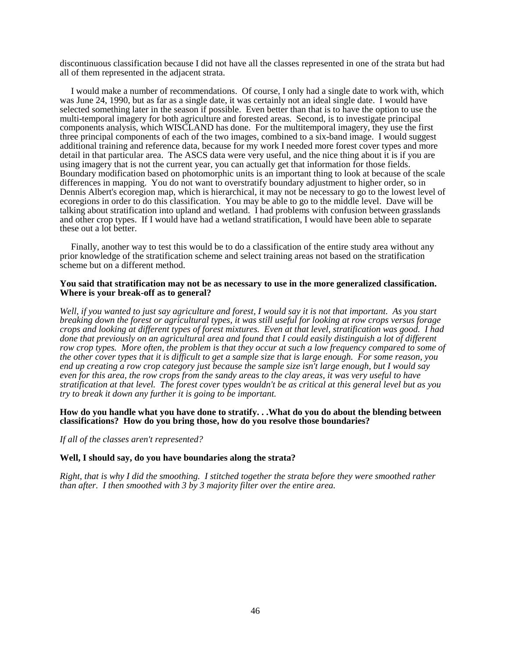discontinuous classification because I did not have all the classes represented in one of the strata but had all of them represented in the adjacent strata.

I would make a number of recommendations. Of course, I only had a single date to work with, which was June 24, 1990, but as far as a single date, it was certainly not an ideal single date. I would have selected something later in the season if possible. Even better than that is to have the option to use the multi-temporal imagery for both agriculture and forested areas. Second, is to investigate principal components analysis, which WISCLAND has done. For the multitemporal imagery, they use the first three principal components of each of the two images, combined to a six-band image. I would suggest additional training and reference data, because for my work I needed more forest cover types and more detail in that particular area. The ASCS data were very useful, and the nice thing about it is if you are using imagery that is not the current year, you can actually get that information for those fields. Boundary modification based on photomorphic units is an important thing to look at because of the scale differences in mapping. You do not want to overstratify boundary adjustment to higher order, so in Dennis Albert's ecoregion map, which is hierarchical, it may not be necessary to go to the lowest level of ecoregions in order to do this classification. You may be able to go to the middle level. Dave will be talking about stratification into upland and wetland. I had problems with confusion between grasslands and other crop types. If I would have had a wetland stratification, I would have been able to separate these out a lot better.

Finally, another way to test this would be to do a classification of the entire study area without any prior knowledge of the stratification scheme and select training areas not based on the stratification scheme but on a different method.

#### **You said that stratification may not be as necessary to use in the more generalized classification. Where is your break-off as to general?**

*Well, if you wanted to just say agriculture and forest, I would say it is not that important. As you start breaking down the forest or agricultural types, it was still useful for looking at row crops versus forage crops and looking at different types of forest mixtures. Even at that level, stratification was good. I had done that previously on an agricultural area and found that I could easily distinguish a lot of different row crop types. More often, the problem is that they occur at such a low frequency compared to some of the other cover types that it is difficult to get a sample size that is large enough. For some reason, you end up creating a row crop category just because the sample size isn't large enough, but I would say even for this area, the row crops from the sandy areas to the clay areas, it was very useful to have stratification at that level. The forest cover types wouldn't be as critical at this general level but as you try to break it down any further it is going to be important.*

#### **How do you handle what you have done to stratify. . .What do you do about the blending between classifications? How do you bring those, how do you resolve those boundaries?**

*If all of the classes aren't represented?* 

#### **Well, I should say, do you have boundaries along the strata?**

*Right, that is why I did the smoothing. I stitched together the strata before they were smoothed rather than after. I then smoothed with 3 by 3 majority filter over the entire area.*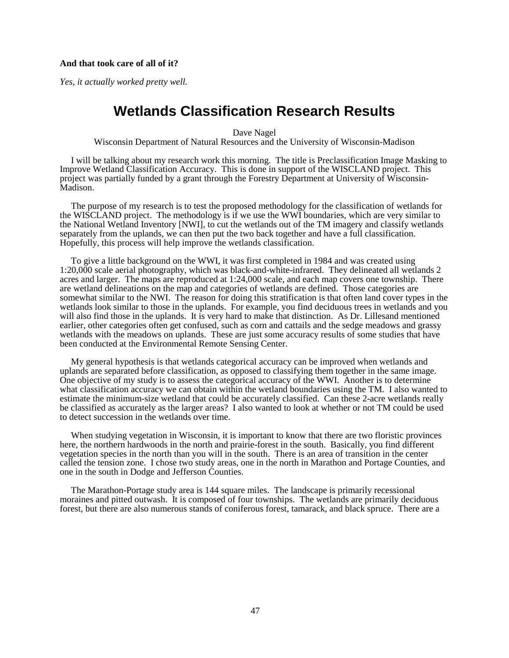#### **And that took care of all of it?**

*Yes, it actually worked pretty well.*

### **Wetlands Classification Research Results**

Dave Nagel

Wisconsin Department of Natural Resources and the University of Wisconsin-Madison

I will be talking about my research work this morning. The title is Preclassification Image Masking to Improve Wetland Classification Accuracy. This is done in support of the WISCLAND project. This project was partially funded by a grant through the Forestry Department at University of Wisconsin-Madison.

The purpose of my research is to test the proposed methodology for the classification of wetlands for the WISCLAND project. The methodology is if we use the WWI boundaries, which are very similar to the National Wetland Inventory [NWI], to cut the wetlands out of the TM imagery and classify wetlands separately from the uplands, we can then put the two back together and have a full classification. Hopefully, this process will help improve the wetlands classification.

To give a little background on the WWI, it was first completed in 1984 and was created using 1:20,000 scale aerial photography, which was black-and-white-infrared. They delineated all wetlands 2 acres and larger. The maps are reproduced at 1:24,000 scale, and each map covers one township. There are wetland delineations on the map and categories of wetlands are defined. Those categories are somewhat similar to the NWI. The reason for doing this stratification is that often land cover types in the wetlands look similar to those in the uplands. For example, you find deciduous trees in wetlands and you will also find those in the uplands. It is very hard to make that distinction. As Dr. Lillesand mentioned earlier, other categories often get confused, such as corn and cattails and the sedge meadows and grassy wetlands with the meadows on uplands. These are just some accuracy results of some studies that have been conducted at the Environmental Remote Sensing Center.

My general hypothesis is that wetlands categorical accuracy can be improved when wetlands and uplands are separated before classification, as opposed to classifying them together in the same image. One objective of my study is to assess the categorical accuracy of the WWI. Another is to determine what classification accuracy we can obtain within the wetland boundaries using the TM. I also wanted to estimate the minimum-size wetland that could be accurately classified. Can these 2-acre wetlands really be classified as accurately as the larger areas? I also wanted to look at whether or not TM could be used to detect succession in the wetlands over time.

When studying vegetation in Wisconsin, it is important to know that there are two floristic provinces here, the northern hardwoods in the north and prairie-forest in the south. Basically, you find different vegetation species in the north than you will in the south. There is an area of transition in the center called the tension zone. I chose two study areas, one in the north in Marathon and Portage Counties, and one in the south in Dodge and Jefferson Counties.

The Marathon-Portage study area is 144 square miles. The landscape is primarily recessional moraines and pitted outwash. It is composed of four townships. The wetlands are primarily deciduous forest, but there are also numerous stands of coniferous forest, tamarack, and black spruce. There are a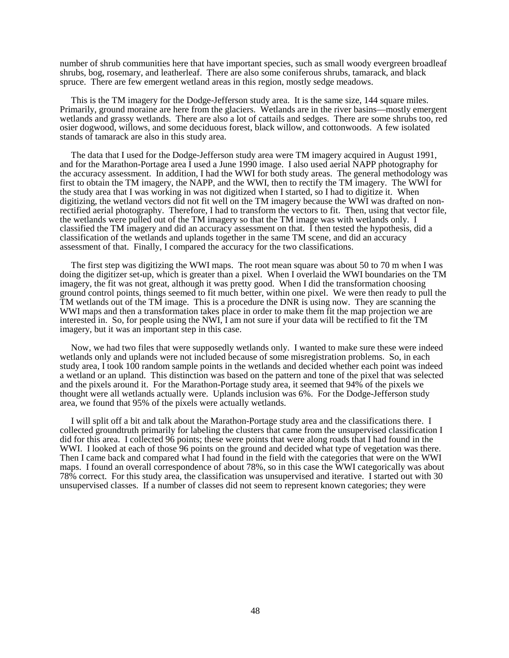number of shrub communities here that have important species, such as small woody evergreen broadleaf shrubs, bog, rosemary, and leatherleaf. There are also some coniferous shrubs, tamarack, and black spruce. There are few emergent wetland areas in this region, mostly sedge meadows.

This is the TM imagery for the Dodge-Jefferson study area. It is the same size, 144 square miles. Primarily, ground moraine are here from the glaciers. Wetlands are in the river basins—mostly emergent wetlands and grassy wetlands. There are also a lot of cattails and sedges. There are some shrubs too, red osier dogwood, willows, and some deciduous forest, black willow, and cottonwoods. A few isolated stands of tamarack are also in this study area.

The data that I used for the Dodge-Jefferson study area were TM imagery acquired in August 1991, and for the Marathon-Portage area I used a June 1990 image. I also used aerial NAPP photography for the accuracy assessment. In addition, I had the WWI for both study areas. The general methodology was first to obtain the TM imagery, the NAPP, and the WWI, then to rectify the TM imagery. The WWI for the study area that I was working in was not digitized when I started, so I had to digitize it. When digitizing, the wetland vectors did not fit well on the TM imagery because the WWI was drafted on nonrectified aerial photography. Therefore, I had to transform the vectors to fit. Then, using that vector file, the wetlands were pulled out of the TM imagery so that the TM image was with wetlands only. I classified the TM imagery and did an accuracy assessment on that. I then tested the hypothesis, did a classification of the wetlands and uplands together in the same TM scene, and did an accuracy assessment of that. Finally, I compared the accuracy for the two classifications.

The first step was digitizing the WWI maps. The root mean square was about 50 to 70 m when I was doing the digitizer set-up, which is greater than a pixel. When I overlaid the WWI boundaries on the TM imagery, the fit was not great, although it was pretty good. When I did the transformation choosing ground control points, things seemed to fit much better, within one pixel. We were then ready to pull the TM wetlands out of the TM image. This is a procedure the DNR is using now. They are scanning the WWI maps and then a transformation takes place in order to make them fit the map projection we are interested in. So, for people using the NWI, I am not sure if your data will be rectified to fit the TM imagery, but it was an important step in this case.

Now, we had two files that were supposedly wetlands only. I wanted to make sure these were indeed wetlands only and uplands were not included because of some misregistration problems. So, in each study area, I took 100 random sample points in the wetlands and decided whether each point was indeed a wetland or an upland. This distinction was based on the pattern and tone of the pixel that was selected and the pixels around it. For the Marathon-Portage study area, it seemed that 94% of the pixels we thought were all wetlands actually were. Uplands inclusion was 6%. For the Dodge-Jefferson study area, we found that 95% of the pixels were actually wetlands.

I will split off a bit and talk about the Marathon-Portage study area and the classifications there. I collected groundtruth primarily for labeling the clusters that came from the unsupervised classification I did for this area. I collected 96 points; these were points that were along roads that I had found in the WWI. I looked at each of those 96 points on the ground and decided what type of vegetation was there. Then I came back and compared what I had found in the field with the categories that were on the WWI maps. I found an overall correspondence of about 78%, so in this case the WWI categorically was about 78% correct. For this study area, the classification was unsupervised and iterative. I started out with 30 unsupervised classes. If a number of classes did not seem to represent known categories; they were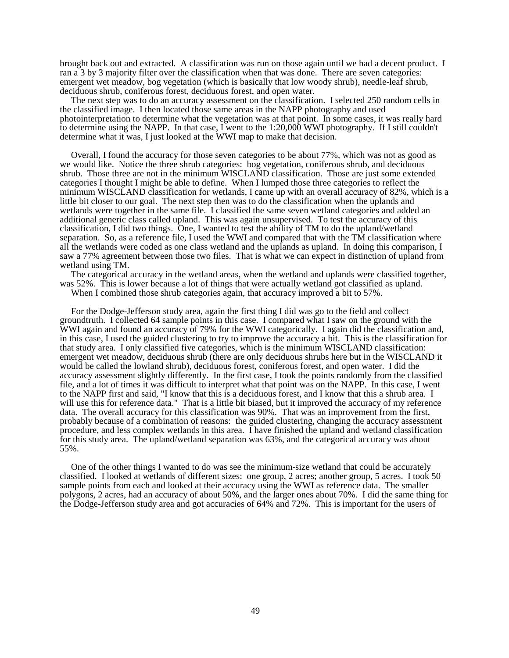brought back out and extracted. A classification was run on those again until we had a decent product. I ran a 3 by 3 majority filter over the classification when that was done. There are seven categories: emergent wet meadow, bog vegetation (which is basically that low woody shrub), needle-leaf shrub, deciduous shrub, coniferous forest, deciduous forest, and open water.

The next step was to do an accuracy assessment on the classification. I selected 250 random cells in the classified image. I then located those same areas in the NAPP photography and used photointerpretation to determine what the vegetation was at that point. In some cases, it was really hard to determine using the NAPP. In that case, I went to the 1:20,000 WWI photography. If I still couldn't determine what it was, I just looked at the WWI map to make that decision.

Overall, I found the accuracy for those seven categories to be about 77%, which was not as good as we would like. Notice the three shrub categories: bog vegetation, coniferous shrub, and deciduous shrub. Those three are not in the minimum WISCLAND classification. Those are just some extended categories I thought I might be able to define. When I lumped those three categories to reflect the minimum WISCLAND classification for wetlands, I came up with an overall accuracy of 82%, which is a little bit closer to our goal. The next step then was to do the classification when the uplands and wetlands were together in the same file. I classified the same seven wetland categories and added an additional generic class called upland. This was again unsupervised. To test the accuracy of this classification, I did two things. One, I wanted to test the ability of TM to do the upland/wetland separation. So, as a reference file, I used the WWI and compared that with the TM classification where all the wetlands were coded as one class wetland and the uplands as upland. In doing this comparison, I saw a 77% agreement between those two files. That is what we can expect in distinction of upland from wetland using TM.

The categorical accuracy in the wetland areas, when the wetland and uplands were classified together, was 52%. This is lower because a lot of things that were actually wetland got classified as upland.

When I combined those shrub categories again, that accuracy improved a bit to 57%.

For the Dodge-Jefferson study area, again the first thing I did was go to the field and collect groundtruth. I collected 64 sample points in this case. I compared what I saw on the ground with the WWI again and found an accuracy of 79% for the WWI categorically. I again did the classification and, in this case, I used the guided clustering to try to improve the accuracy a bit. This is the classification for that study area. I only classified five categories, which is the minimum WISCLAND classification: emergent wet meadow, deciduous shrub (there are only deciduous shrubs here but in the WISCLAND it would be called the lowland shrub), deciduous forest, coniferous forest, and open water. I did the accuracy assessment slightly differently. In the first case, I took the points randomly from the classified file, and a lot of times it was difficult to interpret what that point was on the NAPP. In this case, I went to the NAPP first and said, "I know that this is a deciduous forest, and I know that this a shrub area. I will use this for reference data." That is a little bit biased, but it improved the accuracy of my reference data. The overall accuracy for this classification was 90%. That was an improvement from the first, probably because of a combination of reasons: the guided clustering, changing the accuracy assessment procedure, and less complex wetlands in this area. I have finished the upland and wetland classification for this study area. The upland/wetland separation was 63%, and the categorical accuracy was about 55%.

One of the other things I wanted to do was see the minimum-size wetland that could be accurately classified. I looked at wetlands of different sizes: one group, 2 acres; another group, 5 acres. I took 50 sample points from each and looked at their accuracy using the WWI as reference data. The smaller polygons, 2 acres, had an accuracy of about 50%, and the larger ones about 70%. I did the same thing for the Dodge-Jefferson study area and got accuracies of 64% and 72%. This is important for the users of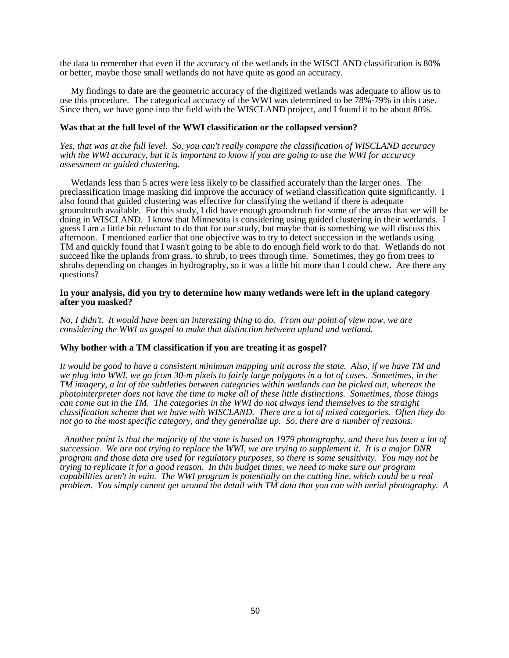the data to remember that even if the accuracy of the wetlands in the WISCLAND classification is 80% or better, maybe those small wetlands do not have quite as good an accuracy.

My findings to date are the geometric accuracy of the digitized wetlands was adequate to allow us to use this procedure. The categorical accuracy of the WWI was determined to be 78%-79% in this case. Since then, we have gone into the field with the WISCLAND project, and I found it to be about 80%.

#### **Was that at the full level of the WWI classification or the collapsed version?**

*Yes, that was at the full level. So, you can't really compare the classification of WISCLAND accuracy with the WWI accuracy, but it is important to know if you are going to use the WWI for accuracy assessment or guided clustering.*

Wetlands less than 5 acres were less likely to be classified accurately than the larger ones. The preclassification image masking did improve the accuracy of wetland classification quite significantly. I also found that guided clustering was effective for classifying the wetland if there is adequate groundtruth available. For this study, I did have enough groundtruth for some of the areas that we will be doing in WISCLAND. I know that Minnesota is considering using guided clustering in their wetlands. I guess I am a little bit reluctant to do that for our study, but maybe that is something we will discuss this afternoon. I mentioned earlier that one objective was to try to detect succession in the wetlands using TM and quickly found that I wasn't going to be able to do enough field work to do that. Wetlands do not succeed like the uplands from grass, to shrub, to trees through time. Sometimes, they go from trees to shrubs depending on changes in hydrography, so it was a little bit more than I could chew. Are there any questions?

#### **In your analysis, did you try to determine how many wetlands were left in the upland category after you masked?**

*No, I didn't. It would have been an interesting thing to do. From our point of view now, we are considering the WWI as gospel to make that distinction between upland and wetland.*

#### **Why bother with a TM classification if you are treating it as gospel?**

*It would be good to have a consistent minimum mapping unit across the state. Also, if we have TM and we plug into WWI, we go from 30-m pixels to fairly large polygons in a lot of cases. Sometimes, in the TM imagery, a lot of the subtleties between categories within wetlands can be picked out, whereas the photointerpreter does not have the time to make all of these little distinctions. Sometimes, those things can come out in the TM. The categories in the WWI do not always lend themselves to the straight classification scheme that we have with WISCLAND. There are a lot of mixed categories. Often they do not go to the most specific category, and they generalize up. So, there are a number of reasons.*

 *Another point is that the majority of the state is based on 1979 photography, and there has been a lot of succession. We are not trying to replace the WWI, we are trying to supplement it. It is a major DNR program and those data are used for regulatory purposes, so there is some sensitivity. You may not be trying to replicate it for a good reason. In thin budget times, we need to make sure our program capabilities aren't in vain. The WWI program is potentially on the cutting line, which could be a real problem. You simply cannot get around the detail with TM data that you can with aerial photography. A*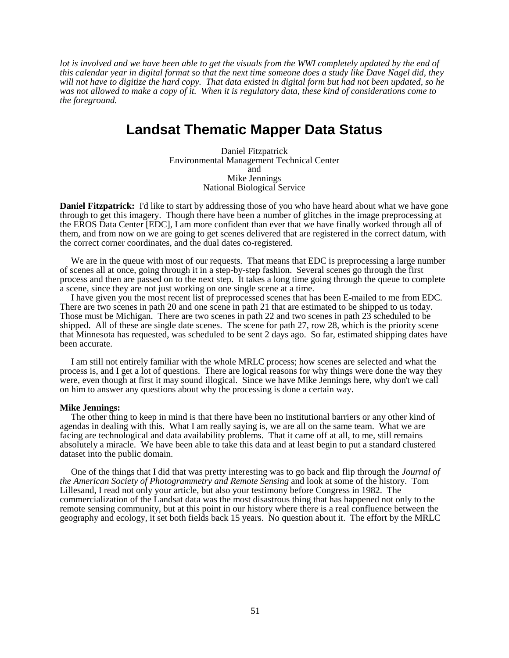*lot is involved and we have been able to get the visuals from the WWI completely updated by the end of this calendar year in digital format so that the next time someone does a study like Dave Nagel did, they will not have to digitize the hard copy. That data existed in digital form but had not been updated, so he was not allowed to make a copy of it. When it is regulatory data, these kind of considerations come to the foreground.*

### **Landsat Thematic Mapper Data Status**

Daniel Fitzpatrick Environmental Management Technical Center and Mike Jennings National Biological Service

**Daniel Fitzpatrick:** I'd like to start by addressing those of you who have heard about what we have gone through to get this imagery. Though there have been a number of glitches in the image preprocessing at the EROS Data Center [EDC], I am more confident than ever that we have finally worked through all of them, and from now on we are going to get scenes delivered that are registered in the correct datum, with the correct corner coordinates, and the dual dates co-registered.

We are in the queue with most of our requests. That means that EDC is preprocessing a large number of scenes all at once, going through it in a step-by-step fashion. Several scenes go through the first process and then are passed on to the next step. It takes a long time going through the queue to complete a scene, since they are not just working on one single scene at a time.

I have given you the most recent list of preprocessed scenes that has been E-mailed to me from EDC. There are two scenes in path 20 and one scene in path 21 that are estimated to be shipped to us today. Those must be Michigan. There are two scenes in path 22 and two scenes in path 23 scheduled to be shipped. All of these are single date scenes. The scene for path 27, row 28, which is the priority scene that Minnesota has requested, was scheduled to be sent 2 days ago. So far, estimated shipping dates have been accurate.

I am still not entirely familiar with the whole MRLC process; how scenes are selected and what the process is, and I get a lot of questions. There are logical reasons for why things were done the way they were, even though at first it may sound illogical. Since we have Mike Jennings here, why don't we call on him to answer any questions about why the processing is done a certain way.

#### **Mike Jennings:**

The other thing to keep in mind is that there have been no institutional barriers or any other kind of agendas in dealing with this. What I am really saying is, we are all on the same team. What we are facing are technological and data availability problems. That it came off at all, to me, still remains absolutely a miracle. We have been able to take this data and at least begin to put a standard clustered dataset into the public domain.

One of the things that I did that was pretty interesting was to go back and flip through the *Journal of the American Society of Photogrammetry and Remote Sensing* and look at some of the history. Tom Lillesand, I read not only your article, but also your testimony before Congress in 1982. The commercialization of the Landsat data was the most disastrous thing that has happened not only to the remote sensing community, but at this point in our history where there is a real confluence between the geography and ecology, it set both fields back 15 years. No question about it. The effort by the MRLC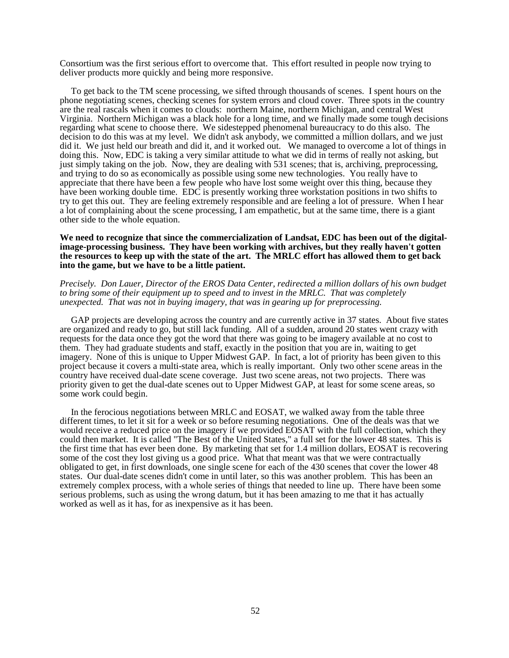Consortium was the first serious effort to overcome that. This effort resulted in people now trying to deliver products more quickly and being more responsive.

To get back to the TM scene processing, we sifted through thousands of scenes. I spent hours on the phone negotiating scenes, checking scenes for system errors and cloud cover. Three spots in the country are the real rascals when it comes to clouds: northern Maine, northern Michigan, and central West Virginia. Northern Michigan was a black hole for a long time, and we finally made some tough decisions regarding what scene to choose there. We sidestepped phenomenal bureaucracy to do this also. The decision to do this was at my level. We didn't ask anybody, we committed a million dollars, and we just did it. We just held our breath and did it, and it worked out. We managed to overcome a lot of things in doing this. Now, EDC is taking a very similar attitude to what we did in terms of really not asking, but just simply taking on the job. Now, they are dealing with 531 scenes; that is, archiving, preprocessing, and trying to do so as economically as possible using some new technologies. You really have to appreciate that there have been a few people who have lost some weight over this thing, because they have been working double time. EDC is presently working three workstation positions in two shifts to try to get this out. They are feeling extremely responsible and are feeling a lot of pressure. When I hear a lot of complaining about the scene processing, I am empathetic, but at the same time, there is a giant other side to the whole equation.

#### We need to recognize that since the commercialization of Landsat, EDC has been out of the digital**image-processing business. They have been working with archives, but they really haven't gotten the resources to keep up with the state of the art. The MRLC effort has allowed them to get back into the game, but we have to be a little patient.**

#### *Precisely. Don Lauer, Director of the EROS Data Center, redirected a million dollars of his own budget to bring some of their equipment up to speed and to invest in the MRLC. That was completely unexpected. That was not in buying imagery, that was in gearing up for preprocessing.*

GAP projects are developing across the country and are currently active in 37 states. About five states are organized and ready to go, but still lack funding. All of a sudden, around 20 states went crazy with requests for the data once they got the word that there was going to be imagery available at no cost to them. They had graduate students and staff, exactly in the position that you are in, waiting to get imagery. None of this is unique to Upper Midwest GAP. In fact, a lot of priority has been given to this project because it covers a multi-state area, which is really important. Only two other scene areas in the country have received dual-date scene coverage. Just two scene areas, not two projects. There was priority given to get the dual-date scenes out to Upper Midwest GAP, at least for some scene areas, so some work could begin.

In the ferocious negotiations between MRLC and EOSAT, we walked away from the table three different times, to let it sit for a week or so before resuming negotiations. One of the deals was that we would receive a reduced price on the imagery if we provided EOSAT with the full collection, which they could then market. It is called "The Best of the United States," a full set for the lower 48 states. This is the first time that has ever been done. By marketing that set for 1.4 million dollars, EOSAT is recovering some of the cost they lost giving us a good price. What that meant was that we were contractually obligated to get, in first downloads, one single scene for each of the 430 scenes that cover the lower 48 states. Our dual-date scenes didn't come in until later, so this was another problem. This has been an extremely complex process, with a whole series of things that needed to line up. There have been some serious problems, such as using the wrong datum, but it has been amazing to me that it has actually worked as well as it has, for as inexpensive as it has been.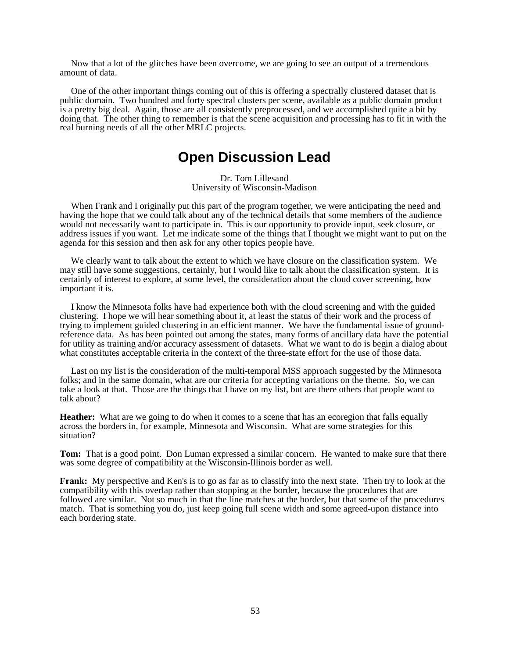Now that a lot of the glitches have been overcome, we are going to see an output of a tremendous amount of data.

One of the other important things coming out of this is offering a spectrally clustered dataset that is public domain. Two hundred and forty spectral clusters per scene, available as a public domain product is a pretty big deal. Again, those are all consistently preprocessed, and we accomplished quite a bit by doing that. The other thing to remember is that the scene acquisition and processing has to fit in with the real burning needs of all the other MRLC projects.

### **Open Discussion Lead**

Dr. Tom Lillesand University of Wisconsin-Madison

When Frank and I originally put this part of the program together, we were anticipating the need and having the hope that we could talk about any of the technical details that some members of the audience would not necessarily want to participate in. This is our opportunity to provide input, seek closure, or address issues if you want. Let me indicate some of the things that I thought we might want to put on the agenda for this session and then ask for any other topics people have.

We clearly want to talk about the extent to which we have closure on the classification system. We may still have some suggestions, certainly, but I would like to talk about the classification system. It is certainly of interest to explore, at some level, the consideration about the cloud cover screening, how important it is.

I know the Minnesota folks have had experience both with the cloud screening and with the guided clustering. I hope we will hear something about it, at least the status of their work and the process of trying to implement guided clustering in an efficient manner. We have the fundamental issue of groundreference data. As has been pointed out among the states, many forms of ancillary data have the potential for utility as training and/or accuracy assessment of datasets. What we want to do is begin a dialog about what constitutes acceptable criteria in the context of the three-state effort for the use of those data.

Last on my list is the consideration of the multi-temporal MSS approach suggested by the Minnesota folks; and in the same domain, what are our criteria for accepting variations on the theme. So, we can take a look at that. Those are the things that I have on my list, but are there others that people want to talk about?

**Heather:** What are we going to do when it comes to a scene that has an ecoregion that falls equally across the borders in, for example, Minnesota and Wisconsin. What are some strategies for this situation?

**Tom:** That is a good point. Don Luman expressed a similar concern. He wanted to make sure that there was some degree of compatibility at the Wisconsin-Illinois border as well.

**Frank:** My perspective and Ken's is to go as far as to classify into the next state. Then try to look at the compatibility with this overlap rather than stopping at the border, because the procedures that are followed are similar. Not so much in that the line matches at the border, but that some of the procedures match. That is something you do, just keep going full scene width and some agreed-upon distance into each bordering state.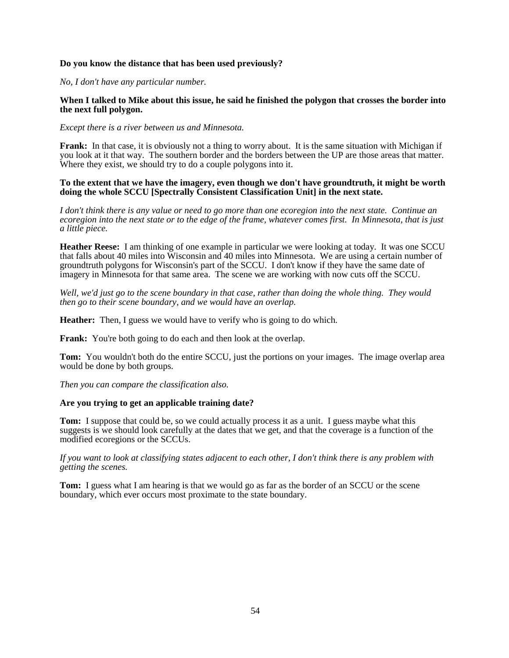#### **Do you know the distance that has been used previously?**

*No, I don't have any particular number.*

#### **When I talked to Mike about this issue, he said he finished the polygon that crosses the border into the next full polygon.**

*Except there is a river between us and Minnesota.*

**Frank:** In that case, it is obviously not a thing to worry about. It is the same situation with Michigan if you look at it that way. The southern border and the borders between the UP are those areas that matter. Where they exist, we should try to do a couple polygons into it.

#### **To the extent that we have the imagery, even though we don't have groundtruth, it might be worth doing the whole SCCU [Spectrally Consistent Classification Unit] in the next state.**

*I don't think there is any value or need to go more than one ecoregion into the next state. Continue an ecoregion into the next state or to the edge of the frame, whatever comes first. In Minnesota, that is just a little piece.*

**Heather Reese:** I am thinking of one example in particular we were looking at today. It was one SCCU that falls about 40 miles into Wisconsin and 40 miles into Minnesota. We are using a certain number of groundtruth polygons for Wisconsin's part of the SCCU. I don't know if they have the same date of imagery in Minnesota for that same area. The scene we are working with now cuts off the SCCU.

*Well, we'd just go to the scene boundary in that case, rather than doing the whole thing. They would then go to their scene boundary, and we would have an overlap.*

**Heather:** Then, I guess we would have to verify who is going to do which.

**Frank:** You're both going to do each and then look at the overlap.

**Tom:** You wouldn't both do the entire SCCU, just the portions on your images. The image overlap area would be done by both groups.

*Then you can compare the classification also.*

#### **Are you trying to get an applicable training date?**

**Tom:** I suppose that could be, so we could actually process it as a unit. I guess maybe what this suggests is we should look carefully at the dates that we get, and that the coverage is a function of the modified ecoregions or the SCCUs.

*If you want to look at classifying states adjacent to each other, I don't think there is any problem with getting the scenes.*

**Tom:** I guess what I am hearing is that we would go as far as the border of an SCCU or the scene boundary, which ever occurs most proximate to the state boundary.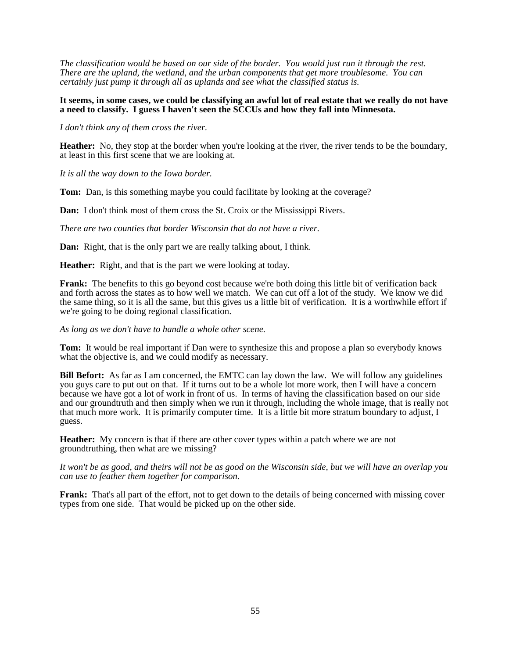*The classification would be based on our side of the border. You would just run it through the rest. There are the upland, the wetland, and the urban components that get more troublesome. You can certainly just pump it through all as uplands and see what the classified status is.*

#### **It seems, in some cases, we could be classifying an awful lot of real estate that we really do not have a need to classify. I guess I haven't seen the SCCUs and how they fall into Minnesota.**

*I don't think any of them cross the river.*

**Heather:** No, they stop at the border when you're looking at the river, the river tends to be the boundary, at least in this first scene that we are looking at.

*It is all the way down to the Iowa border.*

**Tom:** Dan, is this something maybe you could facilitate by looking at the coverage?

**Dan:** I don't think most of them cross the St. Croix or the Mississippi Rivers.

*There are two counties that border Wisconsin that do not have a river.*

**Dan:** Right, that is the only part we are really talking about, I think.

**Heather:** Right, and that is the part we were looking at today.

**Frank:** The benefits to this go beyond cost because we're both doing this little bit of verification back and forth across the states as to how well we match. We can cut off a lot of the study. We know we did the same thing, so it is all the same, but this gives us a little bit of verification. It is a worthwhile effort if we're going to be doing regional classification.

#### *As long as we don't have to handle a whole other scene.*

**Tom:** It would be real important if Dan were to synthesize this and propose a plan so everybody knows what the objective is, and we could modify as necessary.

**Bill Befort:** As far as I am concerned, the EMTC can lay down the law. We will follow any guidelines you guys care to put out on that. If it turns out to be a whole lot more work, then I will have a concern because we have got a lot of work in front of us. In terms of having the classification based on our side and our groundtruth and then simply when we run it through, including the whole image, that is really not that much more work. It is primarily computer time. It is a little bit more stratum boundary to adjust, I guess.

**Heather:** My concern is that if there are other cover types within a patch where we are not groundtruthing, then what are we missing?

*It won't be as good, and theirs will not be as good on the Wisconsin side, but we will have an overlap you can use to feather them together for comparison.*

**Frank:** That's all part of the effort, not to get down to the details of being concerned with missing cover types from one side. That would be picked up on the other side.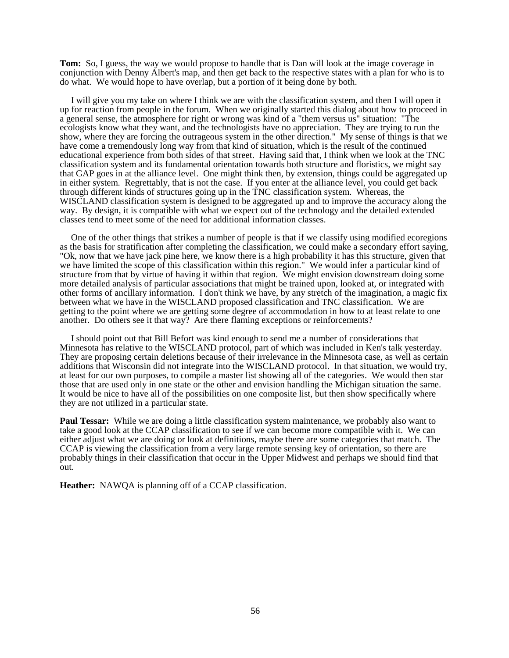**Tom:** So, I guess, the way we would propose to handle that is Dan will look at the image coverage in conjunction with Denny Albert's map, and then get back to the respective states with a plan for who is to do what. We would hope to have overlap, but a portion of it being done by both.

I will give you my take on where I think we are with the classification system, and then I will open it up for reaction from people in the forum. When we originally started this dialog about how to proceed in a general sense, the atmosphere for right or wrong was kind of a "them versus us" situation: "The ecologists know what they want, and the technologists have no appreciation. They are trying to run the show, where they are forcing the outrageous system in the other direction." My sense of things is that we have come a tremendously long way from that kind of situation, which is the result of the continued educational experience from both sides of that street. Having said that, I think when we look at the TNC classification system and its fundamental orientation towards both structure and floristics, we might say that GAP goes in at the alliance level. One might think then, by extension, things could be aggregated up in either system. Regrettably, that is not the case. If you enter at the alliance level, you could get back through different kinds of structures going up in the TNC classification system. Whereas, the WISCLAND classification system is designed to be aggregated up and to improve the accuracy along the way. By design, it is compatible with what we expect out of the technology and the detailed extended classes tend to meet some of the need for additional information classes.

One of the other things that strikes a number of people is that if we classify using modified ecoregions as the basis for stratification after completing the classification, we could make a secondary effort saying, "Ok, now that we have jack pine here, we know there is a high probability it has this structure, given that we have limited the scope of this classification within this region." We would infer a particular kind of structure from that by virtue of having it within that region. We might envision downstream doing some more detailed analysis of particular associations that might be trained upon, looked at, or integrated with other forms of ancillary information. I don't think we have, by any stretch of the imagination, a magic fix between what we have in the WISCLAND proposed classification and TNC classification. We are getting to the point where we are getting some degree of accommodation in how to at least relate to one another. Do others see it that way? Are there flaming exceptions or reinforcements?

I should point out that Bill Befort was kind enough to send me a number of considerations that Minnesota has relative to the WISCLAND protocol, part of which was included in Ken's talk yesterday. They are proposing certain deletions because of their irrelevance in the Minnesota case, as well as certain additions that Wisconsin did not integrate into the WISCLAND protocol. In that situation, we would try, at least for our own purposes, to compile a master list showing all of the categories. We would then star those that are used only in one state or the other and envision handling the Michigan situation the same. It would be nice to have all of the possibilities on one composite list, but then show specifically where they are not utilized in a particular state.

**Paul Tessar:** While we are doing a little classification system maintenance, we probably also want to take a good look at the CCAP classification to see if we can become more compatible with it. We can either adjust what we are doing or look at definitions, maybe there are some categories that match. The CCAP is viewing the classification from a very large remote sensing key of orientation, so there are probably things in their classification that occur in the Upper Midwest and perhaps we should find that out.

**Heather:** NAWQA is planning off of a CCAP classification.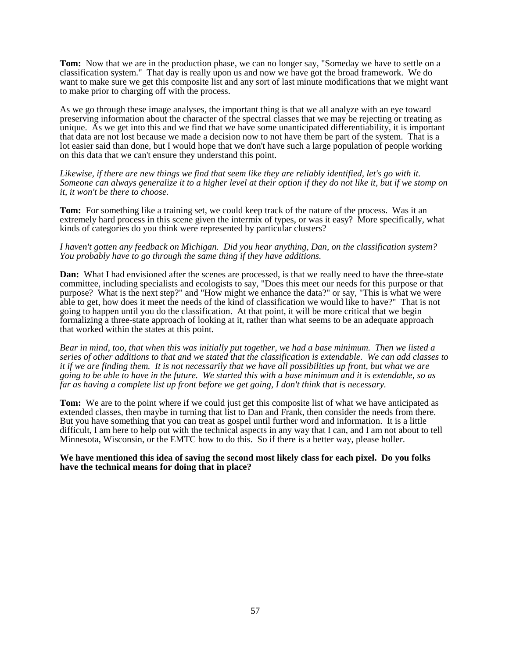**Tom:** Now that we are in the production phase, we can no longer say, "Someday we have to settle on a classification system." That day is really upon us and now we have got the broad framework. We do want to make sure we get this composite list and any sort of last minute modifications that we might want to make prior to charging off with the process.

As we go through these image analyses, the important thing is that we all analyze with an eye toward preserving information about the character of the spectral classes that we may be rejecting or treating as unique. As we get into this and we find that we have some unanticipated differentiability, it is important that data are not lost because we made a decision now to not have them be part of the system. That is a lot easier said than done, but I would hope that we don't have such a large population of people working on this data that we can't ensure they understand this point.

Likewise, if there are new things we find that seem like they are reliably identified, let's go with it. *Someone can always generalize it to a higher level at their option if they do not like it, but if we stomp on it, it won't be there to choose.*

**Tom:** For something like a training set, we could keep track of the nature of the process. Was it an extremely hard process in this scene given the intermix of types, or was it easy? More specifically, what kinds of categories do you think were represented by particular clusters?

#### *I haven't gotten any feedback on Michigan. Did you hear anything, Dan, on the classification system? You probably have to go through the same thing if they have additions.*

**Dan:** What I had envisioned after the scenes are processed, is that we really need to have the three-state committee, including specialists and ecologists to say, "Does this meet our needs for this purpose or that purpose? What is the next step?" and "How might we enhance the data?" or say, "This is what we were able to get, how does it meet the needs of the kind of classification we would like to have?" That is not going to happen until you do the classification. At that point, it will be more critical that we begin formalizing a three-state approach of looking at it, rather than what seems to be an adequate approach that worked within the states at this point.

*Bear in mind, too, that when this was initially put together, we had a base minimum. Then we listed a series of other additions to that and we stated that the classification is extendable. We can add classes to it if we are finding them. It is not necessarily that we have all possibilities up front, but what we are going to be able to have in the future. We started this with a base minimum and it is extendable, so as far as having a complete list up front before we get going, I don't think that is necessary.* 

**Tom:** We are to the point where if we could just get this composite list of what we have anticipated as extended classes, then maybe in turning that list to Dan and Frank, then consider the needs from there. But you have something that you can treat as gospel until further word and information. It is a little difficult, I am here to help out with the technical aspects in any way that I can, and I am not about to tell Minnesota, Wisconsin, or the EMTC how to do this. So if there is a better way, please holler.

#### **We have mentioned this idea of saving the second most likely class for each pixel. Do you folks have the technical means for doing that in place?**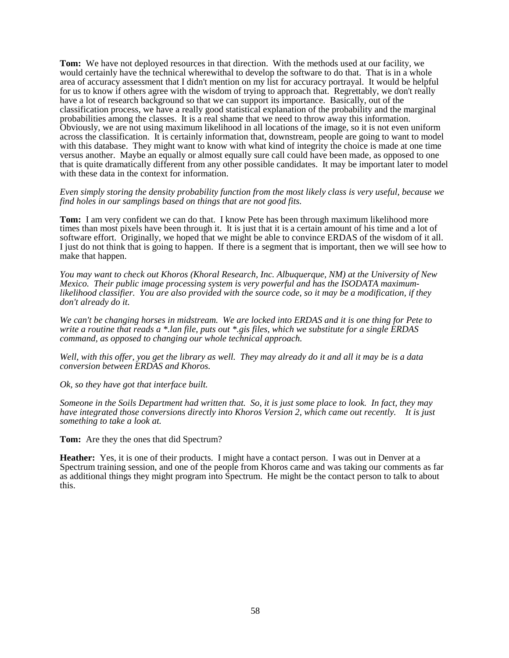**Tom:** We have not deployed resources in that direction. With the methods used at our facility, we would certainly have the technical wherewithal to develop the software to do that. That is in a whole area of accuracy assessment that I didn't mention on my list for accuracy portrayal. It would be helpful for us to know if others agree with the wisdom of trying to approach that. Regrettably, we don't really have a lot of research background so that we can support its importance. Basically, out of the classification process, we have a really good statistical explanation of the probability and the marginal probabilities among the classes. It is a real shame that we need to throw away this information. Obviously, we are not using maximum likelihood in all locations of the image, so it is not even uniform across the classification. It is certainly information that, downstream, people are going to want to model with this database. They might want to know with what kind of integrity the choice is made at one time versus another. Maybe an equally or almost equally sure call could have been made, as opposed to one that is quite dramatically different from any other possible candidates. It may be important later to model with these data in the context for information.

*Even simply storing the density probability function from the most likely class is very useful, because we find holes in our samplings based on things that are not good fits.*

**Tom:** I am very confident we can do that. I know Pete has been through maximum likelihood more times than most pixels have been through it. It is just that it is a certain amount of his time and a lot of software effort. Originally, we hoped that we might be able to convince ERDAS of the wisdom of it all. I just do not think that is going to happen. If there is a segment that is important, then we will see how to make that happen.

*You may want to check out Khoros (Khoral Research, Inc. Albuquerque, NM) at the University of New Mexico. Their public image processing system is very powerful and has the ISODATA maximumlikelihood classifier. You are also provided with the source code, so it may be a modification, if they don't already do it.*

*We can't be changing horses in midstream. We are locked into ERDAS and it is one thing for Pete to write a routine that reads a \*.lan file, puts out \*.gis files, which we substitute for a single ERDAS command, as opposed to changing our whole technical approach.*

*Well, with this offer, you get the library as well. They may already do it and all it may be is a data conversion between ERDAS and Khoros.*

*Ok, so they have got that interface built.*

*Someone in the Soils Department had written that. So, it is just some place to look. In fact, they may have integrated those conversions directly into Khoros Version 2, which came out recently. It is just something to take a look at.*

**Tom:** Are they the ones that did Spectrum?

**Heather:** Yes, it is one of their products. I might have a contact person. I was out in Denver at a Spectrum training session, and one of the people from Khoros came and was taking our comments as far as additional things they might program into Spectrum. He might be the contact person to talk to about this.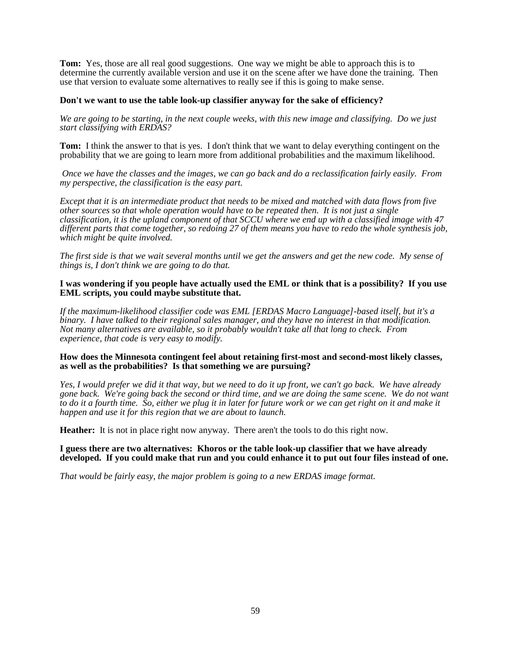**Tom:** Yes, those are all real good suggestions. One way we might be able to approach this is to determine the currently available version and use it on the scene after we have done the training. Then use that version to evaluate some alternatives to really see if this is going to make sense.

#### **Don't we want to use the table look-up classifier anyway for the sake of efficiency?**

*We are going to be starting, in the next couple weeks, with this new image and classifying. Do we just start classifying with ERDAS?*

**Tom:** I think the answer to that is yes. I don't think that we want to delay everything contingent on the probability that we are going to learn more from additional probabilities and the maximum likelihood.

 *Once we have the classes and the images, we can go back and do a reclassification fairly easily. From my perspective, the classification is the easy part.*

*Except that it is an intermediate product that needs to be mixed and matched with data flows from five other sources so that whole operation would have to be repeated then. It is not just a single classification, it is the upland component of that SCCU where we end up with a classified image with 47 different parts that come together, so redoing 27 of them means you have to redo the whole synthesis job, which might be quite involved.*

*The first side is that we wait several months until we get the answers and get the new code. My sense of things is, I don't think we are going to do that.*

#### **I was wondering if you people have actually used the EML or think that is a possibility? If you use EML scripts, you could maybe substitute that.**

*If the maximum-likelihood classifier code was EML [ERDAS Macro Language]-based itself, but it's a binary. I have talked to their regional sales manager, and they have no interest in that modification. Not many alternatives are available, so it probably wouldn't take all that long to check. From experience, that code is very easy to modify.*

#### **How does the Minnesota contingent feel about retaining first-most and second-most likely classes, as well as the probabilities? Is that something we are pursuing?**

*Yes, I would prefer we did it that way, but we need to do it up front, we can't go back. We have already gone back. We're going back the second or third time, and we are doing the same scene. We do not want to do it a fourth time. So, either we plug it in later for future work or we can get right on it and make it happen and use it for this region that we are about to launch.* 

**Heather:** It is not in place right now anyway. There aren't the tools to do this right now.

**I guess there are two alternatives: Khoros or the table look-up classifier that we have already developed. If you could make that run and you could enhance it to put out four files instead of one.**

*That would be fairly easy, the major problem is going to a new ERDAS image format.*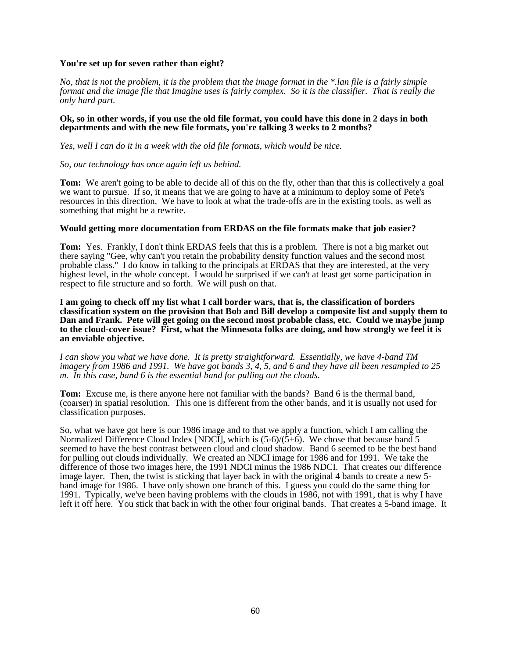#### **You're set up for seven rather than eight?**

*No, that is not the problem, it is the problem that the image format in the \*.lan file is a fairly simple format and the image file that Imagine uses is fairly complex. So it is the classifier. That is really the only hard part.*

#### **Ok, so in other words, if you use the old file format, you could have this done in 2 days in both departments and with the new file formats, you're talking 3 weeks to 2 months?**

*Yes, well I can do it in a week with the old file formats, which would be nice.*

#### *So, our technology has once again left us behind.*

**Tom:** We aren't going to be able to decide all of this on the fly, other than that this is collectively a goal we want to pursue. If so, it means that we are going to have at a minimum to deploy some of Pete's resources in this direction. We have to look at what the trade-offs are in the existing tools, as well as something that might be a rewrite.

#### **Would getting more documentation from ERDAS on the file formats make that job easier?**

**Tom:** Yes. Frankly, I don't think ERDAS feels that this is a problem. There is not a big market out there saying "Gee, why can't you retain the probability density function values and the second most probable class." I do know in talking to the principals at ERDAS that they are interested, at the very highest level, in the whole concept. I would be surprised if we can't at least get some participation in respect to file structure and so forth. We will push on that.

**I am going to check off my list what I call border wars, that is, the classification of borders classification system on the provision that Bob and Bill develop a composite list and supply them to Dan and Frank. Pete will get going on the second most probable class, etc. Could we maybe jump to the cloud-cover issue? First, what the Minnesota folks are doing, and how strongly we feel it is an enviable objective.**

*I can show you what we have done. It is pretty straightforward. Essentially, we have 4-band TM imagery from 1986 and 1991. We have got bands 3, 4, 5, and 6 and they have all been resampled to 25 m. In this case, band 6 is the essential band for pulling out the clouds.*

**Tom:** Excuse me, is there anyone here not familiar with the bands? Band 6 is the thermal band, (coarser) in spatial resolution. This one is different from the other bands, and it is usually not used for classification purposes.

So, what we have got here is our 1986 image and to that we apply a function, which I am calling the Normalized Difference Cloud Index [NDCI], which is  $(5-6)/(5+6)$ . We chose that because band 5 seemed to have the best contrast between cloud and cloud shadow. Band 6 seemed to be the best band for pulling out clouds individually. We created an NDCI image for 1986 and for 1991. We take the difference of those two images here, the 1991 NDCI minus the 1986 NDCI. That creates our difference image layer. Then, the twist is sticking that layer back in with the original 4 bands to create a new 5 band image for 1986. I have only shown one branch of this. I guess you could do the same thing for 1991. Typically, we've been having problems with the clouds in 1986, not with 1991, that is why I have left it off here. You stick that back in with the other four original bands. That creates a 5-band image. It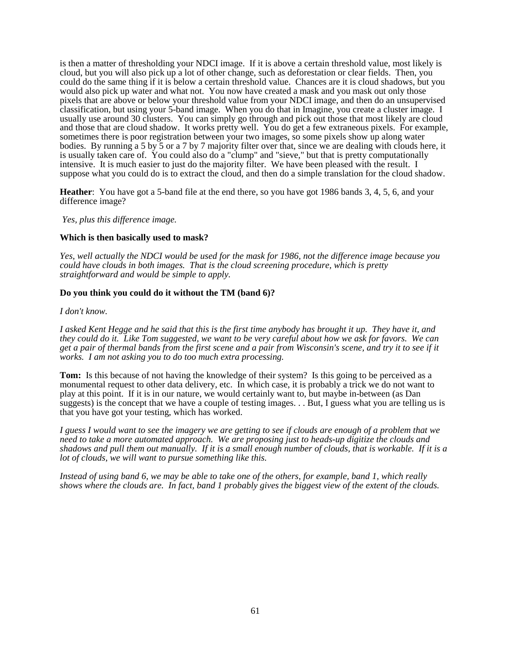is then a matter of thresholding your NDCI image. If it is above a certain threshold value, most likely is cloud, but you will also pick up a lot of other change, such as deforestation or clear fields. Then, you could do the same thing if it is below a certain threshold value. Chances are it is cloud shadows, but you would also pick up water and what not. You now have created a mask and you mask out only those pixels that are above or below your threshold value from your NDCI image, and then do an unsupervised classification, but using your 5-band image. When you do that in Imagine, you create a cluster image. I usually use around 30 clusters. You can simply go through and pick out those that most likely are cloud and those that are cloud shadow. It works pretty well. You do get a few extraneous pixels. For example, sometimes there is poor registration between your two images, so some pixels show up along water bodies. By running a 5 by 5 or a 7 by 7 majority filter over that, since we are dealing with clouds here, it is usually taken care of. You could also do a "clump" and "sieve," but that is pretty computationally intensive. It is much easier to just do the majority filter. We have been pleased with the result. I suppose what you could do is to extract the cloud, and then do a simple translation for the cloud shadow.

**Heather**: You have got a 5-band file at the end there, so you have got 1986 bands 3, 4, 5, 6, and your difference image?

*Yes, plus this difference image.*

#### **Which is then basically used to mask?**

*Yes, well actually the NDCI would be used for the mask for 1986, not the difference image because you could have clouds in both images. That is the cloud screening procedure, which is pretty straightforward and would be simple to apply.*

#### **Do you think you could do it without the TM (band 6)?**

*I don't know.*

*I asked Kent Hegge and he said that this is the first time anybody has brought it up. They have it, and they could do it. Like Tom suggested, we want to be very careful about how we ask for favors. We can get a pair of thermal bands from the first scene and a pair from Wisconsin's scene, and try it to see if it works. I am not asking you to do too much extra processing.*

**Tom:** Is this because of not having the knowledge of their system? Is this going to be perceived as a monumental request to other data delivery, etc. In which case, it is probably a trick we do not want to play at this point. If it is in our nature, we would certainly want to, but maybe in-between (as Dan suggests) is the concept that we have a couple of testing images. . . But, I guess what you are telling us is that you have got your testing, which has worked.

*I guess I would want to see the imagery we are getting to see if clouds are enough of a problem that we need to take a more automated approach. We are proposing just to heads-up digitize the clouds and shadows and pull them out manually. If it is a small enough number of clouds, that is workable. If it is a lot of clouds, we will want to pursue something like this.*

*Instead of using band 6, we may be able to take one of the others, for example, band 1, which really shows where the clouds are. In fact, band 1 probably gives the biggest view of the extent of the clouds.*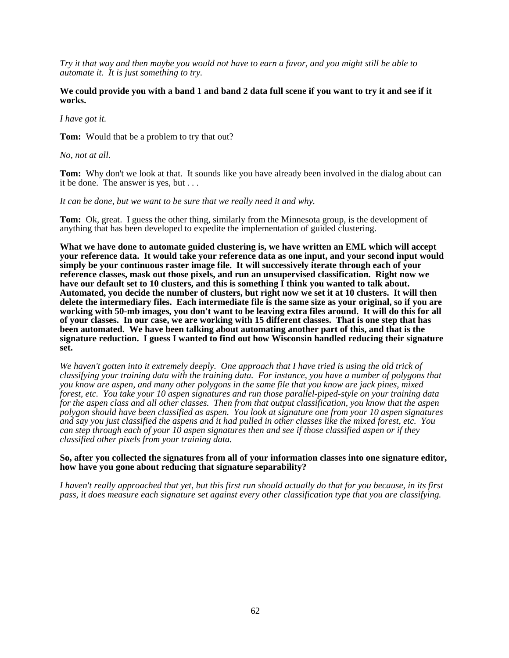*Try it that way and then maybe you would not have to earn a favor, and you might still be able to automate it. It is just something to try.*

#### **We could provide you with a band 1 and band 2 data full scene if you want to try it and see if it works.**

*I have got it.*

**Tom:** Would that be a problem to try that out?

*No, not at all.*

**Tom:** Why don't we look at that. It sounds like you have already been involved in the dialog about can it be done. The answer is yes, but . . .

#### *It can be done, but we want to be sure that we really need it and why.*

**Tom:** Ok, great. I guess the other thing, similarly from the Minnesota group, is the development of anything that has been developed to expedite the implementation of guided clustering.

**What we have done to automate guided clustering is, we have written an EML which will accept your reference data. It would take your reference data as one input, and your second input would simply be your continuous raster image file. It will successively iterate through each of your reference classes, mask out those pixels, and run an unsupervised classification. Right now we have our default set to 10 clusters, and this is something I think you wanted to talk about. Automated, you decide the number of clusters, but right now we set it at 10 clusters. It will then delete the intermediary files. Each intermediate file is the same size as your original, so if you are working with 50-mb images, you don't want to be leaving extra files around. It will do this for all of your classes. In our case, we are working with 15 different classes. That is one step that has been automated. We have been talking about automating another part of this, and that is the signature reduction. I guess I wanted to find out how Wisconsin handled reducing their signature set.**

*We haven't gotten into it extremely deeply. One approach that I have tried is using the old trick of classifying your training data with the training data. For instance, you have a number of polygons that you know are aspen, and many other polygons in the same file that you know are jack pines, mixed forest, etc. You take your 10 aspen signatures and run those parallel-piped-style on your training data for the aspen class and all other classes. Then from that output classification, you know that the aspen polygon should have been classified as aspen. You look at signature one from your 10 aspen signatures and say you just classified the aspens and it had pulled in other classes like the mixed forest, etc. You can step through each of your 10 aspen signatures then and see if those classified aspen or if they classified other pixels from your training data.*

#### **So, after you collected the signatures from all of your information classes into one signature editor, how have you gone about reducing that signature separability?**

*I haven't really approached that yet, but this first run should actually do that for you because, in its first pass, it does measure each signature set against every other classification type that you are classifying.*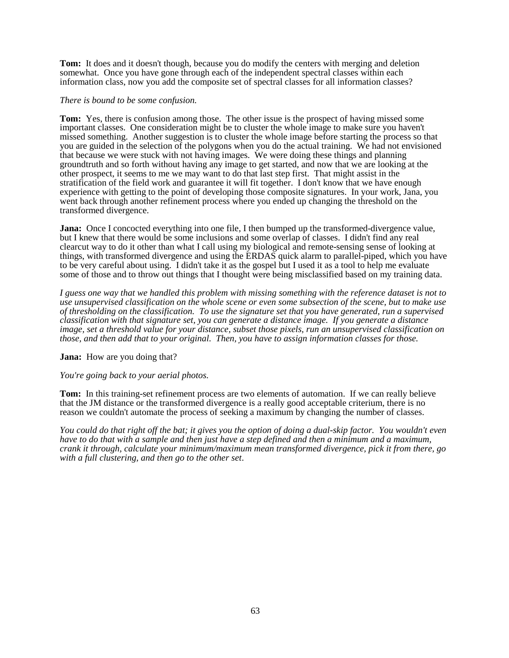**Tom:** It does and it doesn't though, because you do modify the centers with merging and deletion somewhat. Once you have gone through each of the independent spectral classes within each information class, now you add the composite set of spectral classes for all information classes?

#### *There is bound to be some confusion.*

**Tom:** Yes, there is confusion among those. The other issue is the prospect of having missed some important classes. One consideration might be to cluster the whole image to make sure you haven't missed something. Another suggestion is to cluster the whole image before starting the process so that you are guided in the selection of the polygons when you do the actual training. We had not envisioned that because we were stuck with not having images. We were doing these things and planning groundtruth and so forth without having any image to get started, and now that we are looking at the other prospect, it seems to me we may want to do that last step first. That might assist in the stratification of the field work and guarantee it will fit together. I don't know that we have enough experience with getting to the point of developing those composite signatures. In your work, Jana, you went back through another refinement process where you ended up changing the threshold on the transformed divergence.

**Jana:** Once I concocted everything into one file, I then bumped up the transformed-divergence value, but I knew that there would be some inclusions and some overlap of classes. I didn't find any real clearcut way to do it other than what I call using my biological and remote-sensing sense of looking at things, with transformed divergence and using the ERDAS quick alarm to parallel-piped, which you have to be very careful about using. I didn't take it as the gospel but I used it as a tool to help me evaluate some of those and to throw out things that I thought were being misclassified based on my training data.

*I guess one way that we handled this problem with missing something with the reference dataset is not to use unsupervised classification on the whole scene or even some subsection of the scene, but to make use of thresholding on the classification. To use the signature set that you have generated, run a supervised classification with that signature set, you can generate a distance image. If you generate a distance image, set a threshold value for your distance, subset those pixels, run an unsupervised classification on those, and then add that to your original. Then, you have to assign information classes for those.*

**Jana:** How are you doing that?

*You're going back to your aerial photos.*

**Tom:** In this training-set refinement process are two elements of automation. If we can really believe that the JM distance or the transformed divergence is a really good acceptable criterium, there is no reason we couldn't automate the process of seeking a maximum by changing the number of classes.

*You could do that right off the bat; it gives you the option of doing a dual-skip factor. You wouldn't even have to do that with a sample and then just have a step defined and then a minimum and a maximum, crank it through, calculate your minimum/maximum mean transformed divergence, pick it from there, go with a full clustering, and then go to the other set*.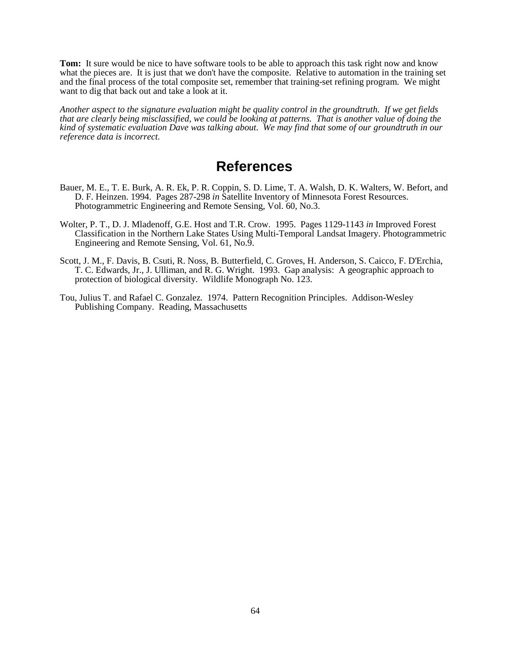**Tom:** It sure would be nice to have software tools to be able to approach this task right now and know what the pieces are. It is just that we don't have the composite. Relative to automation in the training set and the final process of the total composite set, remember that training-set refining program. We might want to dig that back out and take a look at it.

*Another aspect to the signature evaluation might be quality control in the groundtruth. If we get fields that are clearly being misclassified, we could be looking at patterns. That is another value of doing the kind of systematic evaluation Dave was talking about. We may find that some of our groundtruth in our reference data is incorrect.*

### **References**

- Bauer, M. E., T. E. Burk, A. R. Ek, P. R. Coppin, S. D. Lime, T. A. Walsh, D. K. Walters, W. Befort, and D. F. Heinzen. 1994. Pages 287-298 *in* Satellite Inventory of Minnesota Forest Resources. Photogrammetric Engineering and Remote Sensing, Vol. 60, No.3.
- Wolter, P. T., D. J. Mladenoff, G.E. Host and T.R. Crow. 1995. Pages 1129-1143 *in* Improved Forest Classification in the Northern Lake States Using Multi-Temporal Landsat Imagery. Photogrammetric Engineering and Remote Sensing, Vol. 61, No.9.
- Scott, J. M., F. Davis, B. Csuti, R. Noss, B. Butterfield, C. Groves, H. Anderson, S. Caicco, F. D'Erchia, T. C. Edwards, Jr., J. Ulliman, and R. G. Wright. 1993. Gap analysis: A geographic approach to protection of biological diversity. Wildlife Monograph No. 123.
- Tou, Julius T. and Rafael C. Gonzalez. 1974. Pattern Recognition Principles. Addison-Wesley Publishing Company. Reading, Massachusetts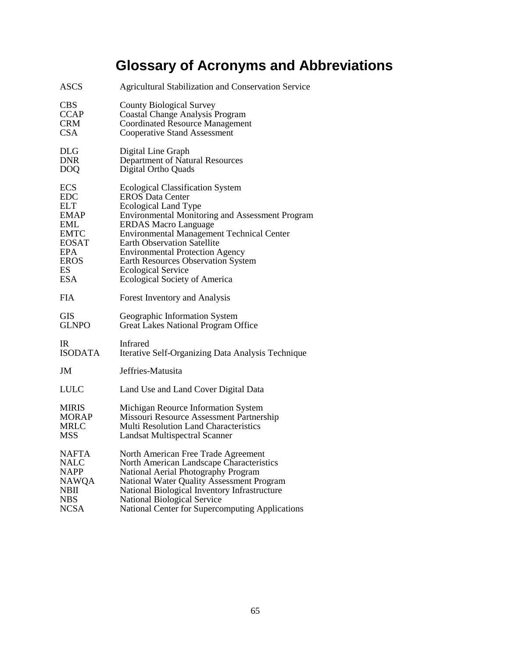# **Glossary of Acronyms and Abbreviations**

| <b>ASCS</b>    | <b>Agricultural Stabilization and Conservation Service</b> |
|----------------|------------------------------------------------------------|
| <b>CBS</b>     | <b>County Biological Survey</b>                            |
| <b>CCAP</b>    | <b>Coastal Change Analysis Program</b>                     |
| <b>CRM</b>     | <b>Coordinated Resource Management</b>                     |
| <b>CSA</b>     | <b>Cooperative Stand Assessment</b>                        |
| DLG            | Digital Line Graph                                         |
| <b>DNR</b>     | Department of Natural Resources                            |
| <b>DOQ</b>     | Digital Ortho Quads                                        |
| <b>ECS</b>     | <b>Ecological Classification System</b>                    |
| EDC            | <b>EROS Data Center</b>                                    |
| <b>ELT</b>     | <b>Ecological Land Type</b>                                |
| EMAP           | <b>Environmental Monitoring and Assessment Program</b>     |
| EML            | <b>ERDAS Macro Language</b>                                |
| <b>EMTC</b>    | <b>Environmental Management Technical Center</b>           |
| <b>EOSAT</b>   | <b>Earth Observation Satellite</b>                         |
| <b>EPA</b>     | <b>Environmental Protection Agency</b>                     |
| EROS           | <b>Earth Resources Observation System</b>                  |
| ES             | <b>Ecological Service</b>                                  |
| <b>ESA</b>     | Ecological Society of America                              |
| FIA            | Forest Inventory and Analysis                              |
| <b>GIS</b>     | Geographic Information System                              |
| <b>GLNPO</b>   | Great Lakes National Program Office                        |
| IR             | Infrared                                                   |
| <b>ISODATA</b> | Iterative Self-Organizing Data Analysis Technique          |
| JM             | Jeffries-Matusita                                          |
| LULC           | Land Use and Land Cover Digital Data                       |
| <b>MIRIS</b>   | Michigan Reource Information System                        |
| MORAP          | Missouri Resource Assessment Partnership                   |
| <b>MRLC</b>    | <b>Multi Resolution Land Characteristics</b>               |
| MSS            | <b>Landsat Multispectral Scanner</b>                       |
| NAFTA          | North American Free Trade Agreement                        |
| NALC           | North American Landscape Characteristics                   |
| <b>NAPP</b>    | National Aerial Photography Program                        |
| <b>NAWQA</b>   | National Water Quality Assessment Program                  |
| NBII           | National Biological Inventory Infrastructure               |
| <b>NBS</b>     | <b>National Biological Service</b>                         |
| <b>NCSA</b>    | National Center for Supercomputing Applications            |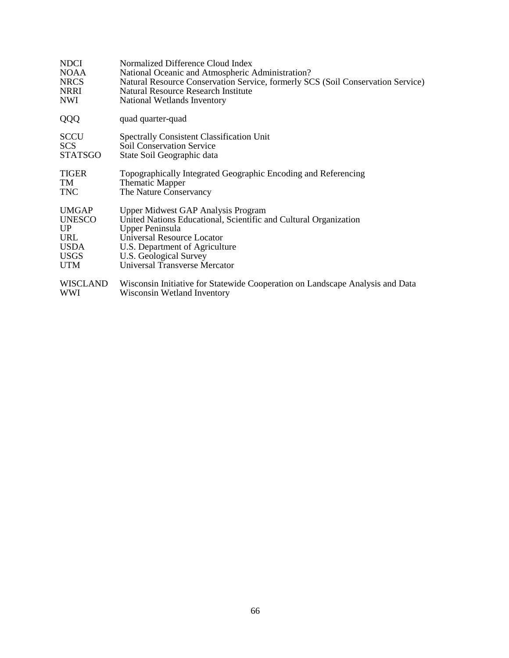| <b>NDCI</b>     | Normalized Difference Cloud Index                                               |
|-----------------|---------------------------------------------------------------------------------|
| <b>NOAA</b>     | National Oceanic and Atmospheric Administration?                                |
| <b>NRCS</b>     | Natural Resource Conservation Service, formerly SCS (Soil Conservation Service) |
| <b>NRRI</b>     | Natural Resource Research Institute                                             |
| NWI             | National Wetlands Inventory                                                     |
| QQQ             | quad quarter-quad                                                               |
| <b>SCCU</b>     | <b>Spectrally Consistent Classification Unit</b>                                |
| <b>SCS</b>      | <b>Soil Conservation Service</b>                                                |
| <b>STATSGO</b>  | State Soil Geographic data                                                      |
| <b>TIGER</b>    | Topographically Integrated Geographic Encoding and Referencing                  |
| TM              | <b>Thematic Mapper</b>                                                          |
| <b>TNC</b>      | The Nature Conservancy                                                          |
| <b>UMGAP</b>    | <b>Upper Midwest GAP Analysis Program</b>                                       |
| <b>UNESCO</b>   | United Nations Educational, Scientific and Cultural Organization                |
| UP              | <b>Upper Peninsula</b>                                                          |
| URL             | Universal Resource Locator                                                      |
| <b>USDA</b>     | U.S. Department of Agriculture                                                  |
| <b>USGS</b>     | U.S. Geological Survey                                                          |
| <b>UTM</b>      | Universal Transverse Mercator                                                   |
| <b>WISCLAND</b> | Wisconsin Initiative for Statewide Cooperation on Landscape Analysis and Data   |
| <b>WWI</b>      | Wisconsin Wetland Inventory                                                     |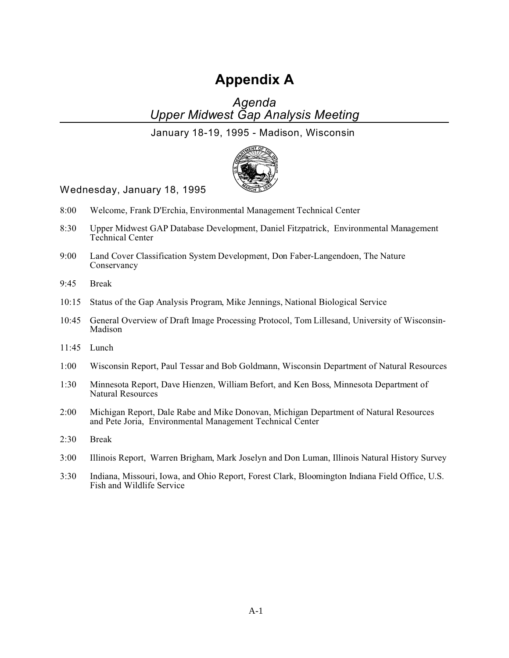# **Appendix A**

*Agenda Upper Midwest Gap Analysis Meeting*

January 18-19, 1995 - Madison, Wisconsin



Wednesday, January 18, 1995

- 8:00 Welcome, Frank D'Erchia, Environmental Management Technical Center
- 8:30 Upper Midwest GAP Database Development, Daniel Fitzpatrick, Environmental Management Technical Center
- 9:00 Land Cover Classification System Development, Don Faber-Langendoen, The Nature Conservancy
- 9:45 Break
- 10:15 Status of the Gap Analysis Program, Mike Jennings, National Biological Service
- 10:45 General Overview of Draft Image Processing Protocol, Tom Lillesand, University of Wisconsin-Madison
- 11:45 Lunch
- 1:00 Wisconsin Report, Paul Tessar and Bob Goldmann, Wisconsin Department of Natural Resources
- 1:30 Minnesota Report, Dave Hienzen, William Befort, and Ken Boss, Minnesota Department of Natural Resources
- 2:00 Michigan Report, Dale Rabe and Mike Donovan, Michigan Department of Natural Resources and Pete Joria, Environmental Management Technical Center
- 2:30 Break
- 3:00 Illinois Report, Warren Brigham, Mark Joselyn and Don Luman, Illinois Natural History Survey
- 3:30 Indiana, Missouri, Iowa, and Ohio Report, Forest Clark, Bloomington Indiana Field Office, U.S. Fish and Wildlife Service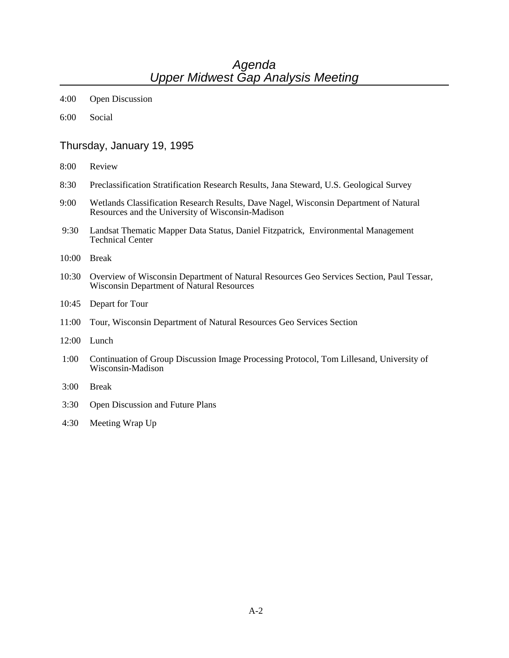## *Agenda Upper Midwest Gap Analysis Meeting*

- 4:00 Open Discussion
- 6:00 Social

#### Thursday, January 19, 1995

- 8:00 Review
- 8:30 Preclassification Stratification Research Results, Jana Steward, U.S. Geological Survey
- 9:00 Wetlands Classification Research Results, Dave Nagel, Wisconsin Department of Natural Resources and the University of Wisconsin-Madison
- 9:30 Landsat Thematic Mapper Data Status, Daniel Fitzpatrick, Environmental Management Technical Center
- 10:00 Break
- 10:30 Overview of Wisconsin Department of Natural Resources Geo Services Section, Paul Tessar, Wisconsin Department of Natural Resources
- 10:45 Depart for Tour
- 11:00 Tour, Wisconsin Department of Natural Resources Geo Services Section
- 12:00 Lunch
- 1:00 Continuation of Group Discussion Image Processing Protocol, Tom Lillesand, University of Wisconsin-Madison
- 3:00 Break
- 3:30 Open Discussion and Future Plans
- 4:30 Meeting Wrap Up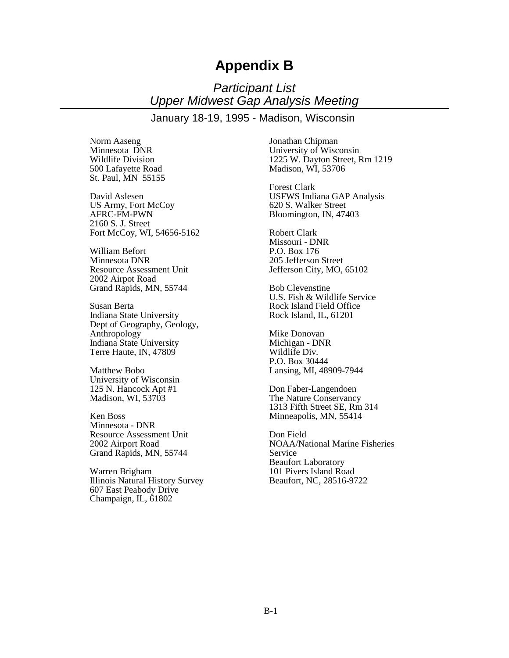# **Appendix B**

*Participant List Upper Midwest Gap Analysis Meeting*

January 18-19, 1995 - Madison, Wisconsin

Norm Aaseng Minnesota DNR Wildlife Division 500 Lafayette Road St. Paul, MN 55155

David Aslesen US Army, Fort McCoy AFRC-FM-PWN 2160 S. J. Street Fort McCoy, WI, 54656-5162

William Befort Minnesota DNR Resource Assessment Unit 2002 Airpot Road Grand Rapids, MN, 55744

Susan Berta Indiana State University Dept of Geography, Geology, Anthropology Indiana State University Terre Haute, IN, 47809

Matthew Bobo University of Wisconsin 125 N. Hancock Apt #1 Madison, WI, 53703

Ken Boss Minnesota - DNR Resource Assessment Unit 2002 Airport Road Grand Rapids, MN, 55744

Warren Brigham Illinois Natural History Survey 607 East Peabody Drive Champaign, IL, 61802

Jonathan Chipman University of Wisconsin 1225 W. Dayton Street, Rm 1219 Madison, WI, 53706

Forest Clark USFWS Indiana GAP Analysis 620 S. Walker Street Bloomington, IN, 47403

Robert Clark Missouri - DNR P.O. Box 176 205 Jefferson Street Jefferson City, MO, 65102

Bob Clevenstine U.S. Fish & Wildlife Service Rock Island Field Office Rock Island, IL, 61201

Mike Donovan Michigan - DNR Wildlife Div. P.O. Box 30444 Lansing, MI, 48909-7944

Don Faber-Langendoen The Nature Conservancy 1313 Fifth Street SE, Rm 314 Minneapolis, MN, 55414

Don Field NOAA/National Marine Fisheries Service Beaufort Laboratory 101 Pivers Island Road Beaufort, NC, 28516-9722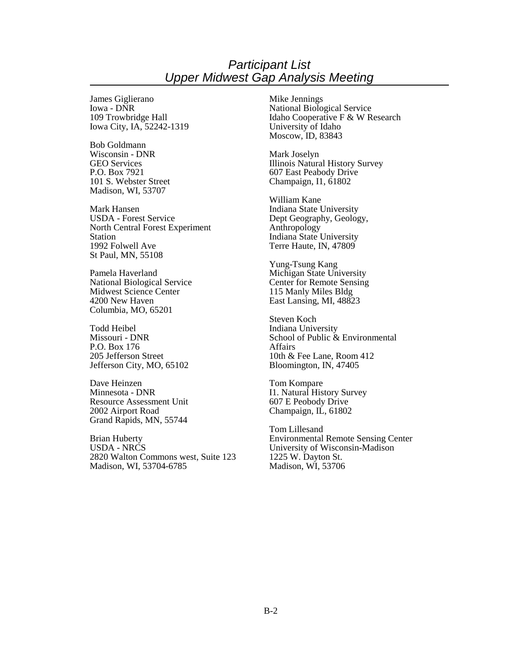#### *Participant List Upper Midwest Gap Analysis Meeting*

James Giglierano Iowa - DNR 109 Trowbridge Hall Iowa City, IA, 52242-1319

Bob Goldmann Wisconsin - DNR GEO Services P.O. Box 7921 101 S. Webster Street Madison, WI, 53707

Mark Hansen USDA - Forest Service North Central Forest Experiment Station 1992 Folwell Ave St Paul, MN, 55108

Pamela Haverland National Biological Service Midwest Science Center 4200 New Haven Columbia, MO, 65201

Todd Heibel Missouri - DNR P.O. Box 176 205 Jefferson Street Jefferson City, MO, 65102

Dave Heinzen Minnesota - DNR Resource Assessment Unit 2002 Airport Road Grand Rapids, MN, 55744

Brian Huberty USDA - NRCS 2820 Walton Commons west, Suite 123 Madison, WI, 53704-6785

Mike Jennings National Biological Service Idaho Cooperative F & W Research University of Idaho Moscow, ID, 83843

Mark Joselyn Illinois Natural History Survey 607 East Peabody Drive Champaign, I1, 61802

William Kane Indiana State University Dept Geography, Geology, Anthropology Indiana State University Terre Haute, IN, 47809

Yung-Tsung Kang Michigan State University Center for Remote Sensing 115 Manly Miles Bldg East Lansing, MI, 48823

Steven Koch Indiana University School of Public & Environmental Affairs 10th & Fee Lane, Room 412 Bloomington, IN, 47405

Tom Kompare I1. Natural History Survey 607 E Peobody Drive Champaign, IL, 61802

Tom Lillesand Environmental Remote Sensing Center University of Wisconsin-Madison 1225 W. Dayton St. Madison, WI, 53706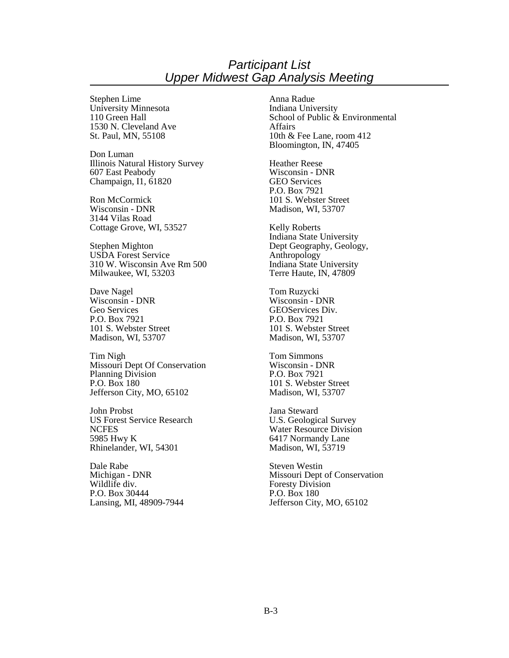#### *Participant List Upper Midwest Gap Analysis Meeting*

Stephen Lime University Minnesota 110 Green Hall 1530 N. Cleveland Ave St. Paul, MN, 55108

Don Luman Illinois Natural History Survey 607 East Peabody Champaign, I1, 61820

Ron McCormick Wisconsin - DNR 3144 Vilas Road Cottage Grove, WI, 53527

Stephen Mighton USDA Forest Service 310 W. Wisconsin Ave Rm 500 Milwaukee, WI, 53203

Dave Nagel Wisconsin - DNR Geo Services P.O. Box 7921 101 S. Webster Street Madison, WI, 53707

Tim Nigh Missouri Dept Of Conservation Planning Division P.O. Box 180 Jefferson City, MO, 65102

John Probst US Forest Service Research **NCFES** 5985 Hwy K Rhinelander, WI, 54301

Dale Rabe Michigan - DNR Wildlife div. P.O. Box 30444 Lansing, MI, 48909-7944 Anna Radue Indiana University School of Public & Environmental Affairs 10th & Fee Lane, room 412 Bloomington, IN, 47405

Heather Reese Wisconsin - DNR GEO Services P.O. Box 7921 101 S. Webster Street Madison, WI, 53707

Kelly Roberts Indiana State University Dept Geography, Geology, Anthropology Indiana State University Terre Haute, IN, 47809

Tom Ruzycki Wisconsin - DNR GEOServices Div. P.O. Box 7921 101 S. Webster Street Madison, WI, 53707

Tom Simmons Wisconsin - DNR P.O. Box 7921 101 S. Webster Street Madison, WI, 53707

Jana Steward U.S. Geological Survey Water Resource Division 6417 Normandy Lane Madison, WI, 53719

Steven Westin Missouri Dept of Conservation Foresty Division P.O. Box 180 Jefferson City, MO, 65102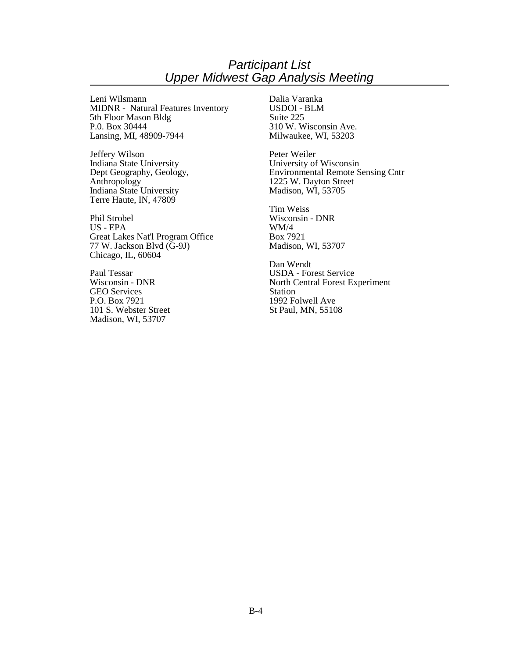### *Participant List Upper Midwest Gap Analysis Meeting*

Leni Wilsmann MIDNR - Natural Features Inventory 5th Floor Mason Bldg P.0. Box 30444 Lansing, MI, 48909-7944

Jeffery Wilson Indiana State University Dept Geography, Geology, Anthropology Indiana State University Terre Haute, IN, 47809

Phil Strobel US - EPA Great Lakes Nat'l Program Office 77 W. Jackson Blvd (G-9J) Chicago, IL, 60604

Paul Tessar Wisconsin - DNR GEO Services P.O. Box 7921 101 S. Webster Street Madison, WI, 53707

Dalia Varanka USDOI - BLM Suite 225 310 W. Wisconsin Ave. Milwaukee, WI, 53203

Peter Weiler University of Wisconsin Environmental Remote Sensing Cntr 1225 W. Dayton Street Madison, WI, 53705

Tim Weiss Wisconsin - DNR WM/4 Box 7921 Madison, WI, 53707

Dan Wendt USDA - Forest Service North Central Forest Experiment Station 1992 Folwell Ave St Paul, MN, 55108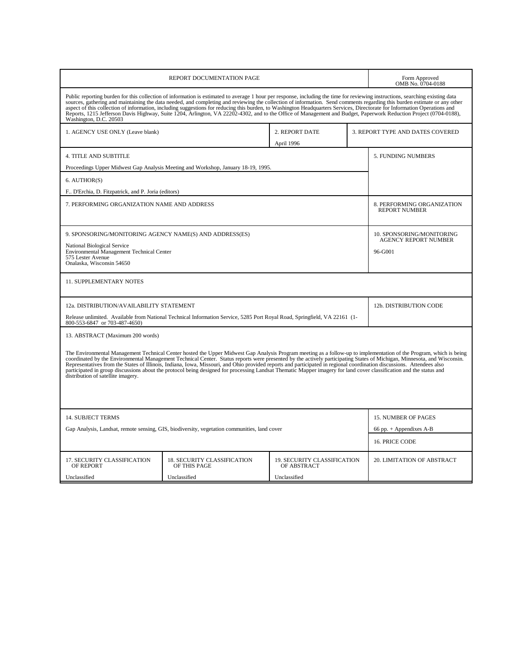| REPORT DOCUMENTATION PAGE                                                                                                                                                                                                                                                                                                                                                                                                                                                                                                                                                                                                                                                                                                               |                                             |                                            |                    | Form Approved<br>OMB No. 0704-0188                       |  |
|-----------------------------------------------------------------------------------------------------------------------------------------------------------------------------------------------------------------------------------------------------------------------------------------------------------------------------------------------------------------------------------------------------------------------------------------------------------------------------------------------------------------------------------------------------------------------------------------------------------------------------------------------------------------------------------------------------------------------------------------|---------------------------------------------|--------------------------------------------|--------------------|----------------------------------------------------------|--|
| Public reporting burden for this collection of information is estimated to average 1 hour per response, including the time for reviewing instructions, searching existing data<br>sources, gathering and maintaining the data needed, and completing and reviewing the collection of information. Send comments regarding this burden estimate or any other<br>aspect of this collection of information, including suggestions for reducing this burden, to Washington Headquarters Services, Directorate for Information Operations and<br>Reports, 1215 Jefferson Davis Highway, Suite 1204, Arlington, VA 22202-4302, and to the Office of Management and Budget, Paperwork Reduction Project (0704-0188),<br>Washington, D.C. 20503 |                                             |                                            |                    |                                                          |  |
| 1. AGENCY USE ONLY (Leave blank)                                                                                                                                                                                                                                                                                                                                                                                                                                                                                                                                                                                                                                                                                                        |                                             | 2. REPORT DATE<br>April 1996               |                    | 3. REPORT TYPE AND DATES COVERED                         |  |
| <b>4. TITLE AND SUBTITLE</b>                                                                                                                                                                                                                                                                                                                                                                                                                                                                                                                                                                                                                                                                                                            |                                             |                                            | 5. FUNDING NUMBERS |                                                          |  |
| Proceedings Upper Midwest Gap Analysis Meeting and Workshop, January 18-19, 1995.                                                                                                                                                                                                                                                                                                                                                                                                                                                                                                                                                                                                                                                       |                                             |                                            |                    |                                                          |  |
| 6. AUTHOR(S)                                                                                                                                                                                                                                                                                                                                                                                                                                                                                                                                                                                                                                                                                                                            |                                             |                                            |                    |                                                          |  |
| F., D'Erchia, D. Fitzpatrick, and P. Joria (editors)                                                                                                                                                                                                                                                                                                                                                                                                                                                                                                                                                                                                                                                                                    |                                             |                                            |                    |                                                          |  |
| 7. PERFORMING ORGANIZATION NAME AND ADDRESS                                                                                                                                                                                                                                                                                                                                                                                                                                                                                                                                                                                                                                                                                             |                                             |                                            |                    | 8. PERFORMING ORGANIZATION<br><b>REPORT NUMBER</b>       |  |
| 9. SPONSORING/MONITORING AGENCY NAME(S) AND ADDRESS(ES)                                                                                                                                                                                                                                                                                                                                                                                                                                                                                                                                                                                                                                                                                 |                                             |                                            |                    | 10. SPONSORING/MONITORING<br><b>AGENCY REPORT NUMBER</b> |  |
| National Biological Service<br><b>Environmental Management Technical Center</b>                                                                                                                                                                                                                                                                                                                                                                                                                                                                                                                                                                                                                                                         |                                             |                                            | 96-G001            |                                                          |  |
| 575 Lester Avenue<br>Onalaska, Wisconsin 54650                                                                                                                                                                                                                                                                                                                                                                                                                                                                                                                                                                                                                                                                                          |                                             |                                            |                    |                                                          |  |
| <b>11. SUPPLEMENTARY NOTES</b>                                                                                                                                                                                                                                                                                                                                                                                                                                                                                                                                                                                                                                                                                                          |                                             |                                            |                    |                                                          |  |
| 12a. DISTRIBUTION/AVAILABILITY STATEMENT                                                                                                                                                                                                                                                                                                                                                                                                                                                                                                                                                                                                                                                                                                |                                             |                                            |                    | 12b. DISTRIBUTION CODE                                   |  |
| Release unlimited. Available from National Technical Information Service, 5285 Port Royal Road, Springfield, VA 22161 (1-<br>800-553-6847 or 703-487-4650)                                                                                                                                                                                                                                                                                                                                                                                                                                                                                                                                                                              |                                             |                                            |                    |                                                          |  |
| 13. ABSTRACT (Maximum 200 words)                                                                                                                                                                                                                                                                                                                                                                                                                                                                                                                                                                                                                                                                                                        |                                             |                                            |                    |                                                          |  |
| The Environmental Management Technical Center hosted the Upper Midwest Gap Analysis Program meeting as a follow-up to implementation of the Program, which is being<br>coordinated by the Environmental Management Technical Center. Status reports were presented by the actively participating States of Michigan, Minnesota, and Wisconsin.<br>Representatives from the States of Illinois, Indiana, Iowa, Missouri, and Ohio provided reports and participated in regional coordination discussions. Attendees also<br>participated in group discussions about the protocol being designed for processing Landsat Thematic Mapper imagery for land cover classification and the status and<br>distribution of satellite imagery.    |                                             |                                            |                    |                                                          |  |
| <b>14. SUBJECT TERMS</b>                                                                                                                                                                                                                                                                                                                                                                                                                                                                                                                                                                                                                                                                                                                |                                             |                                            |                    | 15. NUMBER OF PAGES                                      |  |
| Gap Analysis, Landsat, remote sensing, GIS, biodiversity, vegetation communities, land cover                                                                                                                                                                                                                                                                                                                                                                                                                                                                                                                                                                                                                                            |                                             |                                            |                    | 66 pp. $+$ Appendixes A-B                                |  |
|                                                                                                                                                                                                                                                                                                                                                                                                                                                                                                                                                                                                                                                                                                                                         |                                             |                                            |                    | 16. PRICE CODE                                           |  |
| 17. SECURITY CLASSIFICATION<br>OF REPORT                                                                                                                                                                                                                                                                                                                                                                                                                                                                                                                                                                                                                                                                                                | 18. SECURITY CLASSIFICATION<br>OF THIS PAGE | 19. SECURITY CLASSIFICATION<br>OF ABSTRACT |                    | <b>20. LIMITATION OF ABSTRACT</b>                        |  |
| Unclassified<br>Unclassified<br>Unclassified                                                                                                                                                                                                                                                                                                                                                                                                                                                                                                                                                                                                                                                                                            |                                             |                                            |                    |                                                          |  |